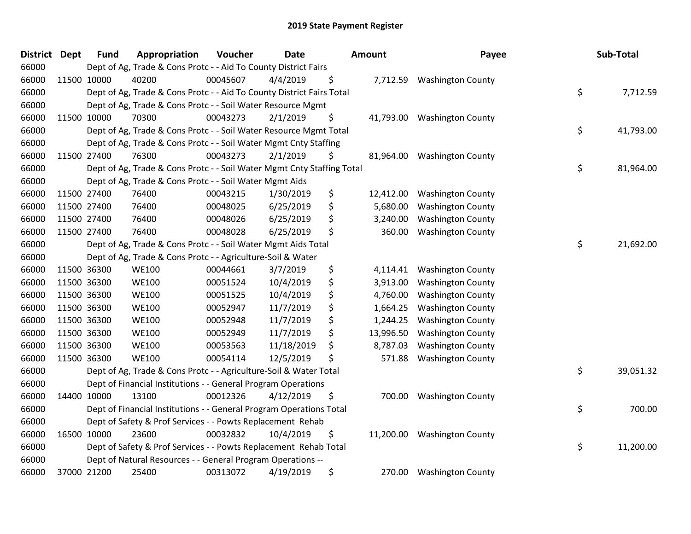| <b>District</b> | <b>Dept</b> | <b>Fund</b> | Appropriation                                                          | Voucher  | <b>Date</b> | Amount          | Payee                      | Sub-Total       |
|-----------------|-------------|-------------|------------------------------------------------------------------------|----------|-------------|-----------------|----------------------------|-----------------|
| 66000           |             |             | Dept of Ag, Trade & Cons Protc - - Aid To County District Fairs        |          |             |                 |                            |                 |
| 66000           | 11500 10000 |             | 40200                                                                  | 00045607 | 4/4/2019    | \$              | 7,712.59 Washington County |                 |
| 66000           |             |             | Dept of Ag, Trade & Cons Protc - - Aid To County District Fairs Total  |          |             |                 |                            | \$<br>7,712.59  |
| 66000           |             |             | Dept of Ag, Trade & Cons Protc - - Soil Water Resource Mgmt            |          |             |                 |                            |                 |
| 66000           | 11500 10000 |             | 70300                                                                  | 00043273 | 2/1/2019    | \$<br>41,793.00 | <b>Washington County</b>   |                 |
| 66000           |             |             | Dept of Ag, Trade & Cons Protc - - Soil Water Resource Mgmt Total      |          |             |                 |                            | \$<br>41,793.00 |
| 66000           |             |             | Dept of Ag, Trade & Cons Protc - - Soil Water Mgmt Cnty Staffing       |          |             |                 |                            |                 |
| 66000           | 11500 27400 |             | 76300                                                                  | 00043273 | 2/1/2019    | \$<br>81,964.00 | <b>Washington County</b>   |                 |
| 66000           |             |             | Dept of Ag, Trade & Cons Protc - - Soil Water Mgmt Cnty Staffing Total |          |             |                 |                            | \$<br>81,964.00 |
| 66000           |             |             | Dept of Ag, Trade & Cons Protc - - Soil Water Mgmt Aids                |          |             |                 |                            |                 |
| 66000           | 11500 27400 |             | 76400                                                                  | 00043215 | 1/30/2019   | \$<br>12,412.00 | <b>Washington County</b>   |                 |
| 66000           | 11500 27400 |             | 76400                                                                  | 00048025 | 6/25/2019   | \$<br>5,680.00  | <b>Washington County</b>   |                 |
| 66000           | 11500 27400 |             | 76400                                                                  | 00048026 | 6/25/2019   | \$<br>3,240.00  | <b>Washington County</b>   |                 |
| 66000           | 11500 27400 |             | 76400                                                                  | 00048028 | 6/25/2019   | \$<br>360.00    | <b>Washington County</b>   |                 |
| 66000           |             |             | Dept of Ag, Trade & Cons Protc - - Soil Water Mgmt Aids Total          |          |             |                 |                            | \$<br>21,692.00 |
| 66000           |             |             | Dept of Ag, Trade & Cons Protc - - Agriculture-Soil & Water            |          |             |                 |                            |                 |
| 66000           | 11500 36300 |             | <b>WE100</b>                                                           | 00044661 | 3/7/2019    | \$<br>4,114.41  | <b>Washington County</b>   |                 |
| 66000           | 11500 36300 |             | <b>WE100</b>                                                           | 00051524 | 10/4/2019   | \$<br>3,913.00  | <b>Washington County</b>   |                 |
| 66000           | 11500 36300 |             | <b>WE100</b>                                                           | 00051525 | 10/4/2019   | \$<br>4,760.00  | <b>Washington County</b>   |                 |
| 66000           | 11500 36300 |             | <b>WE100</b>                                                           | 00052947 | 11/7/2019   | \$<br>1,664.25  | <b>Washington County</b>   |                 |
| 66000           | 11500 36300 |             | <b>WE100</b>                                                           | 00052948 | 11/7/2019   | \$<br>1,244.25  | <b>Washington County</b>   |                 |
| 66000           | 11500 36300 |             | <b>WE100</b>                                                           | 00052949 | 11/7/2019   | \$<br>13,996.50 | <b>Washington County</b>   |                 |
| 66000           | 11500 36300 |             | <b>WE100</b>                                                           | 00053563 | 11/18/2019  | \$<br>8,787.03  | <b>Washington County</b>   |                 |
| 66000           | 11500 36300 |             | <b>WE100</b>                                                           | 00054114 | 12/5/2019   | \$<br>571.88    | <b>Washington County</b>   |                 |
| 66000           |             |             | Dept of Ag, Trade & Cons Protc - - Agriculture-Soil & Water Total      |          |             |                 |                            | \$<br>39,051.32 |
| 66000           |             |             | Dept of Financial Institutions - - General Program Operations          |          |             |                 |                            |                 |
| 66000           |             | 14400 10000 | 13100                                                                  | 00012326 | 4/12/2019   | \$<br>700.00    | <b>Washington County</b>   |                 |
| 66000           |             |             | Dept of Financial Institutions - - General Program Operations Total    |          |             |                 |                            | \$<br>700.00    |
| 66000           |             |             | Dept of Safety & Prof Services - - Powts Replacement Rehab             |          |             |                 |                            |                 |
| 66000           | 16500 10000 |             | 23600                                                                  | 00032832 | 10/4/2019   | \$<br>11,200.00 | <b>Washington County</b>   |                 |
| 66000           |             |             | Dept of Safety & Prof Services - - Powts Replacement Rehab Total       |          |             |                 |                            | \$<br>11,200.00 |
| 66000           |             |             | Dept of Natural Resources - - General Program Operations --            |          |             |                 |                            |                 |
| 66000           |             | 37000 21200 | 25400                                                                  | 00313072 | 4/19/2019   | \$<br>270.00    | <b>Washington County</b>   |                 |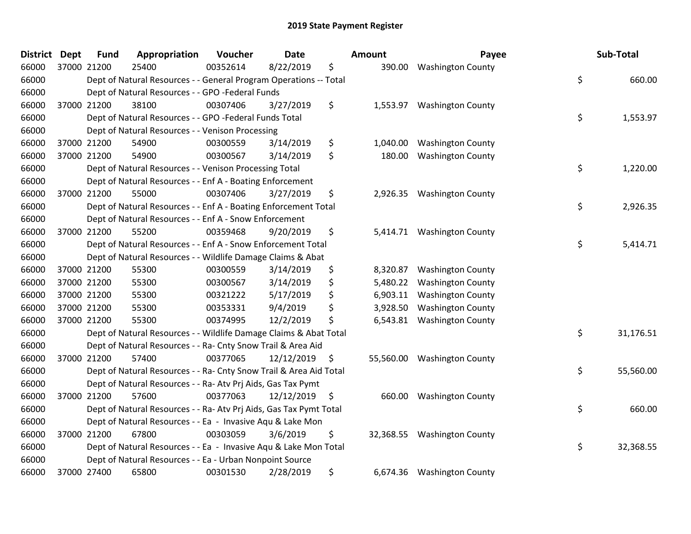| <b>District</b> | <b>Dept</b> | <b>Fund</b> | Appropriation                                                      | Voucher  | Date       | <b>Amount</b>   | Payee                       | Sub-Total       |
|-----------------|-------------|-------------|--------------------------------------------------------------------|----------|------------|-----------------|-----------------------------|-----------------|
| 66000           | 37000 21200 |             | 25400                                                              | 00352614 | 8/22/2019  | \$              | 390.00 Washington County    |                 |
| 66000           |             |             | Dept of Natural Resources - - General Program Operations -- Total  |          |            |                 |                             | \$<br>660.00    |
| 66000           |             |             | Dept of Natural Resources - - GPO -Federal Funds                   |          |            |                 |                             |                 |
| 66000           | 37000 21200 |             | 38100                                                              | 00307406 | 3/27/2019  | \$<br>1,553.97  | <b>Washington County</b>    |                 |
| 66000           |             |             | Dept of Natural Resources - - GPO -Federal Funds Total             |          |            |                 |                             | \$<br>1,553.97  |
| 66000           |             |             | Dept of Natural Resources - - Venison Processing                   |          |            |                 |                             |                 |
| 66000           | 37000 21200 |             | 54900                                                              | 00300559 | 3/14/2019  | \$<br>1,040.00  | <b>Washington County</b>    |                 |
| 66000           | 37000 21200 |             | 54900                                                              | 00300567 | 3/14/2019  | \$<br>180.00    | <b>Washington County</b>    |                 |
| 66000           |             |             | Dept of Natural Resources - - Venison Processing Total             |          |            |                 |                             | \$<br>1,220.00  |
| 66000           |             |             | Dept of Natural Resources - - Enf A - Boating Enforcement          |          |            |                 |                             |                 |
| 66000           | 37000 21200 |             | 55000                                                              | 00307406 | 3/27/2019  | \$<br>2,926.35  | <b>Washington County</b>    |                 |
| 66000           |             |             | Dept of Natural Resources - - Enf A - Boating Enforcement Total    |          |            |                 |                             | \$<br>2,926.35  |
| 66000           |             |             | Dept of Natural Resources - - Enf A - Snow Enforcement             |          |            |                 |                             |                 |
| 66000           | 37000 21200 |             | 55200                                                              | 00359468 | 9/20/2019  | \$<br>5,414.71  | <b>Washington County</b>    |                 |
| 66000           |             |             | Dept of Natural Resources - - Enf A - Snow Enforcement Total       |          |            |                 |                             | \$<br>5,414.71  |
| 66000           |             |             | Dept of Natural Resources - - Wildlife Damage Claims & Abat        |          |            |                 |                             |                 |
| 66000           | 37000 21200 |             | 55300                                                              | 00300559 | 3/14/2019  | \$<br>8,320.87  | <b>Washington County</b>    |                 |
| 66000           | 37000 21200 |             | 55300                                                              | 00300567 | 3/14/2019  | \$<br>5,480.22  | <b>Washington County</b>    |                 |
| 66000           | 37000 21200 |             | 55300                                                              | 00321222 | 5/17/2019  | \$<br>6,903.11  | <b>Washington County</b>    |                 |
| 66000           | 37000 21200 |             | 55300                                                              | 00353331 | 9/4/2019   | \$<br>3,928.50  | <b>Washington County</b>    |                 |
| 66000           | 37000 21200 |             | 55300                                                              | 00374995 | 12/2/2019  | \$<br>6,543.81  | <b>Washington County</b>    |                 |
| 66000           |             |             | Dept of Natural Resources - - Wildlife Damage Claims & Abat Total  |          |            |                 |                             | \$<br>31,176.51 |
| 66000           |             |             | Dept of Natural Resources - - Ra- Cnty Snow Trail & Area Aid       |          |            |                 |                             |                 |
| 66000           | 37000 21200 |             | 57400                                                              | 00377065 | 12/12/2019 | \$<br>55,560.00 | <b>Washington County</b>    |                 |
| 66000           |             |             | Dept of Natural Resources - - Ra- Cnty Snow Trail & Area Aid Total |          |            |                 |                             | \$<br>55,560.00 |
| 66000           |             |             | Dept of Natural Resources - - Ra- Atv Prj Aids, Gas Tax Pymt       |          |            |                 |                             |                 |
| 66000           |             | 37000 21200 | 57600                                                              | 00377063 | 12/12/2019 | \$<br>660.00    | <b>Washington County</b>    |                 |
| 66000           |             |             | Dept of Natural Resources - - Ra- Atv Prj Aids, Gas Tax Pymt Total |          |            |                 |                             | \$<br>660.00    |
| 66000           |             |             | Dept of Natural Resources - - Ea - Invasive Aqu & Lake Mon         |          |            |                 |                             |                 |
| 66000           | 37000 21200 |             | 67800                                                              | 00303059 | 3/6/2019   | \$              | 32,368.55 Washington County |                 |
| 66000           |             |             | Dept of Natural Resources - - Ea - Invasive Aqu & Lake Mon Total   |          |            |                 |                             | \$<br>32,368.55 |
| 66000           |             |             | Dept of Natural Resources - - Ea - Urban Nonpoint Source           |          |            |                 |                             |                 |
| 66000           |             | 37000 27400 | 65800                                                              | 00301530 | 2/28/2019  | \$              | 6,674.36 Washington County  |                 |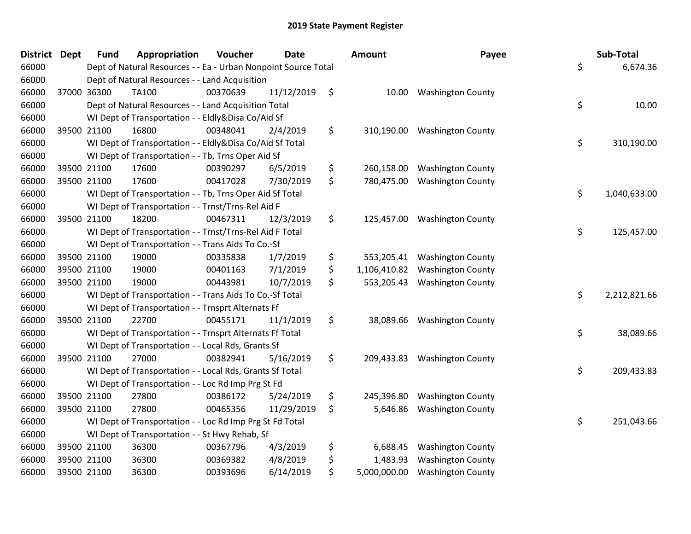| <b>District</b> | Dept        | <b>Fund</b> | Appropriation                                                  | Voucher  | <b>Date</b> | <b>Amount</b>      | Payee                        | Sub-Total          |
|-----------------|-------------|-------------|----------------------------------------------------------------|----------|-------------|--------------------|------------------------------|--------------------|
| 66000           |             |             | Dept of Natural Resources - - Ea - Urban Nonpoint Source Total |          |             |                    |                              | \$<br>6,674.36     |
| 66000           |             |             | Dept of Natural Resources - - Land Acquisition                 |          |             |                    |                              |                    |
| 66000           | 37000       | 36300       | <b>TA100</b>                                                   | 00370639 | 11/12/2019  | \$                 | 10.00 Washington County      |                    |
| 66000           |             |             | Dept of Natural Resources - - Land Acquisition Total           |          |             |                    |                              | \$<br>10.00        |
| 66000           |             |             | WI Dept of Transportation - - Eldly&Disa Co/Aid Sf             |          |             |                    |                              |                    |
| 66000           | 39500 21100 |             | 16800                                                          | 00348041 | 2/4/2019    | \$<br>310,190.00   | <b>Washington County</b>     |                    |
| 66000           |             |             | WI Dept of Transportation - - Eldly&Disa Co/Aid Sf Total       |          |             |                    |                              | \$<br>310,190.00   |
| 66000           |             |             | WI Dept of Transportation - - Tb, Trns Oper Aid Sf             |          |             |                    |                              |                    |
| 66000           | 39500 21100 |             | 17600                                                          | 00390297 | 6/5/2019    | \$<br>260,158.00   | <b>Washington County</b>     |                    |
| 66000           | 39500 21100 |             | 17600                                                          | 00417028 | 7/30/2019   | \$<br>780,475.00   | <b>Washington County</b>     |                    |
| 66000           |             |             | WI Dept of Transportation - - Tb, Trns Oper Aid Sf Total       |          |             |                    |                              | \$<br>1,040,633.00 |
| 66000           |             |             | WI Dept of Transportation - - Trnst/Trns-Rel Aid F             |          |             |                    |                              |                    |
| 66000           | 39500 21100 |             | 18200                                                          | 00467311 | 12/3/2019   | \$                 | 125,457.00 Washington County |                    |
| 66000           |             |             | WI Dept of Transportation - - Trnst/Trns-Rel Aid F Total       |          |             |                    |                              | \$<br>125,457.00   |
| 66000           |             |             | WI Dept of Transportation - - Trans Aids To Co.-Sf             |          |             |                    |                              |                    |
| 66000           | 39500 21100 |             | 19000                                                          | 00335838 | 1/7/2019    | \$<br>553,205.41   | <b>Washington County</b>     |                    |
| 66000           | 39500 21100 |             | 19000                                                          | 00401163 | 7/1/2019    | \$<br>1,106,410.82 | <b>Washington County</b>     |                    |
| 66000           | 39500 21100 |             | 19000                                                          | 00443981 | 10/7/2019   | \$<br>553,205.43   | <b>Washington County</b>     |                    |
| 66000           |             |             | WI Dept of Transportation - - Trans Aids To Co.-Sf Total       |          |             |                    |                              | \$<br>2,212,821.66 |
| 66000           |             |             | WI Dept of Transportation - - Trnsprt Alternats Ff             |          |             |                    |                              |                    |
| 66000           | 39500 21100 |             | 22700                                                          | 00455171 | 11/1/2019   | \$<br>38,089.66    | <b>Washington County</b>     |                    |
| 66000           |             |             | WI Dept of Transportation - - Trnsprt Alternats Ff Total       |          |             |                    |                              | \$<br>38,089.66    |
| 66000           |             |             | WI Dept of Transportation - - Local Rds, Grants Sf             |          |             |                    |                              |                    |
| 66000           | 39500 21100 |             | 27000                                                          | 00382941 | 5/16/2019   | \$                 | 209,433.83 Washington County |                    |
| 66000           |             |             | WI Dept of Transportation - - Local Rds, Grants Sf Total       |          |             |                    |                              | \$<br>209,433.83   |
| 66000           |             |             | WI Dept of Transportation - - Loc Rd Imp Prg St Fd             |          |             |                    |                              |                    |
| 66000           | 39500 21100 |             | 27800                                                          | 00386172 | 5/24/2019   | \$<br>245,396.80   | <b>Washington County</b>     |                    |
| 66000           | 39500 21100 |             | 27800                                                          | 00465356 | 11/29/2019  | \$<br>5,646.86     | <b>Washington County</b>     |                    |
| 66000           |             |             | WI Dept of Transportation - - Loc Rd Imp Prg St Fd Total       |          |             |                    |                              | \$<br>251,043.66   |
| 66000           |             |             | WI Dept of Transportation - - St Hwy Rehab, Sf                 |          |             |                    |                              |                    |
| 66000           | 39500 21100 |             | 36300                                                          | 00367796 | 4/3/2019    | \$<br>6,688.45     | <b>Washington County</b>     |                    |
| 66000           | 39500 21100 |             | 36300                                                          | 00369382 | 4/8/2019    | \$<br>1,483.93     | <b>Washington County</b>     |                    |
| 66000           | 39500 21100 |             | 36300                                                          | 00393696 | 6/14/2019   | \$<br>5,000,000.00 | <b>Washington County</b>     |                    |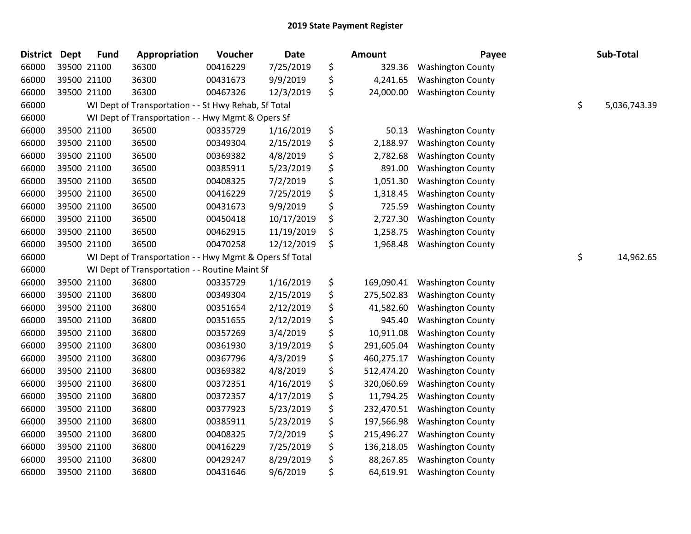| <b>District</b> | <b>Dept</b> | <b>Fund</b> | Appropriation                                           | Voucher  | Date       | <b>Amount</b>    | Payee                    | Sub-Total          |
|-----------------|-------------|-------------|---------------------------------------------------------|----------|------------|------------------|--------------------------|--------------------|
| 66000           |             | 39500 21100 | 36300                                                   | 00416229 | 7/25/2019  | \$<br>329.36     | <b>Washington County</b> |                    |
| 66000           |             | 39500 21100 | 36300                                                   | 00431673 | 9/9/2019   | \$<br>4,241.65   | <b>Washington County</b> |                    |
| 66000           |             | 39500 21100 | 36300                                                   | 00467326 | 12/3/2019  | \$<br>24,000.00  | <b>Washington County</b> |                    |
| 66000           |             |             | WI Dept of Transportation - - St Hwy Rehab, Sf Total    |          |            |                  |                          | \$<br>5,036,743.39 |
| 66000           |             |             | WI Dept of Transportation - - Hwy Mgmt & Opers Sf       |          |            |                  |                          |                    |
| 66000           |             | 39500 21100 | 36500                                                   | 00335729 | 1/16/2019  | \$<br>50.13      | <b>Washington County</b> |                    |
| 66000           |             | 39500 21100 | 36500                                                   | 00349304 | 2/15/2019  | \$<br>2,188.97   | <b>Washington County</b> |                    |
| 66000           |             | 39500 21100 | 36500                                                   | 00369382 | 4/8/2019   | \$<br>2,782.68   | <b>Washington County</b> |                    |
| 66000           |             | 39500 21100 | 36500                                                   | 00385911 | 5/23/2019  | \$<br>891.00     | <b>Washington County</b> |                    |
| 66000           |             | 39500 21100 | 36500                                                   | 00408325 | 7/2/2019   | \$<br>1,051.30   | <b>Washington County</b> |                    |
| 66000           |             | 39500 21100 | 36500                                                   | 00416229 | 7/25/2019  | \$<br>1,318.45   | <b>Washington County</b> |                    |
| 66000           |             | 39500 21100 | 36500                                                   | 00431673 | 9/9/2019   | \$<br>725.59     | <b>Washington County</b> |                    |
| 66000           |             | 39500 21100 | 36500                                                   | 00450418 | 10/17/2019 | \$<br>2,727.30   | <b>Washington County</b> |                    |
| 66000           |             | 39500 21100 | 36500                                                   | 00462915 | 11/19/2019 | \$<br>1,258.75   | <b>Washington County</b> |                    |
| 66000           |             | 39500 21100 | 36500                                                   | 00470258 | 12/12/2019 | \$<br>1,968.48   | <b>Washington County</b> |                    |
| 66000           |             |             | WI Dept of Transportation - - Hwy Mgmt & Opers Sf Total |          |            |                  |                          | \$<br>14,962.65    |
| 66000           |             |             | WI Dept of Transportation - - Routine Maint Sf          |          |            |                  |                          |                    |
| 66000           |             | 39500 21100 | 36800                                                   | 00335729 | 1/16/2019  | \$<br>169,090.41 | <b>Washington County</b> |                    |
| 66000           | 39500 21100 |             | 36800                                                   | 00349304 | 2/15/2019  | \$<br>275,502.83 | <b>Washington County</b> |                    |
| 66000           |             | 39500 21100 | 36800                                                   | 00351654 | 2/12/2019  | \$<br>41,582.60  | <b>Washington County</b> |                    |
| 66000           |             | 39500 21100 | 36800                                                   | 00351655 | 2/12/2019  | \$<br>945.40     | <b>Washington County</b> |                    |
| 66000           |             | 39500 21100 | 36800                                                   | 00357269 | 3/4/2019   | \$<br>10,911.08  | <b>Washington County</b> |                    |
| 66000           |             | 39500 21100 | 36800                                                   | 00361930 | 3/19/2019  | \$<br>291,605.04 | <b>Washington County</b> |                    |
| 66000           |             | 39500 21100 | 36800                                                   | 00367796 | 4/3/2019   | \$<br>460,275.17 | <b>Washington County</b> |                    |
| 66000           |             | 39500 21100 | 36800                                                   | 00369382 | 4/8/2019   | \$<br>512,474.20 | <b>Washington County</b> |                    |
| 66000           |             | 39500 21100 | 36800                                                   | 00372351 | 4/16/2019  | \$<br>320,060.69 | <b>Washington County</b> |                    |
| 66000           |             | 39500 21100 | 36800                                                   | 00372357 | 4/17/2019  | \$<br>11,794.25  | <b>Washington County</b> |                    |
| 66000           |             | 39500 21100 | 36800                                                   | 00377923 | 5/23/2019  | \$<br>232,470.51 | <b>Washington County</b> |                    |
| 66000           | 39500 21100 |             | 36800                                                   | 00385911 | 5/23/2019  | \$<br>197,566.98 | <b>Washington County</b> |                    |
| 66000           |             | 39500 21100 | 36800                                                   | 00408325 | 7/2/2019   | \$<br>215,496.27 | <b>Washington County</b> |                    |
| 66000           |             | 39500 21100 | 36800                                                   | 00416229 | 7/25/2019  | \$<br>136,218.05 | <b>Washington County</b> |                    |
| 66000           |             | 39500 21100 | 36800                                                   | 00429247 | 8/29/2019  | \$<br>88,267.85  | <b>Washington County</b> |                    |
| 66000           |             | 39500 21100 | 36800                                                   | 00431646 | 9/6/2019   | \$<br>64,619.91  | <b>Washington County</b> |                    |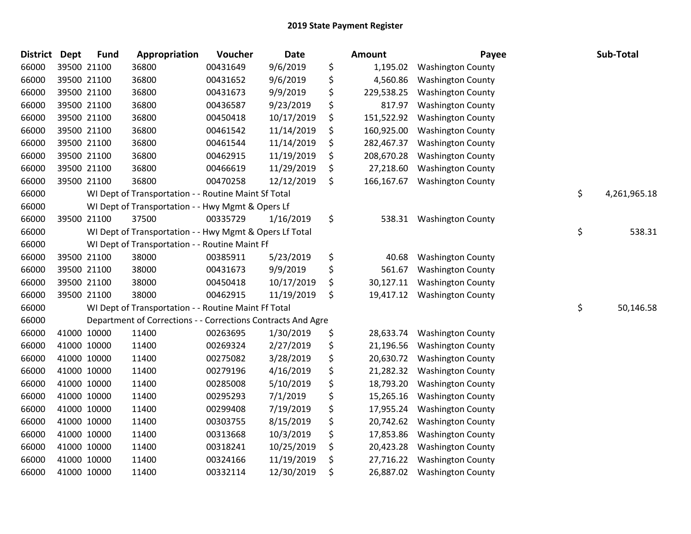| <b>District</b> | <b>Dept</b> | <b>Fund</b> | Appropriation                                                | Voucher  | <b>Date</b> | Amount           | Payee                    | Sub-Total          |
|-----------------|-------------|-------------|--------------------------------------------------------------|----------|-------------|------------------|--------------------------|--------------------|
| 66000           | 39500 21100 |             | 36800                                                        | 00431649 | 9/6/2019    | \$<br>1,195.02   | <b>Washington County</b> |                    |
| 66000           | 39500 21100 |             | 36800                                                        | 00431652 | 9/6/2019    | \$<br>4,560.86   | <b>Washington County</b> |                    |
| 66000           | 39500 21100 |             | 36800                                                        | 00431673 | 9/9/2019    | \$<br>229,538.25 | <b>Washington County</b> |                    |
| 66000           | 39500 21100 |             | 36800                                                        | 00436587 | 9/23/2019   | \$<br>817.97     | <b>Washington County</b> |                    |
| 66000           | 39500 21100 |             | 36800                                                        | 00450418 | 10/17/2019  | \$<br>151,522.92 | <b>Washington County</b> |                    |
| 66000           | 39500 21100 |             | 36800                                                        | 00461542 | 11/14/2019  | \$<br>160,925.00 | <b>Washington County</b> |                    |
| 66000           | 39500 21100 |             | 36800                                                        | 00461544 | 11/14/2019  | \$<br>282,467.37 | <b>Washington County</b> |                    |
| 66000           | 39500 21100 |             | 36800                                                        | 00462915 | 11/19/2019  | \$<br>208,670.28 | <b>Washington County</b> |                    |
| 66000           | 39500 21100 |             | 36800                                                        | 00466619 | 11/29/2019  | \$<br>27,218.60  | <b>Washington County</b> |                    |
| 66000           | 39500 21100 |             | 36800                                                        | 00470258 | 12/12/2019  | \$<br>166,167.67 | <b>Washington County</b> |                    |
| 66000           |             |             | WI Dept of Transportation - - Routine Maint Sf Total         |          |             |                  |                          | \$<br>4,261,965.18 |
| 66000           |             |             | WI Dept of Transportation - - Hwy Mgmt & Opers Lf            |          |             |                  |                          |                    |
| 66000           | 39500 21100 |             | 37500                                                        | 00335729 | 1/16/2019   | \$<br>538.31     | <b>Washington County</b> |                    |
| 66000           |             |             | WI Dept of Transportation - - Hwy Mgmt & Opers Lf Total      |          |             |                  |                          | \$<br>538.31       |
| 66000           |             |             | WI Dept of Transportation - - Routine Maint Ff               |          |             |                  |                          |                    |
| 66000           | 39500 21100 |             | 38000                                                        | 00385911 | 5/23/2019   | \$<br>40.68      | <b>Washington County</b> |                    |
| 66000           | 39500 21100 |             | 38000                                                        | 00431673 | 9/9/2019    | \$<br>561.67     | <b>Washington County</b> |                    |
| 66000           | 39500 21100 |             | 38000                                                        | 00450418 | 10/17/2019  | \$<br>30,127.11  | <b>Washington County</b> |                    |
| 66000           | 39500 21100 |             | 38000                                                        | 00462915 | 11/19/2019  | \$<br>19,417.12  | <b>Washington County</b> |                    |
| 66000           |             |             | WI Dept of Transportation - - Routine Maint Ff Total         |          |             |                  |                          | \$<br>50,146.58    |
| 66000           |             |             | Department of Corrections - - Corrections Contracts And Agre |          |             |                  |                          |                    |
| 66000           | 41000 10000 |             | 11400                                                        | 00263695 | 1/30/2019   | \$<br>28,633.74  | <b>Washington County</b> |                    |
| 66000           | 41000 10000 |             | 11400                                                        | 00269324 | 2/27/2019   | \$<br>21,196.56  | <b>Washington County</b> |                    |
| 66000           | 41000 10000 |             | 11400                                                        | 00275082 | 3/28/2019   | \$<br>20,630.72  | <b>Washington County</b> |                    |
| 66000           | 41000 10000 |             | 11400                                                        | 00279196 | 4/16/2019   | \$<br>21,282.32  | <b>Washington County</b> |                    |
| 66000           | 41000 10000 |             | 11400                                                        | 00285008 | 5/10/2019   | \$<br>18,793.20  | <b>Washington County</b> |                    |
| 66000           | 41000 10000 |             | 11400                                                        | 00295293 | 7/1/2019    | \$<br>15,265.16  | <b>Washington County</b> |                    |
| 66000           | 41000 10000 |             | 11400                                                        | 00299408 | 7/19/2019   | \$<br>17,955.24  | <b>Washington County</b> |                    |
| 66000           | 41000 10000 |             | 11400                                                        | 00303755 | 8/15/2019   | \$<br>20,742.62  | <b>Washington County</b> |                    |
| 66000           | 41000 10000 |             | 11400                                                        | 00313668 | 10/3/2019   | \$<br>17,853.86  | <b>Washington County</b> |                    |
| 66000           | 41000 10000 |             | 11400                                                        | 00318241 | 10/25/2019  | \$<br>20,423.28  | <b>Washington County</b> |                    |
| 66000           | 41000 10000 |             | 11400                                                        | 00324166 | 11/19/2019  | \$<br>27,716.22  | <b>Washington County</b> |                    |
| 66000           | 41000 10000 |             | 11400                                                        | 00332114 | 12/30/2019  | \$<br>26,887.02  | <b>Washington County</b> |                    |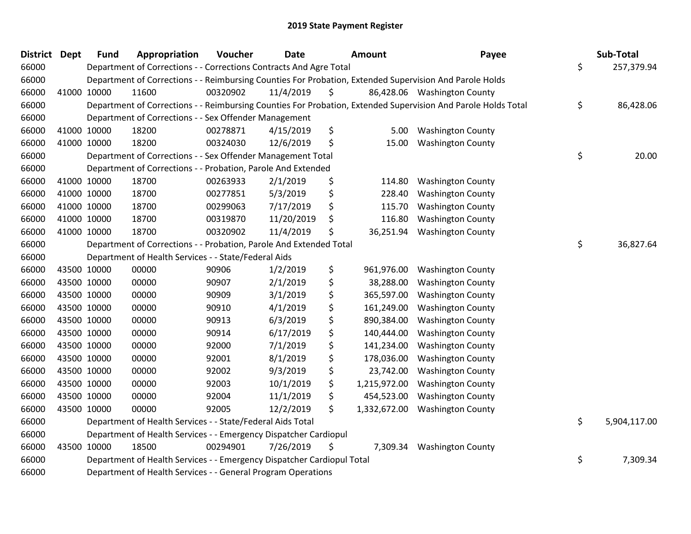| <b>District</b> | <b>Dept</b> | <b>Fund</b> | Appropriation                                                          | Voucher  | <b>Date</b> | <b>Amount</b>      | Payee                                                                                                         | Sub-Total          |
|-----------------|-------------|-------------|------------------------------------------------------------------------|----------|-------------|--------------------|---------------------------------------------------------------------------------------------------------------|--------------------|
| 66000           |             |             | Department of Corrections - - Corrections Contracts And Agre Total     |          |             |                    |                                                                                                               | \$<br>257,379.94   |
| 66000           |             |             |                                                                        |          |             |                    | Department of Corrections - - Reimbursing Counties For Probation, Extended Supervision And Parole Holds       |                    |
| 66000           | 41000 10000 |             | 11600                                                                  | 00320902 | 11/4/2019   | \$                 | 86,428.06 Washington County                                                                                   |                    |
| 66000           |             |             |                                                                        |          |             |                    | Department of Corrections - - Reimbursing Counties For Probation, Extended Supervision And Parole Holds Total | \$<br>86,428.06    |
| 66000           |             |             | Department of Corrections - - Sex Offender Management                  |          |             |                    |                                                                                                               |                    |
| 66000           | 41000 10000 |             | 18200                                                                  | 00278871 | 4/15/2019   | \$<br>5.00         | <b>Washington County</b>                                                                                      |                    |
| 66000           | 41000 10000 |             | 18200                                                                  | 00324030 | 12/6/2019   | \$<br>15.00        | <b>Washington County</b>                                                                                      |                    |
| 66000           |             |             | Department of Corrections - - Sex Offender Management Total            |          |             |                    |                                                                                                               | \$<br>20.00        |
| 66000           |             |             | Department of Corrections - - Probation, Parole And Extended           |          |             |                    |                                                                                                               |                    |
| 66000           | 41000 10000 |             | 18700                                                                  | 00263933 | 2/1/2019    | \$<br>114.80       | <b>Washington County</b>                                                                                      |                    |
| 66000           | 41000 10000 |             | 18700                                                                  | 00277851 | 5/3/2019    | \$<br>228.40       | <b>Washington County</b>                                                                                      |                    |
| 66000           | 41000 10000 |             | 18700                                                                  | 00299063 | 7/17/2019   | \$<br>115.70       | <b>Washington County</b>                                                                                      |                    |
| 66000           | 41000 10000 |             | 18700                                                                  | 00319870 | 11/20/2019  | \$<br>116.80       | <b>Washington County</b>                                                                                      |                    |
| 66000           | 41000 10000 |             | 18700                                                                  | 00320902 | 11/4/2019   | \$<br>36,251.94    | <b>Washington County</b>                                                                                      |                    |
| 66000           |             |             | Department of Corrections - - Probation, Parole And Extended Total     |          |             |                    |                                                                                                               | \$<br>36,827.64    |
| 66000           |             |             | Department of Health Services - - State/Federal Aids                   |          |             |                    |                                                                                                               |                    |
| 66000           | 43500 10000 |             | 00000                                                                  | 90906    | 1/2/2019    | \$<br>961,976.00   | <b>Washington County</b>                                                                                      |                    |
| 66000           | 43500 10000 |             | 00000                                                                  | 90907    | 2/1/2019    | \$<br>38,288.00    | <b>Washington County</b>                                                                                      |                    |
| 66000           | 43500 10000 |             | 00000                                                                  | 90909    | 3/1/2019    | \$<br>365,597.00   | <b>Washington County</b>                                                                                      |                    |
| 66000           | 43500 10000 |             | 00000                                                                  | 90910    | 4/1/2019    | \$<br>161,249.00   | <b>Washington County</b>                                                                                      |                    |
| 66000           | 43500 10000 |             | 00000                                                                  | 90913    | 6/3/2019    | \$<br>890,384.00   | <b>Washington County</b>                                                                                      |                    |
| 66000           | 43500 10000 |             | 00000                                                                  | 90914    | 6/17/2019   | \$<br>140,444.00   | <b>Washington County</b>                                                                                      |                    |
| 66000           | 43500 10000 |             | 00000                                                                  | 92000    | 7/1/2019    | \$<br>141,234.00   | <b>Washington County</b>                                                                                      |                    |
| 66000           | 43500 10000 |             | 00000                                                                  | 92001    | 8/1/2019    | \$<br>178,036.00   | <b>Washington County</b>                                                                                      |                    |
| 66000           | 43500 10000 |             | 00000                                                                  | 92002    | 9/3/2019    | \$<br>23,742.00    | <b>Washington County</b>                                                                                      |                    |
| 66000           | 43500 10000 |             | 00000                                                                  | 92003    | 10/1/2019   | \$<br>1,215,972.00 | <b>Washington County</b>                                                                                      |                    |
| 66000           | 43500 10000 |             | 00000                                                                  | 92004    | 11/1/2019   | \$<br>454,523.00   | <b>Washington County</b>                                                                                      |                    |
| 66000           | 43500 10000 |             | 00000                                                                  | 92005    | 12/2/2019   | \$<br>1,332,672.00 | <b>Washington County</b>                                                                                      |                    |
| 66000           |             |             | Department of Health Services - - State/Federal Aids Total             |          |             |                    |                                                                                                               | \$<br>5,904,117.00 |
| 66000           |             |             | Department of Health Services - - Emergency Dispatcher Cardiopul       |          |             |                    |                                                                                                               |                    |
| 66000           | 43500 10000 |             | 18500                                                                  | 00294901 | 7/26/2019   | \$<br>7,309.34     | <b>Washington County</b>                                                                                      |                    |
| 66000           |             |             | Department of Health Services - - Emergency Dispatcher Cardiopul Total |          |             |                    |                                                                                                               | \$<br>7,309.34     |
| 66000           |             |             | Department of Health Services - - General Program Operations           |          |             |                    |                                                                                                               |                    |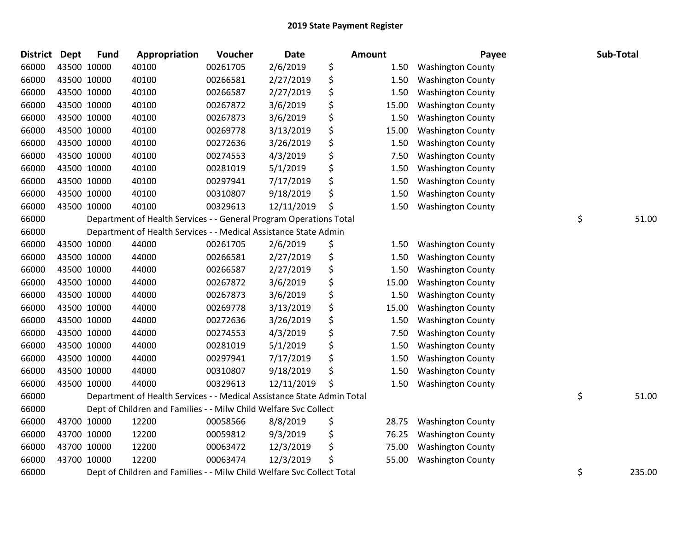| <b>District</b> | Dept | <b>Fund</b> | Appropriation                                                          | Voucher  | Date       | Amount      | Payee                    | Sub-Total    |
|-----------------|------|-------------|------------------------------------------------------------------------|----------|------------|-------------|--------------------------|--------------|
| 66000           |      | 43500 10000 | 40100                                                                  | 00261705 | 2/6/2019   | \$<br>1.50  | <b>Washington County</b> |              |
| 66000           |      | 43500 10000 | 40100                                                                  | 00266581 | 2/27/2019  | \$<br>1.50  | <b>Washington County</b> |              |
| 66000           |      | 43500 10000 | 40100                                                                  | 00266587 | 2/27/2019  | \$<br>1.50  | <b>Washington County</b> |              |
| 66000           |      | 43500 10000 | 40100                                                                  | 00267872 | 3/6/2019   | \$<br>15.00 | <b>Washington County</b> |              |
| 66000           |      | 43500 10000 | 40100                                                                  | 00267873 | 3/6/2019   | \$<br>1.50  | <b>Washington County</b> |              |
| 66000           |      | 43500 10000 | 40100                                                                  | 00269778 | 3/13/2019  | \$<br>15.00 | <b>Washington County</b> |              |
| 66000           |      | 43500 10000 | 40100                                                                  | 00272636 | 3/26/2019  | \$<br>1.50  | <b>Washington County</b> |              |
| 66000           |      | 43500 10000 | 40100                                                                  | 00274553 | 4/3/2019   | \$<br>7.50  | <b>Washington County</b> |              |
| 66000           |      | 43500 10000 | 40100                                                                  | 00281019 | 5/1/2019   | \$<br>1.50  | <b>Washington County</b> |              |
| 66000           |      | 43500 10000 | 40100                                                                  | 00297941 | 7/17/2019  | \$<br>1.50  | <b>Washington County</b> |              |
| 66000           |      | 43500 10000 | 40100                                                                  | 00310807 | 9/18/2019  | \$<br>1.50  | <b>Washington County</b> |              |
| 66000           |      | 43500 10000 | 40100                                                                  | 00329613 | 12/11/2019 | \$<br>1.50  | <b>Washington County</b> |              |
| 66000           |      |             | Department of Health Services - - General Program Operations Total     |          |            |             |                          | \$<br>51.00  |
| 66000           |      |             | Department of Health Services - - Medical Assistance State Admin       |          |            |             |                          |              |
| 66000           |      | 43500 10000 | 44000                                                                  | 00261705 | 2/6/2019   | \$<br>1.50  | <b>Washington County</b> |              |
| 66000           |      | 43500 10000 | 44000                                                                  | 00266581 | 2/27/2019  | \$<br>1.50  | <b>Washington County</b> |              |
| 66000           |      | 43500 10000 | 44000                                                                  | 00266587 | 2/27/2019  | \$<br>1.50  | <b>Washington County</b> |              |
| 66000           |      | 43500 10000 | 44000                                                                  | 00267872 | 3/6/2019   | \$<br>15.00 | <b>Washington County</b> |              |
| 66000           |      | 43500 10000 | 44000                                                                  | 00267873 | 3/6/2019   | \$<br>1.50  | <b>Washington County</b> |              |
| 66000           |      | 43500 10000 | 44000                                                                  | 00269778 | 3/13/2019  | \$<br>15.00 | <b>Washington County</b> |              |
| 66000           |      | 43500 10000 | 44000                                                                  | 00272636 | 3/26/2019  | \$<br>1.50  | <b>Washington County</b> |              |
| 66000           |      | 43500 10000 | 44000                                                                  | 00274553 | 4/3/2019   | \$<br>7.50  | <b>Washington County</b> |              |
| 66000           |      | 43500 10000 | 44000                                                                  | 00281019 | 5/1/2019   | \$<br>1.50  | <b>Washington County</b> |              |
| 66000           |      | 43500 10000 | 44000                                                                  | 00297941 | 7/17/2019  | \$<br>1.50  | <b>Washington County</b> |              |
| 66000           |      | 43500 10000 | 44000                                                                  | 00310807 | 9/18/2019  | \$<br>1.50  | <b>Washington County</b> |              |
| 66000           |      | 43500 10000 | 44000                                                                  | 00329613 | 12/11/2019 | \$<br>1.50  | <b>Washington County</b> |              |
| 66000           |      |             | Department of Health Services - - Medical Assistance State Admin Total |          |            |             |                          | \$<br>51.00  |
| 66000           |      |             | Dept of Children and Families - - Milw Child Welfare Svc Collect       |          |            |             |                          |              |
| 66000           |      | 43700 10000 | 12200                                                                  | 00058566 | 8/8/2019   | \$<br>28.75 | <b>Washington County</b> |              |
| 66000           |      | 43700 10000 | 12200                                                                  | 00059812 | 9/3/2019   | \$<br>76.25 | <b>Washington County</b> |              |
| 66000           |      | 43700 10000 | 12200                                                                  | 00063472 | 12/3/2019  | \$<br>75.00 | <b>Washington County</b> |              |
| 66000           |      | 43700 10000 | 12200                                                                  | 00063474 | 12/3/2019  | \$<br>55.00 | <b>Washington County</b> |              |
| 66000           |      |             | Dept of Children and Families - - Milw Child Welfare Svc Collect Total |          |            |             |                          | \$<br>235.00 |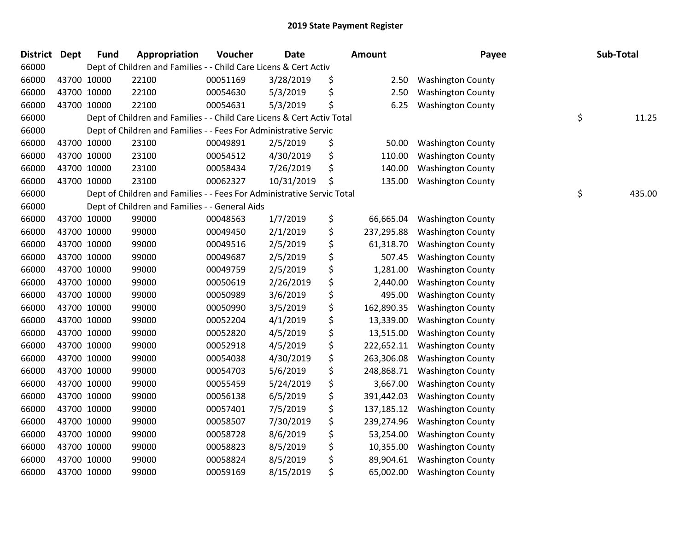| <b>District</b> | Dept | <b>Fund</b> | Appropriation                                                          | Voucher  | <b>Date</b> | Amount           | Payee                    | Sub-Total    |
|-----------------|------|-------------|------------------------------------------------------------------------|----------|-------------|------------------|--------------------------|--------------|
| 66000           |      |             | Dept of Children and Families - - Child Care Licens & Cert Activ       |          |             |                  |                          |              |
| 66000           |      | 43700 10000 | 22100                                                                  | 00051169 | 3/28/2019   | \$<br>2.50       | <b>Washington County</b> |              |
| 66000           |      | 43700 10000 | 22100                                                                  | 00054630 | 5/3/2019    | \$<br>2.50       | <b>Washington County</b> |              |
| 66000           |      | 43700 10000 | 22100                                                                  | 00054631 | 5/3/2019    | \$<br>6.25       | <b>Washington County</b> |              |
| 66000           |      |             | Dept of Children and Families - - Child Care Licens & Cert Activ Total |          |             |                  |                          | \$<br>11.25  |
| 66000           |      |             | Dept of Children and Families - - Fees For Administrative Servic       |          |             |                  |                          |              |
| 66000           |      | 43700 10000 | 23100                                                                  | 00049891 | 2/5/2019    | \$<br>50.00      | <b>Washington County</b> |              |
| 66000           |      | 43700 10000 | 23100                                                                  | 00054512 | 4/30/2019   | \$<br>110.00     | <b>Washington County</b> |              |
| 66000           |      | 43700 10000 | 23100                                                                  | 00058434 | 7/26/2019   | \$<br>140.00     | <b>Washington County</b> |              |
| 66000           |      | 43700 10000 | 23100                                                                  | 00062327 | 10/31/2019  | \$<br>135.00     | <b>Washington County</b> |              |
| 66000           |      |             | Dept of Children and Families - - Fees For Administrative Servic Total |          |             |                  |                          | \$<br>435.00 |
| 66000           |      |             | Dept of Children and Families - - General Aids                         |          |             |                  |                          |              |
| 66000           |      | 43700 10000 | 99000                                                                  | 00048563 | 1/7/2019    | \$<br>66,665.04  | <b>Washington County</b> |              |
| 66000           |      | 43700 10000 | 99000                                                                  | 00049450 | 2/1/2019    | \$<br>237,295.88 | <b>Washington County</b> |              |
| 66000           |      | 43700 10000 | 99000                                                                  | 00049516 | 2/5/2019    | \$<br>61,318.70  | <b>Washington County</b> |              |
| 66000           |      | 43700 10000 | 99000                                                                  | 00049687 | 2/5/2019    | \$<br>507.45     | <b>Washington County</b> |              |
| 66000           |      | 43700 10000 | 99000                                                                  | 00049759 | 2/5/2019    | \$<br>1,281.00   | <b>Washington County</b> |              |
| 66000           |      | 43700 10000 | 99000                                                                  | 00050619 | 2/26/2019   | \$<br>2,440.00   | <b>Washington County</b> |              |
| 66000           |      | 43700 10000 | 99000                                                                  | 00050989 | 3/6/2019    | \$<br>495.00     | <b>Washington County</b> |              |
| 66000           |      | 43700 10000 | 99000                                                                  | 00050990 | 3/5/2019    | \$<br>162,890.35 | <b>Washington County</b> |              |
| 66000           |      | 43700 10000 | 99000                                                                  | 00052204 | 4/1/2019    | \$<br>13,339.00  | <b>Washington County</b> |              |
| 66000           |      | 43700 10000 | 99000                                                                  | 00052820 | 4/5/2019    | \$<br>13,515.00  | <b>Washington County</b> |              |
| 66000           |      | 43700 10000 | 99000                                                                  | 00052918 | 4/5/2019    | \$<br>222,652.11 | <b>Washington County</b> |              |
| 66000           |      | 43700 10000 | 99000                                                                  | 00054038 | 4/30/2019   | \$<br>263,306.08 | <b>Washington County</b> |              |
| 66000           |      | 43700 10000 | 99000                                                                  | 00054703 | 5/6/2019    | \$<br>248,868.71 | <b>Washington County</b> |              |
| 66000           |      | 43700 10000 | 99000                                                                  | 00055459 | 5/24/2019   | \$<br>3,667.00   | <b>Washington County</b> |              |
| 66000           |      | 43700 10000 | 99000                                                                  | 00056138 | 6/5/2019    | \$<br>391,442.03 | <b>Washington County</b> |              |
| 66000           |      | 43700 10000 | 99000                                                                  | 00057401 | 7/5/2019    | \$<br>137,185.12 | <b>Washington County</b> |              |
| 66000           |      | 43700 10000 | 99000                                                                  | 00058507 | 7/30/2019   | \$<br>239,274.96 | <b>Washington County</b> |              |
| 66000           |      | 43700 10000 | 99000                                                                  | 00058728 | 8/6/2019    | \$<br>53,254.00  | <b>Washington County</b> |              |
| 66000           |      | 43700 10000 | 99000                                                                  | 00058823 | 8/5/2019    | \$<br>10,355.00  | <b>Washington County</b> |              |
| 66000           |      | 43700 10000 | 99000                                                                  | 00058824 | 8/5/2019    | \$<br>89,904.61  | <b>Washington County</b> |              |
| 66000           |      | 43700 10000 | 99000                                                                  | 00059169 | 8/15/2019   | \$<br>65,002.00  | <b>Washington County</b> |              |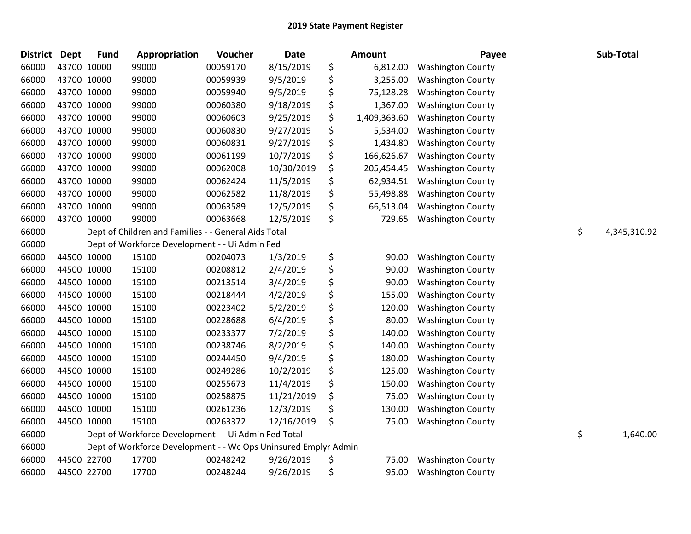| District Dept | <b>Fund</b> | Appropriation                                                   | Voucher  | <b>Date</b> | <b>Amount</b>      | Payee                    | Sub-Total          |
|---------------|-------------|-----------------------------------------------------------------|----------|-------------|--------------------|--------------------------|--------------------|
| 66000         | 43700 10000 | 99000                                                           | 00059170 | 8/15/2019   | \$<br>6,812.00     | <b>Washington County</b> |                    |
| 66000         | 43700 10000 | 99000                                                           | 00059939 | 9/5/2019    | \$<br>3,255.00     | <b>Washington County</b> |                    |
| 66000         | 43700 10000 | 99000                                                           | 00059940 | 9/5/2019    | \$<br>75,128.28    | <b>Washington County</b> |                    |
| 66000         | 43700 10000 | 99000                                                           | 00060380 | 9/18/2019   | \$<br>1,367.00     | <b>Washington County</b> |                    |
| 66000         | 43700 10000 | 99000                                                           | 00060603 | 9/25/2019   | \$<br>1,409,363.60 | <b>Washington County</b> |                    |
| 66000         | 43700 10000 | 99000                                                           | 00060830 | 9/27/2019   | \$<br>5,534.00     | <b>Washington County</b> |                    |
| 66000         | 43700 10000 | 99000                                                           | 00060831 | 9/27/2019   | \$<br>1,434.80     | <b>Washington County</b> |                    |
| 66000         | 43700 10000 | 99000                                                           | 00061199 | 10/7/2019   | \$<br>166,626.67   | <b>Washington County</b> |                    |
| 66000         | 43700 10000 | 99000                                                           | 00062008 | 10/30/2019  | \$<br>205,454.45   | <b>Washington County</b> |                    |
| 66000         | 43700 10000 | 99000                                                           | 00062424 | 11/5/2019   | \$<br>62,934.51    | <b>Washington County</b> |                    |
| 66000         | 43700 10000 | 99000                                                           | 00062582 | 11/8/2019   | \$<br>55,498.88    | <b>Washington County</b> |                    |
| 66000         | 43700 10000 | 99000                                                           | 00063589 | 12/5/2019   | \$<br>66,513.04    | <b>Washington County</b> |                    |
| 66000         | 43700 10000 | 99000                                                           | 00063668 | 12/5/2019   | \$<br>729.65       | <b>Washington County</b> |                    |
| 66000         |             | Dept of Children and Families - - General Aids Total            |          |             |                    |                          | \$<br>4,345,310.92 |
| 66000         |             | Dept of Workforce Development - - Ui Admin Fed                  |          |             |                    |                          |                    |
| 66000         | 44500 10000 | 15100                                                           | 00204073 | 1/3/2019    | \$<br>90.00        | <b>Washington County</b> |                    |
| 66000         | 44500 10000 | 15100                                                           | 00208812 | 2/4/2019    | \$<br>90.00        | <b>Washington County</b> |                    |
| 66000         | 44500 10000 | 15100                                                           | 00213514 | 3/4/2019    | \$<br>90.00        | <b>Washington County</b> |                    |
| 66000         | 44500 10000 | 15100                                                           | 00218444 | 4/2/2019    | \$<br>155.00       | <b>Washington County</b> |                    |
| 66000         | 44500 10000 | 15100                                                           | 00223402 | 5/2/2019    | \$<br>120.00       | <b>Washington County</b> |                    |
| 66000         | 44500 10000 | 15100                                                           | 00228688 | 6/4/2019    | \$<br>80.00        | <b>Washington County</b> |                    |
| 66000         | 44500 10000 | 15100                                                           | 00233377 | 7/2/2019    | \$<br>140.00       | <b>Washington County</b> |                    |
| 66000         | 44500 10000 | 15100                                                           | 00238746 | 8/2/2019    | \$<br>140.00       | <b>Washington County</b> |                    |
| 66000         | 44500 10000 | 15100                                                           | 00244450 | 9/4/2019    | \$<br>180.00       | <b>Washington County</b> |                    |
| 66000         | 44500 10000 | 15100                                                           | 00249286 | 10/2/2019   | \$<br>125.00       | <b>Washington County</b> |                    |
| 66000         | 44500 10000 | 15100                                                           | 00255673 | 11/4/2019   | \$<br>150.00       | <b>Washington County</b> |                    |
| 66000         | 44500 10000 | 15100                                                           | 00258875 | 11/21/2019  | \$<br>75.00        | <b>Washington County</b> |                    |
| 66000         | 44500 10000 | 15100                                                           | 00261236 | 12/3/2019   | \$<br>130.00       | <b>Washington County</b> |                    |
| 66000         | 44500 10000 | 15100                                                           | 00263372 | 12/16/2019  | \$<br>75.00        | <b>Washington County</b> |                    |
| 66000         |             | Dept of Workforce Development - - Ui Admin Fed Total            |          |             |                    |                          | \$<br>1,640.00     |
| 66000         |             | Dept of Workforce Development - - Wc Ops Uninsured Emplyr Admin |          |             |                    |                          |                    |
| 66000         | 44500 22700 | 17700                                                           | 00248242 | 9/26/2019   | \$<br>75.00        | <b>Washington County</b> |                    |
| 66000         | 44500 22700 | 17700                                                           | 00248244 | 9/26/2019   | \$<br>95.00        | <b>Washington County</b> |                    |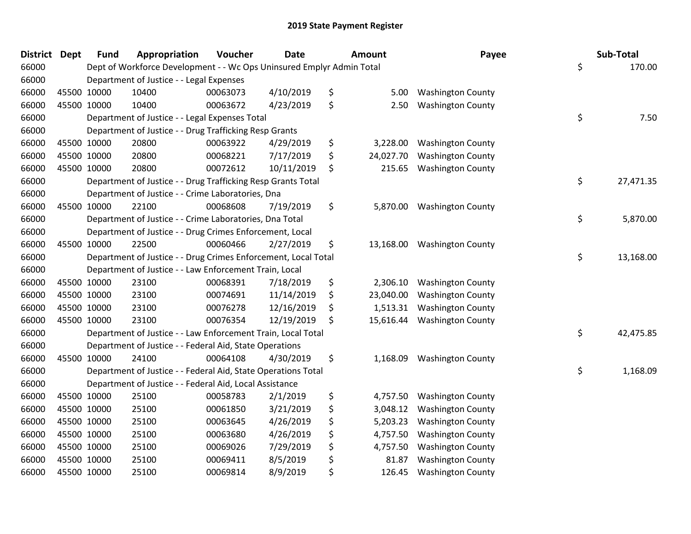| District Dept |             | <b>Fund</b> | Appropriation                                                         | Voucher  | <b>Date</b> | Amount          | Payee                    | Sub-Total       |
|---------------|-------------|-------------|-----------------------------------------------------------------------|----------|-------------|-----------------|--------------------------|-----------------|
| 66000         |             |             | Dept of Workforce Development - - Wc Ops Uninsured Emplyr Admin Total |          |             |                 |                          | \$<br>170.00    |
| 66000         |             |             | Department of Justice - - Legal Expenses                              |          |             |                 |                          |                 |
| 66000         | 45500 10000 |             | 10400                                                                 | 00063073 | 4/10/2019   | \$<br>5.00      | <b>Washington County</b> |                 |
| 66000         | 45500 10000 |             | 10400                                                                 | 00063672 | 4/23/2019   | \$<br>2.50      | <b>Washington County</b> |                 |
| 66000         |             |             | Department of Justice - - Legal Expenses Total                        |          |             |                 |                          | \$<br>7.50      |
| 66000         |             |             | Department of Justice - - Drug Trafficking Resp Grants                |          |             |                 |                          |                 |
| 66000         | 45500 10000 |             | 20800                                                                 | 00063922 | 4/29/2019   | \$<br>3,228.00  | <b>Washington County</b> |                 |
| 66000         | 45500 10000 |             | 20800                                                                 | 00068221 | 7/17/2019   | \$<br>24,027.70 | <b>Washington County</b> |                 |
| 66000         | 45500 10000 |             | 20800                                                                 | 00072612 | 10/11/2019  | \$<br>215.65    | <b>Washington County</b> |                 |
| 66000         |             |             | Department of Justice - - Drug Trafficking Resp Grants Total          |          |             |                 |                          | \$<br>27,471.35 |
| 66000         |             |             | Department of Justice - - Crime Laboratories, Dna                     |          |             |                 |                          |                 |
| 66000         | 45500 10000 |             | 22100                                                                 | 00068608 | 7/19/2019   | \$<br>5,870.00  | <b>Washington County</b> |                 |
| 66000         |             |             | Department of Justice - - Crime Laboratories, Dna Total               |          |             |                 |                          | \$<br>5,870.00  |
| 66000         |             |             | Department of Justice - - Drug Crimes Enforcement, Local              |          |             |                 |                          |                 |
| 66000         | 45500 10000 |             | 22500                                                                 | 00060466 | 2/27/2019   | \$<br>13,168.00 | <b>Washington County</b> |                 |
| 66000         |             |             | Department of Justice - - Drug Crimes Enforcement, Local Total        |          |             |                 |                          | \$<br>13,168.00 |
| 66000         |             |             | Department of Justice - - Law Enforcement Train, Local                |          |             |                 |                          |                 |
| 66000         | 45500 10000 |             | 23100                                                                 | 00068391 | 7/18/2019   | \$<br>2,306.10  | <b>Washington County</b> |                 |
| 66000         | 45500 10000 |             | 23100                                                                 | 00074691 | 11/14/2019  | \$<br>23,040.00 | <b>Washington County</b> |                 |
| 66000         | 45500 10000 |             | 23100                                                                 | 00076278 | 12/16/2019  | \$<br>1,513.31  | <b>Washington County</b> |                 |
| 66000         | 45500 10000 |             | 23100                                                                 | 00076354 | 12/19/2019  | \$<br>15,616.44 | <b>Washington County</b> |                 |
| 66000         |             |             | Department of Justice - - Law Enforcement Train, Local Total          |          |             |                 |                          | \$<br>42,475.85 |
| 66000         |             |             | Department of Justice - - Federal Aid, State Operations               |          |             |                 |                          |                 |
| 66000         | 45500 10000 |             | 24100                                                                 | 00064108 | 4/30/2019   | \$<br>1,168.09  | <b>Washington County</b> |                 |
| 66000         |             |             | Department of Justice - - Federal Aid, State Operations Total         |          |             |                 |                          | \$<br>1,168.09  |
| 66000         |             |             | Department of Justice - - Federal Aid, Local Assistance               |          |             |                 |                          |                 |
| 66000         | 45500 10000 |             | 25100                                                                 | 00058783 | 2/1/2019    | \$<br>4,757.50  | <b>Washington County</b> |                 |
| 66000         | 45500 10000 |             | 25100                                                                 | 00061850 | 3/21/2019   | \$<br>3,048.12  | <b>Washington County</b> |                 |
| 66000         | 45500 10000 |             | 25100                                                                 | 00063645 | 4/26/2019   | \$<br>5,203.23  | <b>Washington County</b> |                 |
| 66000         | 45500 10000 |             | 25100                                                                 | 00063680 | 4/26/2019   | \$<br>4,757.50  | <b>Washington County</b> |                 |
| 66000         | 45500 10000 |             | 25100                                                                 | 00069026 | 7/29/2019   | \$<br>4,757.50  | <b>Washington County</b> |                 |
| 66000         | 45500 10000 |             | 25100                                                                 | 00069411 | 8/5/2019    | \$<br>81.87     | <b>Washington County</b> |                 |
| 66000         | 45500 10000 |             | 25100                                                                 | 00069814 | 8/9/2019    | \$<br>126.45    | <b>Washington County</b> |                 |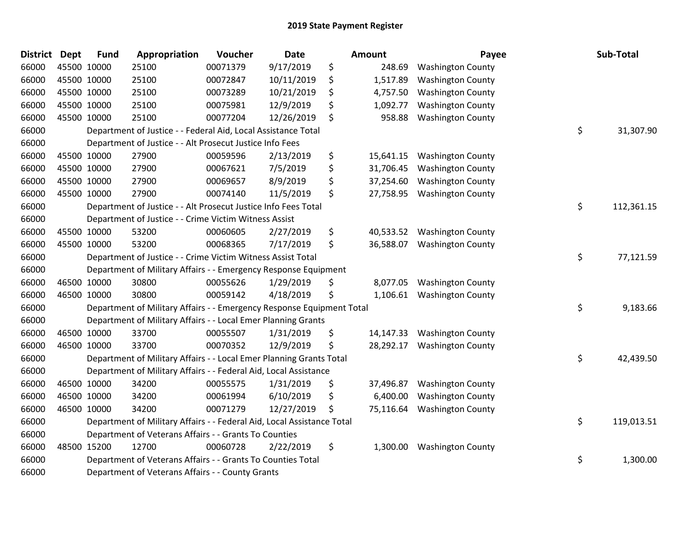| <b>District</b> | <b>Dept</b> | <b>Fund</b> | Appropriation                                                          | Voucher  | <b>Date</b> | Amount          | Payee                    | Sub-Total        |
|-----------------|-------------|-------------|------------------------------------------------------------------------|----------|-------------|-----------------|--------------------------|------------------|
| 66000           | 45500 10000 |             | 25100                                                                  | 00071379 | 9/17/2019   | \$<br>248.69    | <b>Washington County</b> |                  |
| 66000           | 45500 10000 |             | 25100                                                                  | 00072847 | 10/11/2019  | \$<br>1,517.89  | <b>Washington County</b> |                  |
| 66000           | 45500 10000 |             | 25100                                                                  | 00073289 | 10/21/2019  | \$<br>4,757.50  | <b>Washington County</b> |                  |
| 66000           | 45500 10000 |             | 25100                                                                  | 00075981 | 12/9/2019   | \$<br>1,092.77  | <b>Washington County</b> |                  |
| 66000           | 45500 10000 |             | 25100                                                                  | 00077204 | 12/26/2019  | \$<br>958.88    | <b>Washington County</b> |                  |
| 66000           |             |             | Department of Justice - - Federal Aid, Local Assistance Total          |          |             |                 |                          | \$<br>31,307.90  |
| 66000           |             |             | Department of Justice - - Alt Prosecut Justice Info Fees               |          |             |                 |                          |                  |
| 66000           | 45500 10000 |             | 27900                                                                  | 00059596 | 2/13/2019   | \$<br>15,641.15 | <b>Washington County</b> |                  |
| 66000           | 45500 10000 |             | 27900                                                                  | 00067621 | 7/5/2019    | \$<br>31,706.45 | <b>Washington County</b> |                  |
| 66000           | 45500 10000 |             | 27900                                                                  | 00069657 | 8/9/2019    | \$<br>37,254.60 | <b>Washington County</b> |                  |
| 66000           | 45500 10000 |             | 27900                                                                  | 00074140 | 11/5/2019   | \$<br>27,758.95 | <b>Washington County</b> |                  |
| 66000           |             |             | Department of Justice - - Alt Prosecut Justice Info Fees Total         |          |             |                 |                          | \$<br>112,361.15 |
| 66000           |             |             | Department of Justice - - Crime Victim Witness Assist                  |          |             |                 |                          |                  |
| 66000           | 45500 10000 |             | 53200                                                                  | 00060605 | 2/27/2019   | \$<br>40,533.52 | <b>Washington County</b> |                  |
| 66000           | 45500 10000 |             | 53200                                                                  | 00068365 | 7/17/2019   | \$<br>36,588.07 | <b>Washington County</b> |                  |
| 66000           |             |             | Department of Justice - - Crime Victim Witness Assist Total            |          |             |                 |                          | \$<br>77,121.59  |
| 66000           |             |             | Department of Military Affairs - - Emergency Response Equipment        |          |             |                 |                          |                  |
| 66000           |             | 46500 10000 | 30800                                                                  | 00055626 | 1/29/2019   | \$<br>8,077.05  | <b>Washington County</b> |                  |
| 66000           | 46500 10000 |             | 30800                                                                  | 00059142 | 4/18/2019   | \$<br>1,106.61  | <b>Washington County</b> |                  |
| 66000           |             |             | Department of Military Affairs - - Emergency Response Equipment Total  |          |             |                 |                          | \$<br>9,183.66   |
| 66000           |             |             | Department of Military Affairs - - Local Emer Planning Grants          |          |             |                 |                          |                  |
| 66000           | 46500 10000 |             | 33700                                                                  | 00055507 | 1/31/2019   | \$<br>14,147.33 | <b>Washington County</b> |                  |
| 66000           | 46500 10000 |             | 33700                                                                  | 00070352 | 12/9/2019   | \$<br>28,292.17 | <b>Washington County</b> |                  |
| 66000           |             |             | Department of Military Affairs - - Local Emer Planning Grants Total    |          |             |                 |                          | \$<br>42,439.50  |
| 66000           |             |             | Department of Military Affairs - - Federal Aid, Local Assistance       |          |             |                 |                          |                  |
| 66000           | 46500 10000 |             | 34200                                                                  | 00055575 | 1/31/2019   | \$<br>37,496.87 | <b>Washington County</b> |                  |
| 66000           | 46500 10000 |             | 34200                                                                  | 00061994 | 6/10/2019   | \$<br>6,400.00  | <b>Washington County</b> |                  |
| 66000           |             | 46500 10000 | 34200                                                                  | 00071279 | 12/27/2019  | \$<br>75,116.64 | <b>Washington County</b> |                  |
| 66000           |             |             | Department of Military Affairs - - Federal Aid, Local Assistance Total |          |             |                 |                          | \$<br>119,013.51 |
| 66000           |             |             | Department of Veterans Affairs - - Grants To Counties                  |          |             |                 |                          |                  |
| 66000           | 48500 15200 |             | 12700                                                                  | 00060728 | 2/22/2019   | \$<br>1,300.00  | <b>Washington County</b> |                  |
| 66000           |             |             | Department of Veterans Affairs - - Grants To Counties Total            |          |             |                 |                          | \$<br>1,300.00   |
| 66000           |             |             | Department of Veterans Affairs - - County Grants                       |          |             |                 |                          |                  |
|                 |             |             |                                                                        |          |             |                 |                          |                  |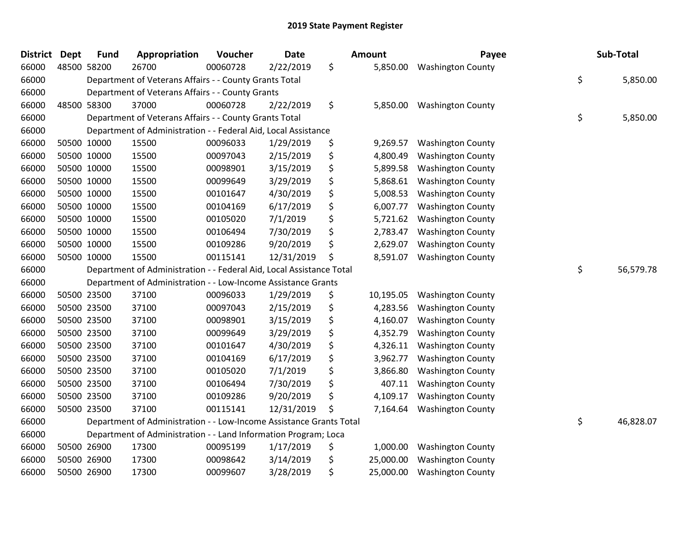| <b>District</b> | <b>Dept</b> | <b>Fund</b> | Appropriation                                                        | Voucher  | <b>Date</b> | Amount          | Payee                    | Sub-Total       |
|-----------------|-------------|-------------|----------------------------------------------------------------------|----------|-------------|-----------------|--------------------------|-----------------|
| 66000           |             | 48500 58200 | 26700                                                                | 00060728 | 2/22/2019   | \$<br>5,850.00  | <b>Washington County</b> |                 |
| 66000           |             |             | Department of Veterans Affairs - - County Grants Total               |          |             |                 |                          | \$<br>5,850.00  |
| 66000           |             |             | Department of Veterans Affairs - - County Grants                     |          |             |                 |                          |                 |
| 66000           |             | 48500 58300 | 37000                                                                | 00060728 | 2/22/2019   | \$<br>5,850.00  | <b>Washington County</b> |                 |
| 66000           |             |             | Department of Veterans Affairs - - County Grants Total               |          |             |                 |                          | \$<br>5,850.00  |
| 66000           |             |             | Department of Administration - - Federal Aid, Local Assistance       |          |             |                 |                          |                 |
| 66000           |             | 50500 10000 | 15500                                                                | 00096033 | 1/29/2019   | \$<br>9,269.57  | <b>Washington County</b> |                 |
| 66000           |             | 50500 10000 | 15500                                                                | 00097043 | 2/15/2019   | \$<br>4,800.49  | <b>Washington County</b> |                 |
| 66000           |             | 50500 10000 | 15500                                                                | 00098901 | 3/15/2019   | \$<br>5,899.58  | <b>Washington County</b> |                 |
| 66000           |             | 50500 10000 | 15500                                                                | 00099649 | 3/29/2019   | \$<br>5,868.61  | <b>Washington County</b> |                 |
| 66000           |             | 50500 10000 | 15500                                                                | 00101647 | 4/30/2019   | \$<br>5,008.53  | <b>Washington County</b> |                 |
| 66000           |             | 50500 10000 | 15500                                                                | 00104169 | 6/17/2019   | \$<br>6,007.77  | <b>Washington County</b> |                 |
| 66000           |             | 50500 10000 | 15500                                                                | 00105020 | 7/1/2019    | \$<br>5,721.62  | <b>Washington County</b> |                 |
| 66000           |             | 50500 10000 | 15500                                                                | 00106494 | 7/30/2019   | \$<br>2,783.47  | <b>Washington County</b> |                 |
| 66000           |             | 50500 10000 | 15500                                                                | 00109286 | 9/20/2019   | \$<br>2,629.07  | <b>Washington County</b> |                 |
| 66000           |             | 50500 10000 | 15500                                                                | 00115141 | 12/31/2019  | \$<br>8,591.07  | <b>Washington County</b> |                 |
| 66000           |             |             | Department of Administration - - Federal Aid, Local Assistance Total |          |             |                 |                          | \$<br>56,579.78 |
| 66000           |             |             | Department of Administration - - Low-Income Assistance Grants        |          |             |                 |                          |                 |
| 66000           |             | 50500 23500 | 37100                                                                | 00096033 | 1/29/2019   | \$<br>10,195.05 | <b>Washington County</b> |                 |
| 66000           |             | 50500 23500 | 37100                                                                | 00097043 | 2/15/2019   | \$<br>4,283.56  | <b>Washington County</b> |                 |
| 66000           |             | 50500 23500 | 37100                                                                | 00098901 | 3/15/2019   | \$<br>4,160.07  | <b>Washington County</b> |                 |
| 66000           |             | 50500 23500 | 37100                                                                | 00099649 | 3/29/2019   | \$<br>4,352.79  | <b>Washington County</b> |                 |
| 66000           |             | 50500 23500 | 37100                                                                | 00101647 | 4/30/2019   | \$<br>4,326.11  | <b>Washington County</b> |                 |
| 66000           |             | 50500 23500 | 37100                                                                | 00104169 | 6/17/2019   | \$<br>3,962.77  | <b>Washington County</b> |                 |
| 66000           |             | 50500 23500 | 37100                                                                | 00105020 | 7/1/2019    | \$<br>3,866.80  | <b>Washington County</b> |                 |
| 66000           |             | 50500 23500 | 37100                                                                | 00106494 | 7/30/2019   | \$<br>407.11    | <b>Washington County</b> |                 |
| 66000           |             | 50500 23500 | 37100                                                                | 00109286 | 9/20/2019   | \$<br>4,109.17  | <b>Washington County</b> |                 |
| 66000           |             | 50500 23500 | 37100                                                                | 00115141 | 12/31/2019  | \$<br>7,164.64  | <b>Washington County</b> |                 |
| 66000           |             |             | Department of Administration - - Low-Income Assistance Grants Total  |          |             |                 |                          | \$<br>46,828.07 |
| 66000           |             |             | Department of Administration - - Land Information Program; Loca      |          |             |                 |                          |                 |
| 66000           |             | 50500 26900 | 17300                                                                | 00095199 | 1/17/2019   | \$<br>1,000.00  | <b>Washington County</b> |                 |
| 66000           |             | 50500 26900 | 17300                                                                | 00098642 | 3/14/2019   | \$<br>25,000.00 | <b>Washington County</b> |                 |
| 66000           |             | 50500 26900 | 17300                                                                | 00099607 | 3/28/2019   | \$<br>25,000.00 | <b>Washington County</b> |                 |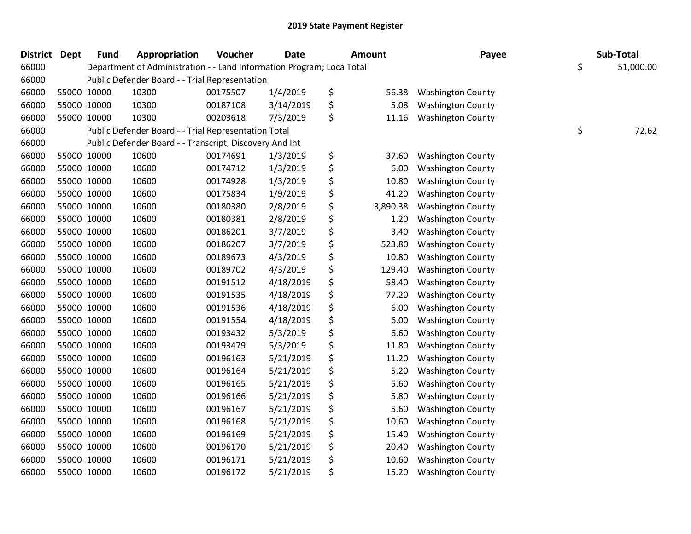| District | <b>Dept</b> | <b>Fund</b> | Appropriation                                                         | Voucher  | <b>Date</b> | <b>Amount</b>  | Payee                    | Sub-Total       |
|----------|-------------|-------------|-----------------------------------------------------------------------|----------|-------------|----------------|--------------------------|-----------------|
| 66000    |             |             | Department of Administration - - Land Information Program; Loca Total |          |             |                |                          | \$<br>51,000.00 |
| 66000    |             |             | Public Defender Board - - Trial Representation                        |          |             |                |                          |                 |
| 66000    |             | 55000 10000 | 10300                                                                 | 00175507 | 1/4/2019    | \$<br>56.38    | <b>Washington County</b> |                 |
| 66000    |             | 55000 10000 | 10300                                                                 | 00187108 | 3/14/2019   | \$<br>5.08     | <b>Washington County</b> |                 |
| 66000    |             | 55000 10000 | 10300                                                                 | 00203618 | 7/3/2019    | \$<br>11.16    | <b>Washington County</b> |                 |
| 66000    |             |             | Public Defender Board - - Trial Representation Total                  |          |             |                |                          | \$<br>72.62     |
| 66000    |             |             | Public Defender Board - - Transcript, Discovery And Int               |          |             |                |                          |                 |
| 66000    |             | 55000 10000 | 10600                                                                 | 00174691 | 1/3/2019    | \$<br>37.60    | <b>Washington County</b> |                 |
| 66000    |             | 55000 10000 | 10600                                                                 | 00174712 | 1/3/2019    | \$<br>6.00     | <b>Washington County</b> |                 |
| 66000    |             | 55000 10000 | 10600                                                                 | 00174928 | 1/3/2019    | \$<br>10.80    | <b>Washington County</b> |                 |
| 66000    |             | 55000 10000 | 10600                                                                 | 00175834 | 1/9/2019    | \$<br>41.20    | <b>Washington County</b> |                 |
| 66000    |             | 55000 10000 | 10600                                                                 | 00180380 | 2/8/2019    | \$<br>3,890.38 | <b>Washington County</b> |                 |
| 66000    |             | 55000 10000 | 10600                                                                 | 00180381 | 2/8/2019    | \$<br>1.20     | <b>Washington County</b> |                 |
| 66000    |             | 55000 10000 | 10600                                                                 | 00186201 | 3/7/2019    | \$<br>3.40     | <b>Washington County</b> |                 |
| 66000    |             | 55000 10000 | 10600                                                                 | 00186207 | 3/7/2019    | \$<br>523.80   | <b>Washington County</b> |                 |
| 66000    |             | 55000 10000 | 10600                                                                 | 00189673 | 4/3/2019    | \$<br>10.80    | <b>Washington County</b> |                 |
| 66000    |             | 55000 10000 | 10600                                                                 | 00189702 | 4/3/2019    | \$<br>129.40   | <b>Washington County</b> |                 |
| 66000    |             | 55000 10000 | 10600                                                                 | 00191512 | 4/18/2019   | \$<br>58.40    | <b>Washington County</b> |                 |
| 66000    |             | 55000 10000 | 10600                                                                 | 00191535 | 4/18/2019   | \$<br>77.20    | <b>Washington County</b> |                 |
| 66000    |             | 55000 10000 | 10600                                                                 | 00191536 | 4/18/2019   | \$<br>6.00     | <b>Washington County</b> |                 |
| 66000    |             | 55000 10000 | 10600                                                                 | 00191554 | 4/18/2019   | \$<br>6.00     | <b>Washington County</b> |                 |
| 66000    |             | 55000 10000 | 10600                                                                 | 00193432 | 5/3/2019    | \$<br>6.60     | <b>Washington County</b> |                 |
| 66000    |             | 55000 10000 | 10600                                                                 | 00193479 | 5/3/2019    | \$<br>11.80    | <b>Washington County</b> |                 |
| 66000    |             | 55000 10000 | 10600                                                                 | 00196163 | 5/21/2019   | \$<br>11.20    | <b>Washington County</b> |                 |
| 66000    |             | 55000 10000 | 10600                                                                 | 00196164 | 5/21/2019   | \$<br>5.20     | <b>Washington County</b> |                 |
| 66000    |             | 55000 10000 | 10600                                                                 | 00196165 | 5/21/2019   | \$<br>5.60     | <b>Washington County</b> |                 |
| 66000    |             | 55000 10000 | 10600                                                                 | 00196166 | 5/21/2019   | \$<br>5.80     | <b>Washington County</b> |                 |
| 66000    |             | 55000 10000 | 10600                                                                 | 00196167 | 5/21/2019   | \$<br>5.60     | <b>Washington County</b> |                 |
| 66000    |             | 55000 10000 | 10600                                                                 | 00196168 | 5/21/2019   | \$<br>10.60    | <b>Washington County</b> |                 |
| 66000    |             | 55000 10000 | 10600                                                                 | 00196169 | 5/21/2019   | \$<br>15.40    | <b>Washington County</b> |                 |
| 66000    |             | 55000 10000 | 10600                                                                 | 00196170 | 5/21/2019   | \$<br>20.40    | <b>Washington County</b> |                 |
| 66000    |             | 55000 10000 | 10600                                                                 | 00196171 | 5/21/2019   | \$<br>10.60    | <b>Washington County</b> |                 |
| 66000    |             | 55000 10000 | 10600                                                                 | 00196172 | 5/21/2019   | \$<br>15.20    | <b>Washington County</b> |                 |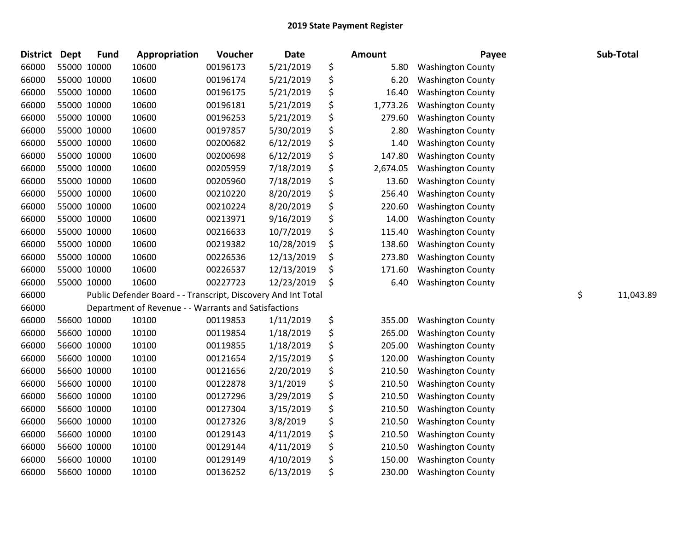| <b>District</b> | <b>Dept</b> | <b>Fund</b> | Appropriation                                                 | Voucher  | Date       | Amount         | Payee                    | Sub-Total       |
|-----------------|-------------|-------------|---------------------------------------------------------------|----------|------------|----------------|--------------------------|-----------------|
| 66000           |             | 55000 10000 | 10600                                                         | 00196173 | 5/21/2019  | \$<br>5.80     | <b>Washington County</b> |                 |
| 66000           |             | 55000 10000 | 10600                                                         | 00196174 | 5/21/2019  | \$<br>6.20     | <b>Washington County</b> |                 |
| 66000           | 55000 10000 |             | 10600                                                         | 00196175 | 5/21/2019  | \$<br>16.40    | <b>Washington County</b> |                 |
| 66000           | 55000 10000 |             | 10600                                                         | 00196181 | 5/21/2019  | \$<br>1,773.26 | <b>Washington County</b> |                 |
| 66000           | 55000 10000 |             | 10600                                                         | 00196253 | 5/21/2019  | \$<br>279.60   | <b>Washington County</b> |                 |
| 66000           |             | 55000 10000 | 10600                                                         | 00197857 | 5/30/2019  | \$<br>2.80     | <b>Washington County</b> |                 |
| 66000           |             | 55000 10000 | 10600                                                         | 00200682 | 6/12/2019  | \$<br>1.40     | <b>Washington County</b> |                 |
| 66000           |             | 55000 10000 | 10600                                                         | 00200698 | 6/12/2019  | \$<br>147.80   | <b>Washington County</b> |                 |
| 66000           |             | 55000 10000 | 10600                                                         | 00205959 | 7/18/2019  | \$<br>2,674.05 | <b>Washington County</b> |                 |
| 66000           |             | 55000 10000 | 10600                                                         | 00205960 | 7/18/2019  | \$<br>13.60    | <b>Washington County</b> |                 |
| 66000           |             | 55000 10000 | 10600                                                         | 00210220 | 8/20/2019  | \$<br>256.40   | <b>Washington County</b> |                 |
| 66000           |             | 55000 10000 | 10600                                                         | 00210224 | 8/20/2019  | \$<br>220.60   | <b>Washington County</b> |                 |
| 66000           |             | 55000 10000 | 10600                                                         | 00213971 | 9/16/2019  | \$<br>14.00    | <b>Washington County</b> |                 |
| 66000           | 55000 10000 |             | 10600                                                         | 00216633 | 10/7/2019  | \$<br>115.40   | <b>Washington County</b> |                 |
| 66000           |             | 55000 10000 | 10600                                                         | 00219382 | 10/28/2019 | \$<br>138.60   | <b>Washington County</b> |                 |
| 66000           |             | 55000 10000 | 10600                                                         | 00226536 | 12/13/2019 | \$<br>273.80   | <b>Washington County</b> |                 |
| 66000           |             | 55000 10000 | 10600                                                         | 00226537 | 12/13/2019 | \$<br>171.60   | <b>Washington County</b> |                 |
| 66000           | 55000 10000 |             | 10600                                                         | 00227723 | 12/23/2019 | \$<br>6.40     | <b>Washington County</b> |                 |
| 66000           |             |             | Public Defender Board - - Transcript, Discovery And Int Total |          |            |                |                          | \$<br>11,043.89 |
| 66000           |             |             | Department of Revenue - - Warrants and Satisfactions          |          |            |                |                          |                 |
| 66000           |             | 56600 10000 | 10100                                                         | 00119853 | 1/11/2019  | \$<br>355.00   | <b>Washington County</b> |                 |
| 66000           |             | 56600 10000 | 10100                                                         | 00119854 | 1/18/2019  | \$<br>265.00   | <b>Washington County</b> |                 |
| 66000           |             | 56600 10000 | 10100                                                         | 00119855 | 1/18/2019  | \$<br>205.00   | <b>Washington County</b> |                 |
| 66000           |             | 56600 10000 | 10100                                                         | 00121654 | 2/15/2019  | \$<br>120.00   | <b>Washington County</b> |                 |
| 66000           |             | 56600 10000 | 10100                                                         | 00121656 | 2/20/2019  | \$<br>210.50   | <b>Washington County</b> |                 |
| 66000           |             | 56600 10000 | 10100                                                         | 00122878 | 3/1/2019   | \$<br>210.50   | <b>Washington County</b> |                 |
| 66000           | 56600 10000 |             | 10100                                                         | 00127296 | 3/29/2019  | \$<br>210.50   | <b>Washington County</b> |                 |
| 66000           |             | 56600 10000 | 10100                                                         | 00127304 | 3/15/2019  | \$<br>210.50   | <b>Washington County</b> |                 |
| 66000           |             | 56600 10000 | 10100                                                         | 00127326 | 3/8/2019   | \$<br>210.50   | <b>Washington County</b> |                 |
| 66000           |             | 56600 10000 | 10100                                                         | 00129143 | 4/11/2019  | \$<br>210.50   | <b>Washington County</b> |                 |
| 66000           |             | 56600 10000 | 10100                                                         | 00129144 | 4/11/2019  | \$<br>210.50   | <b>Washington County</b> |                 |
| 66000           |             | 56600 10000 | 10100                                                         | 00129149 | 4/10/2019  | \$<br>150.00   | <b>Washington County</b> |                 |
| 66000           |             | 56600 10000 | 10100                                                         | 00136252 | 6/13/2019  | \$<br>230.00   | <b>Washington County</b> |                 |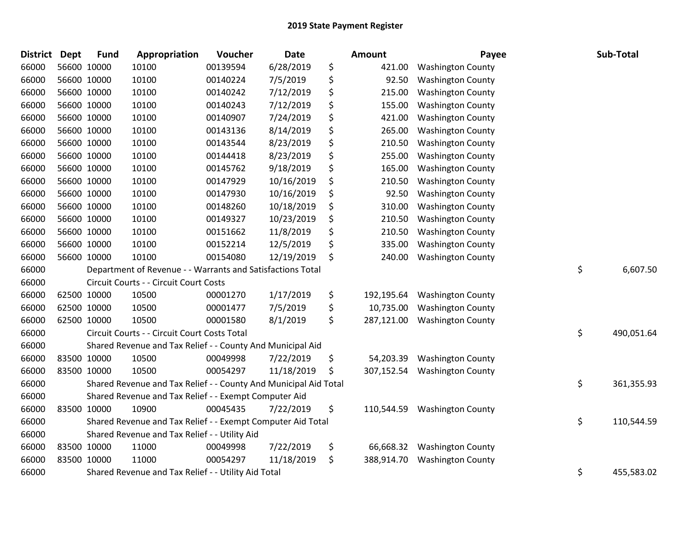| <b>District</b> | <b>Dept</b> | <b>Fund</b> | Appropriation                                                    | Voucher  | <b>Date</b> |     | <b>Amount</b> | Payee                    | Sub-Total        |
|-----------------|-------------|-------------|------------------------------------------------------------------|----------|-------------|-----|---------------|--------------------------|------------------|
| 66000           |             | 56600 10000 | 10100                                                            | 00139594 | 6/28/2019   | \$  | 421.00        | <b>Washington County</b> |                  |
| 66000           |             | 56600 10000 | 10100                                                            | 00140224 | 7/5/2019    | \$  | 92.50         | <b>Washington County</b> |                  |
| 66000           |             | 56600 10000 | 10100                                                            | 00140242 | 7/12/2019   | \$  | 215.00        | <b>Washington County</b> |                  |
| 66000           |             | 56600 10000 | 10100                                                            | 00140243 | 7/12/2019   | \$  | 155.00        | <b>Washington County</b> |                  |
| 66000           |             | 56600 10000 | 10100                                                            | 00140907 | 7/24/2019   | \$  | 421.00        | <b>Washington County</b> |                  |
| 66000           |             | 56600 10000 | 10100                                                            | 00143136 | 8/14/2019   | \$  | 265.00        | <b>Washington County</b> |                  |
| 66000           |             | 56600 10000 | 10100                                                            | 00143544 | 8/23/2019   | \$  | 210.50        | <b>Washington County</b> |                  |
| 66000           |             | 56600 10000 | 10100                                                            | 00144418 | 8/23/2019   | \$  | 255.00        | <b>Washington County</b> |                  |
| 66000           |             | 56600 10000 | 10100                                                            | 00145762 | 9/18/2019   | \$  | 165.00        | <b>Washington County</b> |                  |
| 66000           |             | 56600 10000 | 10100                                                            | 00147929 | 10/16/2019  | \$  | 210.50        | <b>Washington County</b> |                  |
| 66000           |             | 56600 10000 | 10100                                                            | 00147930 | 10/16/2019  | \$  | 92.50         | <b>Washington County</b> |                  |
| 66000           |             | 56600 10000 | 10100                                                            | 00148260 | 10/18/2019  | \$  | 310.00        | <b>Washington County</b> |                  |
| 66000           |             | 56600 10000 | 10100                                                            | 00149327 | 10/23/2019  | \$  | 210.50        | <b>Washington County</b> |                  |
| 66000           |             | 56600 10000 | 10100                                                            | 00151662 | 11/8/2019   | \$  | 210.50        | <b>Washington County</b> |                  |
| 66000           |             | 56600 10000 | 10100                                                            | 00152214 | 12/5/2019   | \$  | 335.00        | <b>Washington County</b> |                  |
| 66000           |             | 56600 10000 | 10100                                                            | 00154080 | 12/19/2019  | \$  | 240.00        | <b>Washington County</b> |                  |
| 66000           |             |             | Department of Revenue - - Warrants and Satisfactions Total       |          |             |     |               |                          | \$<br>6,607.50   |
| 66000           |             |             | Circuit Courts - - Circuit Court Costs                           |          |             |     |               |                          |                  |
| 66000           |             | 62500 10000 | 10500                                                            | 00001270 | 1/17/2019   | \$  | 192,195.64    | <b>Washington County</b> |                  |
| 66000           |             | 62500 10000 | 10500                                                            | 00001477 | 7/5/2019    | \$  | 10,735.00     | <b>Washington County</b> |                  |
| 66000           |             | 62500 10000 | 10500                                                            | 00001580 | 8/1/2019    | \$  | 287,121.00    | <b>Washington County</b> |                  |
| 66000           |             |             | Circuit Courts - - Circuit Court Costs Total                     |          |             |     |               |                          | \$<br>490,051.64 |
| 66000           |             |             | Shared Revenue and Tax Relief - - County And Municipal Aid       |          |             |     |               |                          |                  |
| 66000           |             | 83500 10000 | 10500                                                            | 00049998 | 7/22/2019   | \$  | 54,203.39     | <b>Washington County</b> |                  |
| 66000           |             | 83500 10000 | 10500                                                            | 00054297 | 11/18/2019  | \$, | 307,152.54    | <b>Washington County</b> |                  |
| 66000           |             |             | Shared Revenue and Tax Relief - - County And Municipal Aid Total |          |             |     |               |                          | \$<br>361,355.93 |
| 66000           |             |             | Shared Revenue and Tax Relief - - Exempt Computer Aid            |          |             |     |               |                          |                  |
| 66000           |             | 83500 10000 | 10900                                                            | 00045435 | 7/22/2019   | \$  | 110,544.59    | <b>Washington County</b> |                  |
| 66000           |             |             | Shared Revenue and Tax Relief - - Exempt Computer Aid Total      |          |             |     |               |                          | \$<br>110,544.59 |
| 66000           |             |             | Shared Revenue and Tax Relief - - Utility Aid                    |          |             |     |               |                          |                  |
| 66000           |             | 83500 10000 | 11000                                                            | 00049998 | 7/22/2019   | \$  | 66,668.32     | <b>Washington County</b> |                  |
| 66000           |             | 83500 10000 | 11000                                                            | 00054297 | 11/18/2019  | \$  | 388,914.70    | <b>Washington County</b> |                  |
| 66000           |             |             | Shared Revenue and Tax Relief - - Utility Aid Total              |          |             |     |               |                          | \$<br>455,583.02 |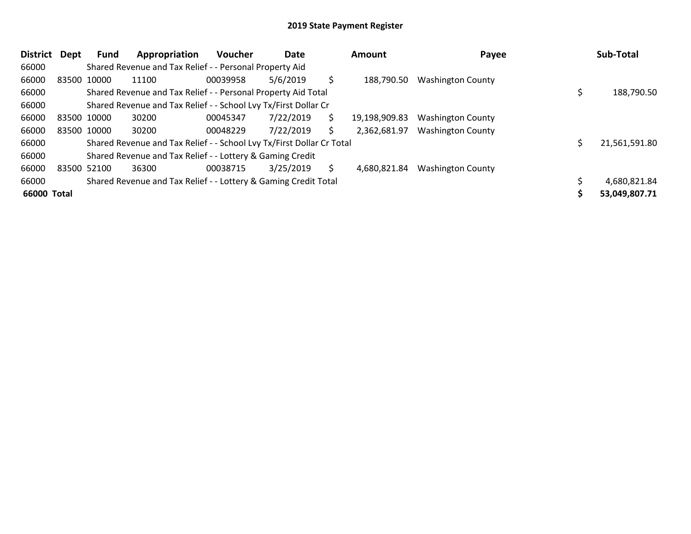| <b>District</b> | Dept | Fund        | Appropriation                                                         | <b>Voucher</b> | Date      |     | Amount        | Payee                    | Sub-Total     |
|-----------------|------|-------------|-----------------------------------------------------------------------|----------------|-----------|-----|---------------|--------------------------|---------------|
| 66000           |      |             | Shared Revenue and Tax Relief - - Personal Property Aid               |                |           |     |               |                          |               |
| 66000           |      | 83500 10000 | 11100                                                                 | 00039958       | 5/6/2019  | \$. | 188,790.50    | <b>Washington County</b> |               |
| 66000           |      |             | Shared Revenue and Tax Relief - - Personal Property Aid Total         |                |           |     |               |                          | 188,790.50    |
| 66000           |      |             | Shared Revenue and Tax Relief - - School Lvy Tx/First Dollar Cr       |                |           |     |               |                          |               |
| 66000           |      | 83500 10000 | 30200                                                                 | 00045347       | 7/22/2019 | \$  | 19,198,909.83 | <b>Washington County</b> |               |
| 66000           |      | 83500 10000 | 30200                                                                 | 00048229       | 7/22/2019 | Ś.  | 2,362,681.97  | <b>Washington County</b> |               |
| 66000           |      |             | Shared Revenue and Tax Relief - - School Lvy Tx/First Dollar Cr Total |                |           |     |               |                          | 21,561,591.80 |
| 66000           |      |             | Shared Revenue and Tax Relief - - Lottery & Gaming Credit             |                |           |     |               |                          |               |
| 66000           |      | 83500 52100 | 36300                                                                 | 00038715       | 3/25/2019 | Ś.  | 4,680,821.84  | <b>Washington County</b> |               |
| 66000           |      |             | Shared Revenue and Tax Relief - - Lottery & Gaming Credit Total       |                |           |     |               |                          | 4,680,821.84  |
| 66000 Total     |      |             |                                                                       |                |           |     |               |                          | 53,049,807.71 |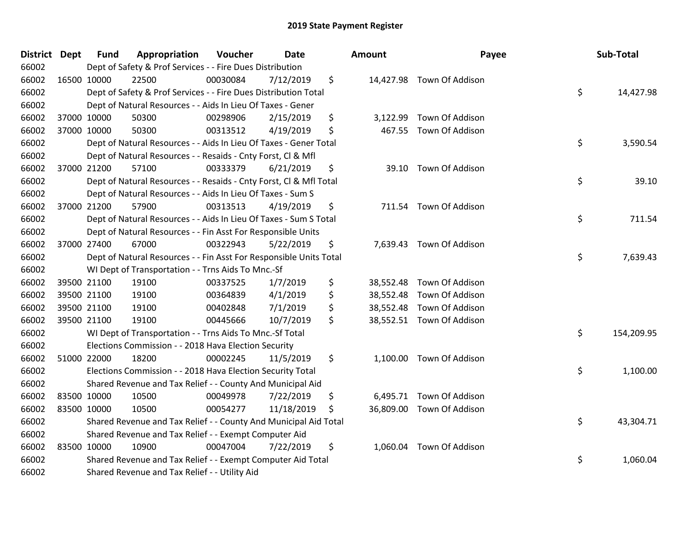| <b>District Dept</b> | <b>Fund</b> | Appropriation                                                      | Voucher  | <b>Date</b> | Amount          | Payee                     | Sub-Total        |
|----------------------|-------------|--------------------------------------------------------------------|----------|-------------|-----------------|---------------------------|------------------|
| 66002                |             | Dept of Safety & Prof Services - - Fire Dues Distribution          |          |             |                 |                           |                  |
| 66002                | 16500 10000 | 22500                                                              | 00030084 | 7/12/2019   | \$              | 14,427.98 Town Of Addison |                  |
| 66002                |             | Dept of Safety & Prof Services - - Fire Dues Distribution Total    |          |             |                 |                           | \$<br>14,427.98  |
| 66002                |             | Dept of Natural Resources - - Aids In Lieu Of Taxes - Gener        |          |             |                 |                           |                  |
| 66002                | 37000 10000 | 50300                                                              | 00298906 | 2/15/2019   | \$<br>3,122.99  | Town Of Addison           |                  |
| 66002                | 37000 10000 | 50300                                                              | 00313512 | 4/19/2019   | \$<br>467.55    | Town Of Addison           |                  |
| 66002                |             | Dept of Natural Resources - - Aids In Lieu Of Taxes - Gener Total  |          |             |                 |                           | \$<br>3,590.54   |
| 66002                |             | Dept of Natural Resources - - Resaids - Cnty Forst, Cl & Mfl       |          |             |                 |                           |                  |
| 66002                | 37000 21200 | 57100                                                              | 00333379 | 6/21/2019   | \$<br>39.10     | Town Of Addison           |                  |
| 66002                |             | Dept of Natural Resources - - Resaids - Cnty Forst, Cl & Mfl Total |          |             |                 |                           | \$<br>39.10      |
| 66002                |             | Dept of Natural Resources - - Aids In Lieu Of Taxes - Sum S        |          |             |                 |                           |                  |
| 66002                | 37000 21200 | 57900                                                              | 00313513 | 4/19/2019   | \$<br>711.54    | Town Of Addison           |                  |
| 66002                |             | Dept of Natural Resources - - Aids In Lieu Of Taxes - Sum S Total  |          |             |                 |                           | \$<br>711.54     |
| 66002                |             | Dept of Natural Resources - - Fin Asst For Responsible Units       |          |             |                 |                           |                  |
| 66002                | 37000 27400 | 67000                                                              | 00322943 | 5/22/2019   | \$<br>7,639.43  | Town Of Addison           |                  |
| 66002                |             | Dept of Natural Resources - - Fin Asst For Responsible Units Total |          |             |                 |                           | \$<br>7,639.43   |
| 66002                |             | WI Dept of Transportation - - Trns Aids To Mnc.-Sf                 |          |             |                 |                           |                  |
| 66002                | 39500 21100 | 19100                                                              | 00337525 | 1/7/2019    | \$<br>38,552.48 | Town Of Addison           |                  |
| 66002                | 39500 21100 | 19100                                                              | 00364839 | 4/1/2019    | \$<br>38,552.48 | Town Of Addison           |                  |
| 66002                | 39500 21100 | 19100                                                              | 00402848 | 7/1/2019    | \$<br>38,552.48 | Town Of Addison           |                  |
| 66002                | 39500 21100 | 19100                                                              | 00445666 | 10/7/2019   | \$              | 38,552.51 Town Of Addison |                  |
| 66002                |             | WI Dept of Transportation - - Trns Aids To Mnc.-Sf Total           |          |             |                 |                           | \$<br>154,209.95 |
| 66002                |             | Elections Commission - - 2018 Hava Election Security               |          |             |                 |                           |                  |
| 66002                | 51000 22000 | 18200                                                              | 00002245 | 11/5/2019   | \$<br>1,100.00  | Town Of Addison           |                  |
| 66002                |             | Elections Commission - - 2018 Hava Election Security Total         |          |             |                 |                           | \$<br>1,100.00   |
| 66002                |             | Shared Revenue and Tax Relief - - County And Municipal Aid         |          |             |                 |                           |                  |
| 66002                | 83500 10000 | 10500                                                              | 00049978 | 7/22/2019   | \$<br>6,495.71  | Town Of Addison           |                  |
| 66002                | 83500 10000 | 10500                                                              | 00054277 | 11/18/2019  | \$              | 36,809.00 Town Of Addison |                  |
| 66002                |             | Shared Revenue and Tax Relief - - County And Municipal Aid Total   |          |             |                 |                           | \$<br>43,304.71  |
| 66002                |             | Shared Revenue and Tax Relief - - Exempt Computer Aid              |          |             |                 |                           |                  |
| 66002                | 83500 10000 | 10900                                                              | 00047004 | 7/22/2019   | \$<br>1,060.04  | Town Of Addison           |                  |
| 66002                |             | Shared Revenue and Tax Relief - - Exempt Computer Aid Total        |          |             |                 |                           | \$<br>1,060.04   |
| 66002                |             | Shared Revenue and Tax Relief - - Utility Aid                      |          |             |                 |                           |                  |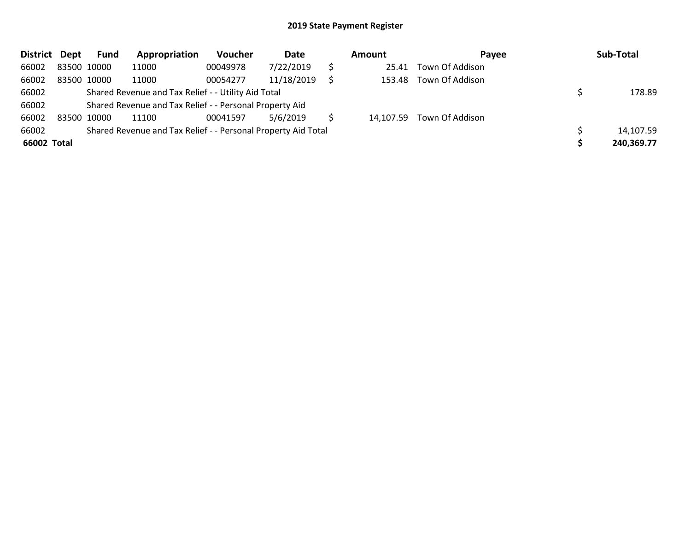| District Dept |             | <b>Fund</b> | Appropriation                                                 | Voucher  | Date       | Amount | <b>Pavee</b>              | Sub-Total  |
|---------------|-------------|-------------|---------------------------------------------------------------|----------|------------|--------|---------------------------|------------|
| 66002         | 83500 10000 |             | 11000                                                         | 00049978 | 7/22/2019  | 25.41  | Town Of Addison           |            |
| 66002         | 83500 10000 |             | 11000                                                         | 00054277 | 11/18/2019 | 153.48 | Town Of Addison           |            |
| 66002         |             |             | Shared Revenue and Tax Relief - - Utility Aid Total           |          |            |        |                           | 178.89     |
| 66002         |             |             | Shared Revenue and Tax Relief - - Personal Property Aid       |          |            |        |                           |            |
| 66002         | 83500 10000 |             | 11100                                                         | 00041597 | 5/6/2019   |        | 14,107.59 Town Of Addison |            |
| 66002         |             |             | Shared Revenue and Tax Relief - - Personal Property Aid Total |          |            |        |                           | 14,107.59  |
| 66002 Total   |             |             |                                                               |          |            |        |                           | 240,369.77 |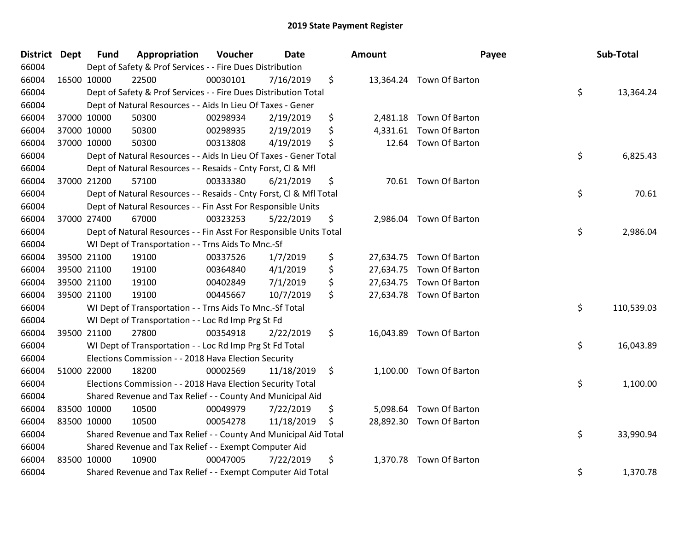| District Dept | <b>Fund</b> | Appropriation                                                      | Voucher  | Date       | Amount         | Payee                    | Sub-Total        |
|---------------|-------------|--------------------------------------------------------------------|----------|------------|----------------|--------------------------|------------------|
| 66004         |             | Dept of Safety & Prof Services - - Fire Dues Distribution          |          |            |                |                          |                  |
| 66004         | 16500 10000 | 22500                                                              | 00030101 | 7/16/2019  | \$             | 13,364.24 Town Of Barton |                  |
| 66004         |             | Dept of Safety & Prof Services - - Fire Dues Distribution Total    |          |            |                |                          | \$<br>13,364.24  |
| 66004         |             | Dept of Natural Resources - - Aids In Lieu Of Taxes - Gener        |          |            |                |                          |                  |
| 66004         | 37000 10000 | 50300                                                              | 00298934 | 2/19/2019  | \$             | 2,481.18 Town Of Barton  |                  |
| 66004         | 37000 10000 | 50300                                                              | 00298935 | 2/19/2019  | \$             | 4,331.61 Town Of Barton  |                  |
| 66004         | 37000 10000 | 50300                                                              | 00313808 | 4/19/2019  | \$<br>12.64    | Town Of Barton           |                  |
| 66004         |             | Dept of Natural Resources - - Aids In Lieu Of Taxes - Gener Total  |          |            |                |                          | \$<br>6,825.43   |
| 66004         |             | Dept of Natural Resources - - Resaids - Cnty Forst, Cl & Mfl       |          |            |                |                          |                  |
| 66004         | 37000 21200 | 57100                                                              | 00333380 | 6/21/2019  | \$             | 70.61 Town Of Barton     |                  |
| 66004         |             | Dept of Natural Resources - - Resaids - Cnty Forst, Cl & Mfl Total |          |            |                |                          | \$<br>70.61      |
| 66004         |             | Dept of Natural Resources - - Fin Asst For Responsible Units       |          |            |                |                          |                  |
| 66004         | 37000 27400 | 67000                                                              | 00323253 | 5/22/2019  | \$             | 2,986.04 Town Of Barton  |                  |
| 66004         |             | Dept of Natural Resources - - Fin Asst For Responsible Units Total |          |            |                |                          | \$<br>2,986.04   |
| 66004         |             | WI Dept of Transportation - - Trns Aids To Mnc.-Sf                 |          |            |                |                          |                  |
| 66004         | 39500 21100 | 19100                                                              | 00337526 | 1/7/2019   | \$             | 27,634.75 Town Of Barton |                  |
| 66004         | 39500 21100 | 19100                                                              | 00364840 | 4/1/2019   | \$             | 27,634.75 Town Of Barton |                  |
| 66004         | 39500 21100 | 19100                                                              | 00402849 | 7/1/2019   | \$             | 27,634.75 Town Of Barton |                  |
| 66004         | 39500 21100 | 19100                                                              | 00445667 | 10/7/2019  | \$             | 27,634.78 Town Of Barton |                  |
| 66004         |             | WI Dept of Transportation - - Trns Aids To Mnc.-Sf Total           |          |            |                |                          | \$<br>110,539.03 |
| 66004         |             | WI Dept of Transportation - - Loc Rd Imp Prg St Fd                 |          |            |                |                          |                  |
| 66004         | 39500 21100 | 27800                                                              | 00354918 | 2/22/2019  | \$             | 16,043.89 Town Of Barton |                  |
| 66004         |             | WI Dept of Transportation - - Loc Rd Imp Prg St Fd Total           |          |            |                |                          | \$<br>16,043.89  |
| 66004         |             | Elections Commission - - 2018 Hava Election Security               |          |            |                |                          |                  |
| 66004         | 51000 22000 | 18200                                                              | 00002569 | 11/18/2019 | \$             | 1,100.00 Town Of Barton  |                  |
| 66004         |             | Elections Commission - - 2018 Hava Election Security Total         |          |            |                |                          | \$<br>1,100.00   |
| 66004         |             | Shared Revenue and Tax Relief - - County And Municipal Aid         |          |            |                |                          |                  |
| 66004         | 83500 10000 | 10500                                                              | 00049979 | 7/22/2019  | \$<br>5,098.64 | Town Of Barton           |                  |
| 66004         | 83500 10000 | 10500                                                              | 00054278 | 11/18/2019 | \$             | 28,892.30 Town Of Barton |                  |
| 66004         |             | Shared Revenue and Tax Relief - - County And Municipal Aid Total   |          |            |                |                          | \$<br>33,990.94  |
| 66004         |             | Shared Revenue and Tax Relief - - Exempt Computer Aid              |          |            |                |                          |                  |
| 66004         | 83500 10000 | 10900                                                              | 00047005 | 7/22/2019  | \$<br>1,370.78 | Town Of Barton           |                  |
| 66004         |             | Shared Revenue and Tax Relief - - Exempt Computer Aid Total        |          |            |                |                          | \$<br>1,370.78   |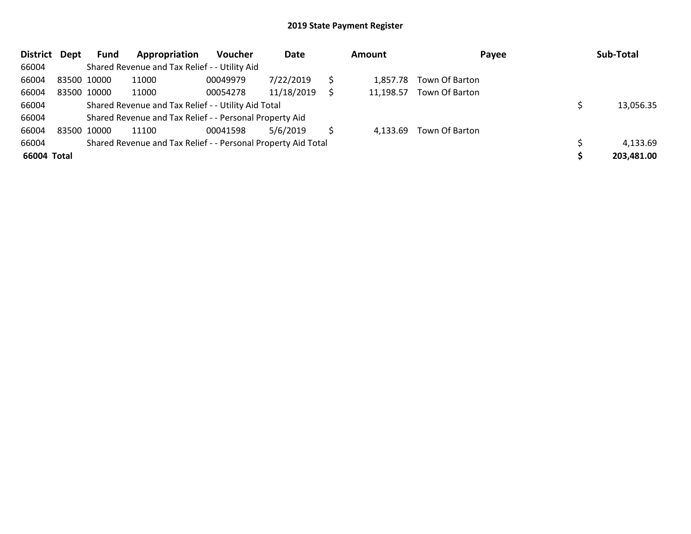| <b>District</b> | <b>Dept</b> | Fund | Appropriation                                                 | <b>Voucher</b> | Date       | <b>Amount</b> | Payee          | Sub-Total  |
|-----------------|-------------|------|---------------------------------------------------------------|----------------|------------|---------------|----------------|------------|
| 66004           |             |      | Shared Revenue and Tax Relief - - Utility Aid                 |                |            |               |                |            |
| 66004           | 83500 10000 |      | 11000                                                         | 00049979       | 7/22/2019  | 1.857.78      | Town Of Barton |            |
| 66004           | 83500 10000 |      | 11000                                                         | 00054278       | 11/18/2019 | 11.198.57     | Town Of Barton |            |
| 66004           |             |      | Shared Revenue and Tax Relief - - Utility Aid Total           |                |            |               |                | 13,056.35  |
| 66004           |             |      | Shared Revenue and Tax Relief - - Personal Property Aid       |                |            |               |                |            |
| 66004           | 83500 10000 |      | 11100                                                         | 00041598       | 5/6/2019   | 4,133.69      | Town Of Barton |            |
| 66004           |             |      | Shared Revenue and Tax Relief - - Personal Property Aid Total |                |            |               |                | 4,133.69   |
| 66004 Total     |             |      |                                                               |                |            |               |                | 203,481.00 |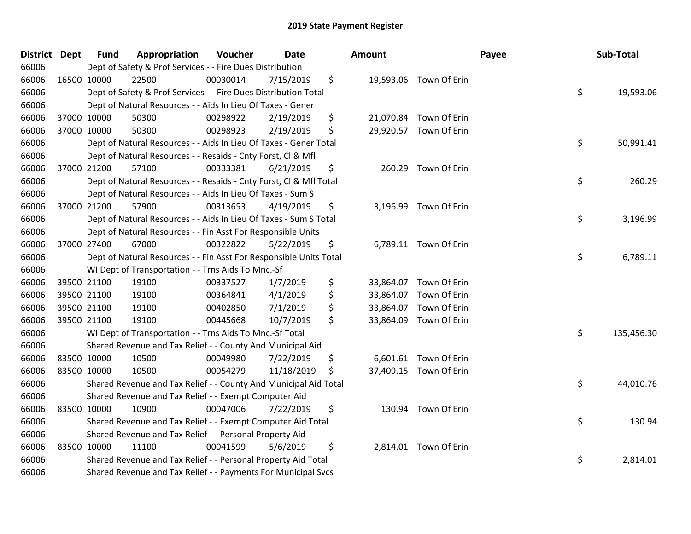| District Dept |             | <b>Fund</b> | Appropriation                                                      | Voucher  | Date       | Amount |                        | Payee | Sub-Total  |
|---------------|-------------|-------------|--------------------------------------------------------------------|----------|------------|--------|------------------------|-------|------------|
| 66006         |             |             | Dept of Safety & Prof Services - - Fire Dues Distribution          |          |            |        |                        |       |            |
| 66006         | 16500 10000 |             | 22500                                                              | 00030014 | 7/15/2019  | \$     | 19,593.06 Town Of Erin |       |            |
| 66006         |             |             | Dept of Safety & Prof Services - - Fire Dues Distribution Total    |          |            |        |                        | \$    | 19,593.06  |
| 66006         |             |             | Dept of Natural Resources - - Aids In Lieu Of Taxes - Gener        |          |            |        |                        |       |            |
| 66006         |             | 37000 10000 | 50300                                                              | 00298922 | 2/19/2019  | \$     | 21,070.84 Town Of Erin |       |            |
| 66006         |             | 37000 10000 | 50300                                                              | 00298923 | 2/19/2019  | \$     | 29,920.57 Town Of Erin |       |            |
| 66006         |             |             | Dept of Natural Resources - - Aids In Lieu Of Taxes - Gener Total  |          |            |        |                        | \$    | 50,991.41  |
| 66006         |             |             | Dept of Natural Resources - - Resaids - Cnty Forst, Cl & Mfl       |          |            |        |                        |       |            |
| 66006         |             | 37000 21200 | 57100                                                              | 00333381 | 6/21/2019  | \$     | 260.29 Town Of Erin    |       |            |
| 66006         |             |             | Dept of Natural Resources - - Resaids - Cnty Forst, Cl & Mfl Total |          |            |        |                        | \$    | 260.29     |
| 66006         |             |             | Dept of Natural Resources - - Aids In Lieu Of Taxes - Sum S        |          |            |        |                        |       |            |
| 66006         |             | 37000 21200 | 57900                                                              | 00313653 | 4/19/2019  | \$     | 3,196.99 Town Of Erin  |       |            |
| 66006         |             |             | Dept of Natural Resources - - Aids In Lieu Of Taxes - Sum S Total  |          |            |        |                        | \$    | 3,196.99   |
| 66006         |             |             | Dept of Natural Resources - - Fin Asst For Responsible Units       |          |            |        |                        |       |            |
| 66006         |             | 37000 27400 | 67000                                                              | 00322822 | 5/22/2019  | \$     | 6,789.11 Town Of Erin  |       |            |
| 66006         |             |             | Dept of Natural Resources - - Fin Asst For Responsible Units Total |          |            |        |                        | \$    | 6,789.11   |
| 66006         |             |             | WI Dept of Transportation - - Trns Aids To Mnc.-Sf                 |          |            |        |                        |       |            |
| 66006         |             | 39500 21100 | 19100                                                              | 00337527 | 1/7/2019   | \$     | 33,864.07 Town Of Erin |       |            |
| 66006         |             | 39500 21100 | 19100                                                              | 00364841 | 4/1/2019   | \$     | 33,864.07 Town Of Erin |       |            |
| 66006         |             | 39500 21100 | 19100                                                              | 00402850 | 7/1/2019   | \$     | 33,864.07 Town Of Erin |       |            |
| 66006         |             | 39500 21100 | 19100                                                              | 00445668 | 10/7/2019  | \$     | 33,864.09 Town Of Erin |       |            |
| 66006         |             |             | WI Dept of Transportation - - Trns Aids To Mnc.-Sf Total           |          |            |        |                        | \$    | 135,456.30 |
| 66006         |             |             | Shared Revenue and Tax Relief - - County And Municipal Aid         |          |            |        |                        |       |            |
| 66006         |             | 83500 10000 | 10500                                                              | 00049980 | 7/22/2019  | \$     | 6,601.61 Town Of Erin  |       |            |
| 66006         |             | 83500 10000 | 10500                                                              | 00054279 | 11/18/2019 | \$     | 37,409.15 Town Of Erin |       |            |
| 66006         |             |             | Shared Revenue and Tax Relief - - County And Municipal Aid Total   |          |            |        |                        | \$    | 44,010.76  |
| 66006         |             |             | Shared Revenue and Tax Relief - - Exempt Computer Aid              |          |            |        |                        |       |            |
| 66006         |             | 83500 10000 | 10900                                                              | 00047006 | 7/22/2019  | \$     | 130.94 Town Of Erin    |       |            |
| 66006         |             |             | Shared Revenue and Tax Relief - - Exempt Computer Aid Total        |          |            |        |                        | \$    | 130.94     |
| 66006         |             |             | Shared Revenue and Tax Relief - - Personal Property Aid            |          |            |        |                        |       |            |
| 66006         |             | 83500 10000 | 11100                                                              | 00041599 | 5/6/2019   | \$     | 2,814.01 Town Of Erin  |       |            |
| 66006         |             |             | Shared Revenue and Tax Relief - - Personal Property Aid Total      |          |            |        |                        | \$    | 2,814.01   |
| 66006         |             |             | Shared Revenue and Tax Relief - - Payments For Municipal Svcs      |          |            |        |                        |       |            |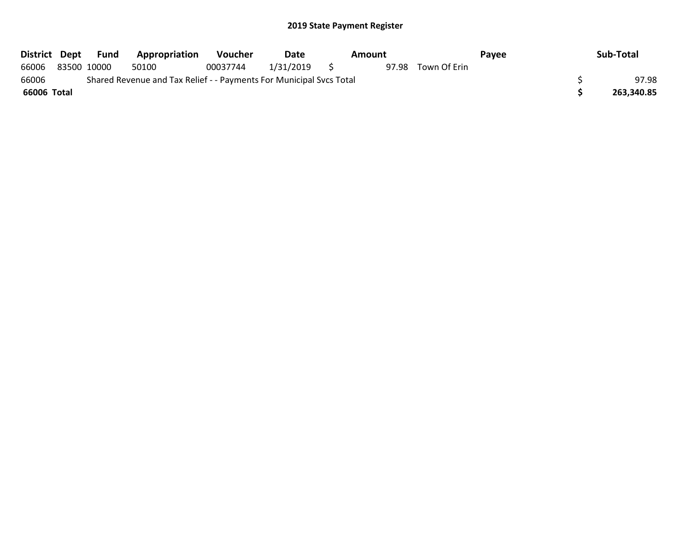| District Dept | Fund        | Appropriation                                                       | <b>Voucher</b> | Date         | Amount |                    | Payee | Sub-Total  |
|---------------|-------------|---------------------------------------------------------------------|----------------|--------------|--------|--------------------|-------|------------|
| 66006         | 83500 10000 | 50100                                                               | 00037744       | 1/31/2019 \$ |        | 97.98 Town Of Erin |       |            |
| 66006         |             | Shared Revenue and Tax Relief - - Payments For Municipal Svcs Total |                |              |        |                    |       | 97.98      |
| 66006 Total   |             |                                                                     |                |              |        |                    |       | 263,340.85 |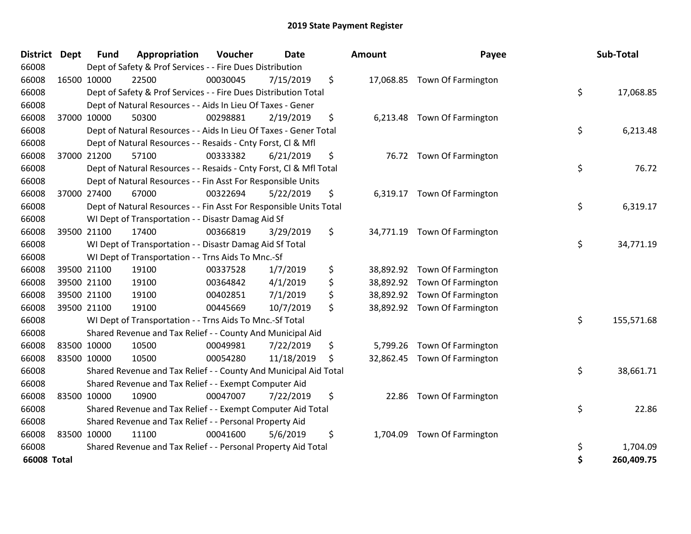| District Dept      |             | <b>Fund</b> | Appropriation                                                      | Voucher  | <b>Date</b> | Amount          | Payee                        | Sub-Total        |
|--------------------|-------------|-------------|--------------------------------------------------------------------|----------|-------------|-----------------|------------------------------|------------------|
| 66008              |             |             | Dept of Safety & Prof Services - - Fire Dues Distribution          |          |             |                 |                              |                  |
| 66008              |             | 16500 10000 | 22500                                                              | 00030045 | 7/15/2019   | \$              | 17,068.85 Town Of Farmington |                  |
| 66008              |             |             | Dept of Safety & Prof Services - - Fire Dues Distribution Total    |          |             |                 |                              | \$<br>17,068.85  |
| 66008              |             |             | Dept of Natural Resources - - Aids In Lieu Of Taxes - Gener        |          |             |                 |                              |                  |
| 66008              |             | 37000 10000 | 50300                                                              | 00298881 | 2/19/2019   | \$<br>6,213.48  | <b>Town Of Farmington</b>    |                  |
| 66008              |             |             | Dept of Natural Resources - - Aids In Lieu Of Taxes - Gener Total  |          |             |                 |                              | \$<br>6,213.48   |
| 66008              |             |             | Dept of Natural Resources - - Resaids - Cnty Forst, CI & Mfl       |          |             |                 |                              |                  |
| 66008              |             | 37000 21200 | 57100                                                              | 00333382 | 6/21/2019   | \$              | 76.72 Town Of Farmington     |                  |
| 66008              |             |             | Dept of Natural Resources - - Resaids - Cnty Forst, Cl & Mfl Total |          |             |                 |                              | \$<br>76.72      |
| 66008              |             |             | Dept of Natural Resources - - Fin Asst For Responsible Units       |          |             |                 |                              |                  |
| 66008              |             | 37000 27400 | 67000                                                              | 00322694 | 5/22/2019   | \$<br>6,319.17  | Town Of Farmington           |                  |
| 66008              |             |             | Dept of Natural Resources - - Fin Asst For Responsible Units Total |          |             |                 |                              | \$<br>6,319.17   |
| 66008              |             |             | WI Dept of Transportation - - Disastr Damag Aid Sf                 |          |             |                 |                              |                  |
| 66008              |             | 39500 21100 | 17400                                                              | 00366819 | 3/29/2019   | \$<br>34,771.19 | Town Of Farmington           |                  |
| 66008              |             |             | WI Dept of Transportation - - Disastr Damag Aid Sf Total           |          |             |                 |                              | \$<br>34,771.19  |
| 66008              |             |             | WI Dept of Transportation - - Trns Aids To Mnc.-Sf                 |          |             |                 |                              |                  |
| 66008              |             | 39500 21100 | 19100                                                              | 00337528 | 1/7/2019    | \$              | 38,892.92 Town Of Farmington |                  |
| 66008              |             | 39500 21100 | 19100                                                              | 00364842 | 4/1/2019    | \$<br>38,892.92 | Town Of Farmington           |                  |
| 66008              |             | 39500 21100 | 19100                                                              | 00402851 | 7/1/2019    | \$<br>38,892.92 | Town Of Farmington           |                  |
| 66008              |             | 39500 21100 | 19100                                                              | 00445669 | 10/7/2019   | \$              | 38,892.92 Town Of Farmington |                  |
| 66008              |             |             | WI Dept of Transportation - - Trns Aids To Mnc.-Sf Total           |          |             |                 |                              | \$<br>155,571.68 |
| 66008              |             |             | Shared Revenue and Tax Relief - - County And Municipal Aid         |          |             |                 |                              |                  |
| 66008              | 83500 10000 |             | 10500                                                              | 00049981 | 7/22/2019   | \$<br>5,799.26  | Town Of Farmington           |                  |
| 66008              | 83500 10000 |             | 10500                                                              | 00054280 | 11/18/2019  | \$              | 32,862.45 Town Of Farmington |                  |
| 66008              |             |             | Shared Revenue and Tax Relief - - County And Municipal Aid Total   |          |             |                 |                              | \$<br>38,661.71  |
| 66008              |             |             | Shared Revenue and Tax Relief - - Exempt Computer Aid              |          |             |                 |                              |                  |
| 66008              |             | 83500 10000 | 10900                                                              | 00047007 | 7/22/2019   | \$<br>22.86     | Town Of Farmington           |                  |
| 66008              |             |             | Shared Revenue and Tax Relief - - Exempt Computer Aid Total        |          |             |                 |                              | \$<br>22.86      |
| 66008              |             |             | Shared Revenue and Tax Relief - - Personal Property Aid            |          |             |                 |                              |                  |
| 66008              | 83500 10000 |             | 11100                                                              | 00041600 | 5/6/2019    | \$<br>1,704.09  | Town Of Farmington           |                  |
| 66008              |             |             | Shared Revenue and Tax Relief - - Personal Property Aid Total      |          |             |                 |                              | \$<br>1,704.09   |
| <b>66008 Total</b> |             |             |                                                                    |          |             |                 |                              | \$<br>260,409.75 |

| nount                               | Payee                                                          |          | Sub-Total              |
|-------------------------------------|----------------------------------------------------------------|----------|------------------------|
| 17,068.85                           | Town Of Farmington                                             | \$       | 17,068.85              |
| 6,213.48                            | Town Of Farmington                                             | \$       | 6,213.48               |
| 76.72                               | Town Of Farmington                                             | \$       | 76.72                  |
| 6,319.17                            | Town Of Farmington                                             | \$       | 6,319.17               |
| 34,771.19                           | Town Of Farmington                                             | \$       | 34,771.19              |
| 38,892.92<br>38,892.92<br>38,892.92 | Town Of Farmington<br>Town Of Farmington<br>Town Of Farmington |          |                        |
| 38,892.92                           | Town Of Farmington                                             | \$       | 155,571.68             |
| 5,799.26<br>32,862.45               | Town Of Farmington<br>Town Of Farmington                       | \$       | 38,661.71              |
| 22.86                               | Town Of Farmington                                             | \$       | 22.86                  |
| 1,704.09                            | Town Of Farmington                                             | \$<br>\$ | 1,704.09<br>260,409.75 |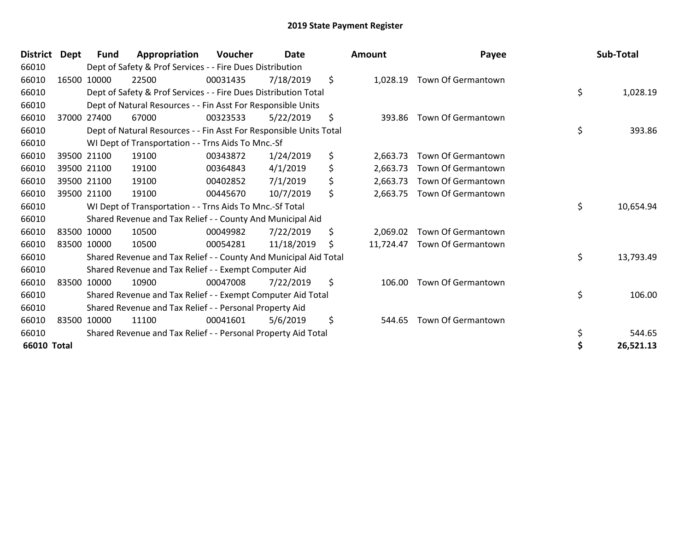| <b>District</b> | Dept | Fund        | Appropriation                                                      | <b>Voucher</b> | <b>Date</b> | <b>Amount</b>   | Payee                     | Sub-Total       |
|-----------------|------|-------------|--------------------------------------------------------------------|----------------|-------------|-----------------|---------------------------|-----------------|
| 66010           |      |             | Dept of Safety & Prof Services - - Fire Dues Distribution          |                |             |                 |                           |                 |
| 66010           |      | 16500 10000 | 22500                                                              | 00031435       | 7/18/2019   | \$<br>1,028.19  | <b>Town Of Germantown</b> |                 |
| 66010           |      |             | Dept of Safety & Prof Services - - Fire Dues Distribution Total    |                |             |                 |                           | \$<br>1,028.19  |
| 66010           |      |             | Dept of Natural Resources - - Fin Asst For Responsible Units       |                |             |                 |                           |                 |
| 66010           |      | 37000 27400 | 67000                                                              | 00323533       | 5/22/2019   | \$<br>393.86    | Town Of Germantown        |                 |
| 66010           |      |             | Dept of Natural Resources - - Fin Asst For Responsible Units Total |                |             |                 |                           | \$<br>393.86    |
| 66010           |      |             | WI Dept of Transportation - - Trns Aids To Mnc.-Sf                 |                |             |                 |                           |                 |
| 66010           |      | 39500 21100 | 19100                                                              | 00343872       | 1/24/2019   | \$<br>2,663.73  | Town Of Germantown        |                 |
| 66010           |      | 39500 21100 | 19100                                                              | 00364843       | 4/1/2019    | \$<br>2,663.73  | Town Of Germantown        |                 |
| 66010           |      | 39500 21100 | 19100                                                              | 00402852       | 7/1/2019    | \$<br>2,663.73  | Town Of Germantown        |                 |
| 66010           |      | 39500 21100 | 19100                                                              | 00445670       | 10/7/2019   | \$<br>2,663.75  | Town Of Germantown        |                 |
| 66010           |      |             | WI Dept of Transportation - - Trns Aids To Mnc.-Sf Total           |                |             |                 |                           | \$<br>10,654.94 |
| 66010           |      |             | Shared Revenue and Tax Relief - - County And Municipal Aid         |                |             |                 |                           |                 |
| 66010           |      | 83500 10000 | 10500                                                              | 00049982       | 7/22/2019   | \$<br>2.069.02  | Town Of Germantown        |                 |
| 66010           |      | 83500 10000 | 10500                                                              | 00054281       | 11/18/2019  | \$<br>11,724.47 | Town Of Germantown        |                 |
| 66010           |      |             | Shared Revenue and Tax Relief - - County And Municipal Aid Total   |                |             |                 |                           | \$<br>13,793.49 |
| 66010           |      |             | Shared Revenue and Tax Relief - - Exempt Computer Aid              |                |             |                 |                           |                 |
| 66010           |      | 83500 10000 | 10900                                                              | 00047008       | 7/22/2019   | \$<br>106.00    | Town Of Germantown        |                 |
| 66010           |      |             | Shared Revenue and Tax Relief - - Exempt Computer Aid Total        |                |             |                 |                           | \$<br>106.00    |
| 66010           |      |             | Shared Revenue and Tax Relief - - Personal Property Aid            |                |             |                 |                           |                 |
| 66010           |      | 83500 10000 | 11100                                                              | 00041601       | 5/6/2019    | \$<br>544.65    | <b>Town Of Germantown</b> |                 |
| 66010           |      |             | Shared Revenue and Tax Relief - - Personal Property Aid Total      |                |             |                 |                           | \$<br>544.65    |
| 66010 Total     |      |             |                                                                    |                |             |                 |                           | 26,521.13       |

|                    | District Dept | <b>Fund</b> | Appropriation                                                      | <b>Voucher</b> | <b>Date</b> | <b>Amount</b>   | Payee                     | Sub-Total       |
|--------------------|---------------|-------------|--------------------------------------------------------------------|----------------|-------------|-----------------|---------------------------|-----------------|
| 66010              |               |             | Dept of Safety & Prof Services - - Fire Dues Distribution          |                |             |                 |                           |                 |
| 66010              |               | 16500 10000 | 22500                                                              | 00031435       | 7/18/2019   | \$<br>1,028.19  | <b>Town Of Germantown</b> |                 |
| 66010              |               |             | Dept of Safety & Prof Services - - Fire Dues Distribution Total    |                |             |                 |                           | \$<br>1,028.19  |
| 66010              |               |             | Dept of Natural Resources - - Fin Asst For Responsible Units       |                |             |                 |                           |                 |
| 66010              |               | 37000 27400 | 67000                                                              | 00323533       | 5/22/2019   | \$<br>393.86    | <b>Town Of Germantown</b> |                 |
| 66010              |               |             | Dept of Natural Resources - - Fin Asst For Responsible Units Total |                |             |                 |                           | \$<br>393.86    |
| 66010              |               |             | WI Dept of Transportation - - Trns Aids To Mnc.-Sf                 |                |             |                 |                           |                 |
| 66010              |               | 39500 21100 | 19100                                                              | 00343872       | 1/24/2019   | \$<br>2,663.73  | Town Of Germantown        |                 |
| 66010              |               | 39500 21100 | 19100                                                              | 00364843       | 4/1/2019    | \$<br>2,663.73  | Town Of Germantown        |                 |
| 66010              |               | 39500 21100 | 19100                                                              | 00402852       | 7/1/2019    | \$<br>2,663.73  | Town Of Germantown        |                 |
| 66010              |               | 39500 21100 | 19100                                                              | 00445670       | 10/7/2019   | \$<br>2,663.75  | Town Of Germantown        |                 |
| 66010              |               |             | WI Dept of Transportation - - Trns Aids To Mnc.-Sf Total           |                |             |                 |                           | \$<br>10,654.94 |
| 66010              |               |             | Shared Revenue and Tax Relief - - County And Municipal Aid         |                |             |                 |                           |                 |
| 66010              |               | 83500 10000 | 10500                                                              | 00049982       | 7/22/2019   | \$<br>2,069.02  | Town Of Germantown        |                 |
| 66010              |               | 83500 10000 | 10500                                                              | 00054281       | 11/18/2019  | \$<br>11,724.47 | Town Of Germantown        |                 |
| 66010              |               |             | Shared Revenue and Tax Relief - - County And Municipal Aid Total   |                |             |                 |                           | \$<br>13,793.49 |
| 66010              |               |             | Shared Revenue and Tax Relief - - Exempt Computer Aid              |                |             |                 |                           |                 |
| 66010              |               | 83500 10000 | 10900                                                              | 00047008       | 7/22/2019   | \$<br>106.00    | Town Of Germantown        |                 |
| 66010              |               |             | Shared Revenue and Tax Relief - - Exempt Computer Aid Total        |                |             |                 |                           | \$<br>106.00    |
| 66010              |               |             | Shared Revenue and Tax Relief - - Personal Property Aid            |                |             |                 |                           |                 |
| 66010              |               | 83500 10000 | 11100                                                              | 00041601       | 5/6/2019    | \$<br>544.65    | <b>Town Of Germantown</b> |                 |
| 66010              |               |             | Shared Revenue and Tax Relief - - Personal Property Aid Total      |                |             |                 |                           | \$<br>544.65    |
| <b>66010 Total</b> |               |             |                                                                    |                |             |                 |                           | \$<br>26,521.13 |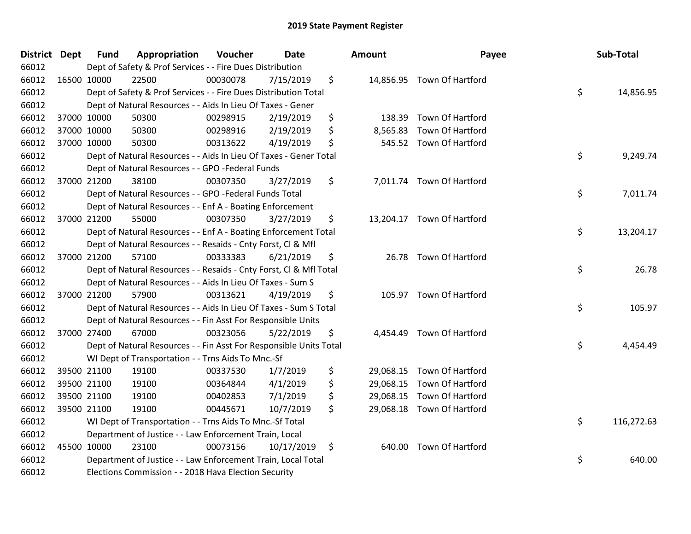| District Dept |             | <b>Fund</b> | Appropriation                                                      | Voucher  | <b>Date</b> |     | <b>Amount</b> | Payee                      | Sub-Total        |
|---------------|-------------|-------------|--------------------------------------------------------------------|----------|-------------|-----|---------------|----------------------------|------------------|
| 66012         |             |             | Dept of Safety & Prof Services - - Fire Dues Distribution          |          |             |     |               |                            |                  |
| 66012         | 16500 10000 |             | 22500                                                              | 00030078 | 7/15/2019   | \$  |               | 14,856.95 Town Of Hartford |                  |
| 66012         |             |             | Dept of Safety & Prof Services - - Fire Dues Distribution Total    |          |             |     |               |                            | \$<br>14,856.95  |
| 66012         |             |             | Dept of Natural Resources - - Aids In Lieu Of Taxes - Gener        |          |             |     |               |                            |                  |
| 66012         |             | 37000 10000 | 50300                                                              | 00298915 | 2/19/2019   | \$  | 138.39        | Town Of Hartford           |                  |
| 66012         |             | 37000 10000 | 50300                                                              | 00298916 | 2/19/2019   | \$  | 8,565.83      | Town Of Hartford           |                  |
| 66012         |             | 37000 10000 | 50300                                                              | 00313622 | 4/19/2019   | \$  |               | 545.52 Town Of Hartford    |                  |
| 66012         |             |             | Dept of Natural Resources - - Aids In Lieu Of Taxes - Gener Total  |          |             |     |               |                            | \$<br>9,249.74   |
| 66012         |             |             | Dept of Natural Resources - - GPO -Federal Funds                   |          |             |     |               |                            |                  |
| 66012         |             | 37000 21200 | 38100                                                              | 00307350 | 3/27/2019   | \$  |               | 7,011.74 Town Of Hartford  |                  |
| 66012         |             |             | Dept of Natural Resources - - GPO -Federal Funds Total             |          |             |     |               |                            | \$<br>7,011.74   |
| 66012         |             |             | Dept of Natural Resources - - Enf A - Boating Enforcement          |          |             |     |               |                            |                  |
| 66012         |             | 37000 21200 | 55000                                                              | 00307350 | 3/27/2019   | \$  |               | 13,204.17 Town Of Hartford |                  |
| 66012         |             |             | Dept of Natural Resources - - Enf A - Boating Enforcement Total    |          |             |     |               |                            | \$<br>13,204.17  |
| 66012         |             |             | Dept of Natural Resources - - Resaids - Cnty Forst, Cl & Mfl       |          |             |     |               |                            |                  |
| 66012         |             | 37000 21200 | 57100                                                              | 00333383 | 6/21/2019   | \$  |               | 26.78 Town Of Hartford     |                  |
| 66012         |             |             | Dept of Natural Resources - - Resaids - Cnty Forst, Cl & Mfl Total |          |             |     |               |                            | \$<br>26.78      |
| 66012         |             |             | Dept of Natural Resources - - Aids In Lieu Of Taxes - Sum S        |          |             |     |               |                            |                  |
| 66012         |             | 37000 21200 | 57900                                                              | 00313621 | 4/19/2019   | \$  |               | 105.97 Town Of Hartford    |                  |
| 66012         |             |             | Dept of Natural Resources - - Aids In Lieu Of Taxes - Sum S Total  |          |             |     |               |                            | \$<br>105.97     |
| 66012         |             |             | Dept of Natural Resources - - Fin Asst For Responsible Units       |          |             |     |               |                            |                  |
| 66012         |             | 37000 27400 | 67000                                                              | 00323056 | 5/22/2019   | \$  |               | 4,454.49 Town Of Hartford  |                  |
| 66012         |             |             | Dept of Natural Resources - - Fin Asst For Responsible Units Total |          |             |     |               |                            | \$<br>4,454.49   |
| 66012         |             |             | WI Dept of Transportation - - Trns Aids To Mnc.-Sf                 |          |             |     |               |                            |                  |
| 66012         |             | 39500 21100 | 19100                                                              | 00337530 | 1/7/2019    | \$  |               | 29,068.15 Town Of Hartford |                  |
| 66012         |             | 39500 21100 | 19100                                                              | 00364844 | 4/1/2019    | \$  |               | 29,068.15 Town Of Hartford |                  |
| 66012         |             | 39500 21100 | 19100                                                              | 00402853 | 7/1/2019    | \$  |               | 29,068.15 Town Of Hartford |                  |
| 66012         |             | 39500 21100 | 19100                                                              | 00445671 | 10/7/2019   | \$. |               | 29,068.18 Town Of Hartford |                  |
| 66012         |             |             | WI Dept of Transportation - - Trns Aids To Mnc.-Sf Total           |          |             |     |               |                            | \$<br>116,272.63 |
| 66012         |             |             | Department of Justice - - Law Enforcement Train, Local             |          |             |     |               |                            |                  |
| 66012         |             | 45500 10000 | 23100                                                              | 00073156 | 10/17/2019  | \$  |               | 640.00 Town Of Hartford    |                  |
| 66012         |             |             | Department of Justice - - Law Enforcement Train, Local Total       |          |             |     |               |                            | \$<br>640.00     |
| 66012         |             |             | Elections Commission - - 2018 Hava Election Security               |          |             |     |               |                            |                  |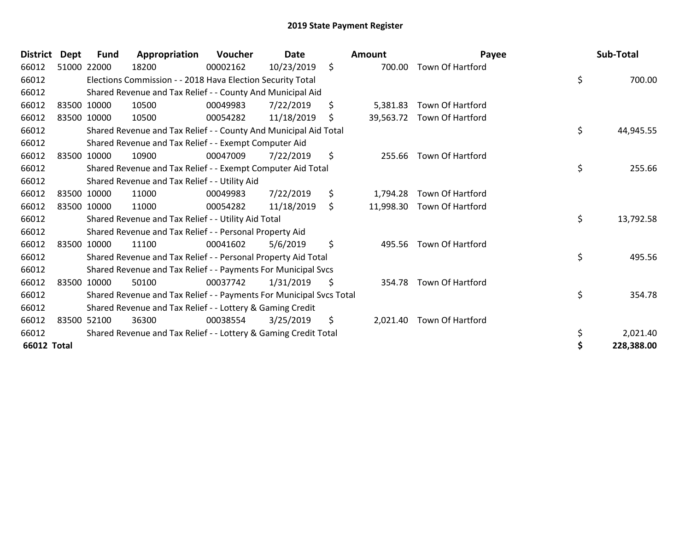| <b>District</b>    | Dept        | Fund        | Appropriation                                                       | Voucher  | <b>Date</b> |     | Amount   | Payee                      | Sub-Total       |
|--------------------|-------------|-------------|---------------------------------------------------------------------|----------|-------------|-----|----------|----------------------------|-----------------|
| 66012              |             | 51000 22000 | 18200                                                               | 00002162 | 10/23/2019  | \$  | 700.00   | Town Of Hartford           |                 |
| 66012              |             |             | Elections Commission - - 2018 Hava Election Security Total          |          |             |     |          |                            | \$<br>700.00    |
| 66012              |             |             | Shared Revenue and Tax Relief - - County And Municipal Aid          |          |             |     |          |                            |                 |
| 66012              | 83500 10000 |             | 10500                                                               | 00049983 | 7/22/2019   | \$  | 5,381.83 | <b>Town Of Hartford</b>    |                 |
| 66012              | 83500 10000 |             | 10500                                                               | 00054282 | 11/18/2019  | \$  |          | 39,563.72 Town Of Hartford |                 |
| 66012              |             |             | Shared Revenue and Tax Relief - - County And Municipal Aid Total    |          |             |     |          |                            | \$<br>44,945.55 |
| 66012              |             |             | Shared Revenue and Tax Relief - - Exempt Computer Aid               |          |             |     |          |                            |                 |
| 66012              |             | 83500 10000 | 10900                                                               | 00047009 | 7/22/2019   | \$  | 255.66   | <b>Town Of Hartford</b>    |                 |
| 66012              |             |             | Shared Revenue and Tax Relief - - Exempt Computer Aid Total         |          |             |     |          |                            | \$<br>255.66    |
| 66012              |             |             | Shared Revenue and Tax Relief - - Utility Aid                       |          |             |     |          |                            |                 |
| 66012              | 83500 10000 |             | 11000                                                               | 00049983 | 7/22/2019   | \$  | 1,794.28 | <b>Town Of Hartford</b>    |                 |
| 66012              | 83500 10000 |             | 11000                                                               | 00054282 | 11/18/2019  | \$  |          | 11,998.30 Town Of Hartford |                 |
| 66012              |             |             | Shared Revenue and Tax Relief - - Utility Aid Total                 |          |             |     |          |                            | \$<br>13,792.58 |
| 66012              |             |             | Shared Revenue and Tax Relief - - Personal Property Aid             |          |             |     |          |                            |                 |
| 66012              |             | 83500 10000 | 11100                                                               | 00041602 | 5/6/2019    | \$  | 495.56   | <b>Town Of Hartford</b>    |                 |
| 66012              |             |             | Shared Revenue and Tax Relief - - Personal Property Aid Total       |          |             |     |          |                            | \$<br>495.56    |
| 66012              |             |             | Shared Revenue and Tax Relief - - Payments For Municipal Svcs       |          |             |     |          |                            |                 |
| 66012              | 83500 10000 |             | 50100                                                               | 00037742 | 1/31/2019   | \$  | 354.78   | <b>Town Of Hartford</b>    |                 |
| 66012              |             |             | Shared Revenue and Tax Relief - - Payments For Municipal Svcs Total |          |             |     |          |                            | \$<br>354.78    |
| 66012              |             |             | Shared Revenue and Tax Relief - - Lottery & Gaming Credit           |          |             |     |          |                            |                 |
| 66012              | 83500 52100 |             | 36300                                                               | 00038554 | 3/25/2019   | \$. | 2,021.40 | Town Of Hartford           |                 |
| 66012              |             |             | Shared Revenue and Tax Relief - - Lottery & Gaming Credit Total     |          |             |     |          |                            | \$<br>2,021.40  |
| <b>66012 Total</b> |             |             |                                                                     |          |             |     |          |                            | 228,388.00      |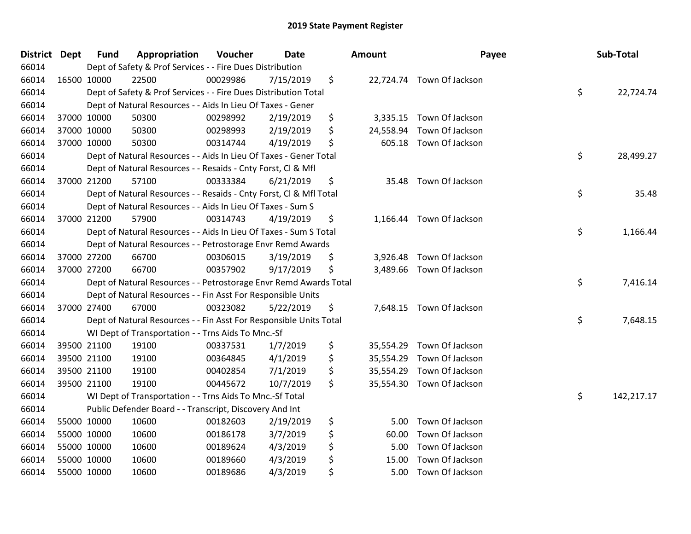| District Dept |             | <b>Fund</b> | Appropriation                                                      | Voucher  | <b>Date</b> | Amount          | Payee                     | Sub-Total        |
|---------------|-------------|-------------|--------------------------------------------------------------------|----------|-------------|-----------------|---------------------------|------------------|
| 66014         |             |             | Dept of Safety & Prof Services - - Fire Dues Distribution          |          |             |                 |                           |                  |
| 66014         | 16500 10000 |             | 22500                                                              | 00029986 | 7/15/2019   | \$              | 22,724.74 Town Of Jackson |                  |
| 66014         |             |             | Dept of Safety & Prof Services - - Fire Dues Distribution Total    |          |             |                 |                           | \$<br>22,724.74  |
| 66014         |             |             | Dept of Natural Resources - - Aids In Lieu Of Taxes - Gener        |          |             |                 |                           |                  |
| 66014         |             | 37000 10000 | 50300                                                              | 00298992 | 2/19/2019   | \$              | 3,335.15 Town Of Jackson  |                  |
| 66014         |             | 37000 10000 | 50300                                                              | 00298993 | 2/19/2019   | \$<br>24,558.94 | Town Of Jackson           |                  |
| 66014         |             | 37000 10000 | 50300                                                              | 00314744 | 4/19/2019   | \$<br>605.18    | Town Of Jackson           |                  |
| 66014         |             |             | Dept of Natural Resources - - Aids In Lieu Of Taxes - Gener Total  |          |             |                 |                           | \$<br>28,499.27  |
| 66014         |             |             | Dept of Natural Resources - - Resaids - Cnty Forst, Cl & Mfl       |          |             |                 |                           |                  |
| 66014         |             | 37000 21200 | 57100                                                              | 00333384 | 6/21/2019   | \$<br>35.48     | Town Of Jackson           |                  |
| 66014         |             |             | Dept of Natural Resources - - Resaids - Cnty Forst, Cl & Mfl Total |          |             |                 |                           | \$<br>35.48      |
| 66014         |             |             | Dept of Natural Resources - - Aids In Lieu Of Taxes - Sum S        |          |             |                 |                           |                  |
| 66014         |             | 37000 21200 | 57900                                                              | 00314743 | 4/19/2019   | \$              | 1,166.44 Town Of Jackson  |                  |
| 66014         |             |             | Dept of Natural Resources - - Aids In Lieu Of Taxes - Sum S Total  |          |             |                 |                           | \$<br>1,166.44   |
| 66014         |             |             | Dept of Natural Resources - - Petrostorage Envr Remd Awards        |          |             |                 |                           |                  |
| 66014         |             | 37000 27200 | 66700                                                              | 00306015 | 3/19/2019   | \$<br>3,926.48  | Town Of Jackson           |                  |
| 66014         |             | 37000 27200 | 66700                                                              | 00357902 | 9/17/2019   | \$              | 3,489.66 Town Of Jackson  |                  |
| 66014         |             |             | Dept of Natural Resources - - Petrostorage Envr Remd Awards Total  |          |             |                 |                           | \$<br>7,416.14   |
| 66014         |             |             | Dept of Natural Resources - - Fin Asst For Responsible Units       |          |             |                 |                           |                  |
| 66014         |             | 37000 27400 | 67000                                                              | 00323082 | 5/22/2019   | \$              | 7,648.15 Town Of Jackson  |                  |
| 66014         |             |             | Dept of Natural Resources - - Fin Asst For Responsible Units Total |          |             |                 |                           | \$<br>7,648.15   |
| 66014         |             |             | WI Dept of Transportation - - Trns Aids To Mnc.-Sf                 |          |             |                 |                           |                  |
| 66014         |             | 39500 21100 | 19100                                                              | 00337531 | 1/7/2019    | \$<br>35,554.29 | Town Of Jackson           |                  |
| 66014         | 39500 21100 |             | 19100                                                              | 00364845 | 4/1/2019    | \$              | 35,554.29 Town Of Jackson |                  |
| 66014         | 39500 21100 |             | 19100                                                              | 00402854 | 7/1/2019    | \$              | 35,554.29 Town Of Jackson |                  |
| 66014         | 39500 21100 |             | 19100                                                              | 00445672 | 10/7/2019   | \$              | 35,554.30 Town Of Jackson |                  |
| 66014         |             |             | WI Dept of Transportation - - Trns Aids To Mnc.-Sf Total           |          |             |                 |                           | \$<br>142,217.17 |
| 66014         |             |             | Public Defender Board - - Transcript, Discovery And Int            |          |             |                 |                           |                  |
| 66014         | 55000 10000 |             | 10600                                                              | 00182603 | 2/19/2019   | \$<br>5.00      | Town Of Jackson           |                  |
| 66014         | 55000 10000 |             | 10600                                                              | 00186178 | 3/7/2019    | \$<br>60.00     | Town Of Jackson           |                  |
| 66014         | 55000 10000 |             | 10600                                                              | 00189624 | 4/3/2019    | \$<br>5.00      | Town Of Jackson           |                  |
| 66014         | 55000 10000 |             | 10600                                                              | 00189660 | 4/3/2019    | \$<br>15.00     | Town Of Jackson           |                  |
| 66014         |             | 55000 10000 | 10600                                                              | 00189686 | 4/3/2019    | \$<br>5.00      | Town Of Jackson           |                  |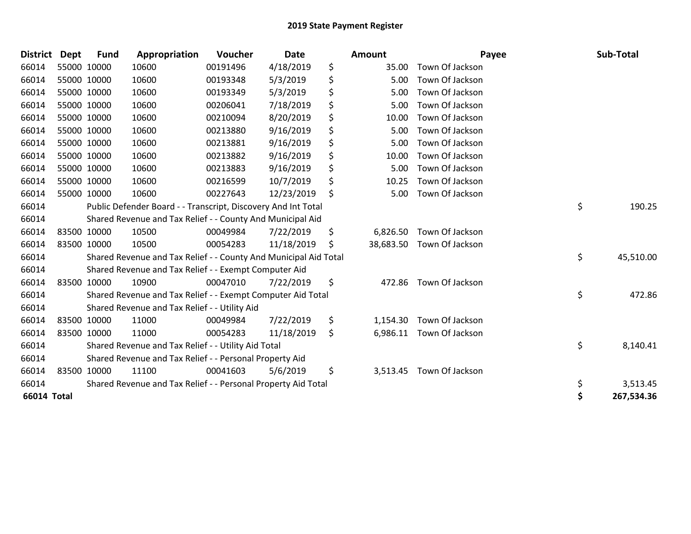| <b>District</b> | Dept | <b>Fund</b> | Appropriation                                                    | Voucher  | <b>Date</b> | <b>Amount</b>   | Payee           | Sub-Total        |
|-----------------|------|-------------|------------------------------------------------------------------|----------|-------------|-----------------|-----------------|------------------|
| 66014           |      | 55000 10000 | 10600                                                            | 00191496 | 4/18/2019   | \$<br>35.00     | Town Of Jackson |                  |
| 66014           |      | 55000 10000 | 10600                                                            | 00193348 | 5/3/2019    | \$<br>5.00      | Town Of Jackson |                  |
| 66014           |      | 55000 10000 | 10600                                                            | 00193349 | 5/3/2019    | \$<br>5.00      | Town Of Jackson |                  |
| 66014           |      | 55000 10000 | 10600                                                            | 00206041 | 7/18/2019   | \$<br>5.00      | Town Of Jackson |                  |
| 66014           |      | 55000 10000 | 10600                                                            | 00210094 | 8/20/2019   | \$<br>10.00     | Town Of Jackson |                  |
| 66014           |      | 55000 10000 | 10600                                                            | 00213880 | 9/16/2019   | \$<br>5.00      | Town Of Jackson |                  |
| 66014           |      | 55000 10000 | 10600                                                            | 00213881 | 9/16/2019   | \$<br>5.00      | Town Of Jackson |                  |
| 66014           |      | 55000 10000 | 10600                                                            | 00213882 | 9/16/2019   | \$<br>10.00     | Town Of Jackson |                  |
| 66014           |      | 55000 10000 | 10600                                                            | 00213883 | 9/16/2019   | \$<br>5.00      | Town Of Jackson |                  |
| 66014           |      | 55000 10000 | 10600                                                            | 00216599 | 10/7/2019   | \$<br>10.25     | Town Of Jackson |                  |
| 66014           |      | 55000 10000 | 10600                                                            | 00227643 | 12/23/2019  | \$<br>5.00      | Town Of Jackson |                  |
| 66014           |      |             | Public Defender Board - - Transcript, Discovery And Int Total    |          |             |                 |                 | \$<br>190.25     |
| 66014           |      |             | Shared Revenue and Tax Relief - - County And Municipal Aid       |          |             |                 |                 |                  |
| 66014           |      | 83500 10000 | 10500                                                            | 00049984 | 7/22/2019   | \$<br>6,826.50  | Town Of Jackson |                  |
| 66014           |      | 83500 10000 | 10500                                                            | 00054283 | 11/18/2019  | \$<br>38,683.50 | Town Of Jackson |                  |
| 66014           |      |             | Shared Revenue and Tax Relief - - County And Municipal Aid Total |          |             |                 |                 | \$<br>45,510.00  |
| 66014           |      |             | Shared Revenue and Tax Relief - - Exempt Computer Aid            |          |             |                 |                 |                  |
| 66014           |      | 83500 10000 | 10900                                                            | 00047010 | 7/22/2019   | \$<br>472.86    | Town Of Jackson |                  |
| 66014           |      |             | Shared Revenue and Tax Relief - - Exempt Computer Aid Total      |          |             |                 |                 | \$<br>472.86     |
| 66014           |      |             | Shared Revenue and Tax Relief - - Utility Aid                    |          |             |                 |                 |                  |
| 66014           |      | 83500 10000 | 11000                                                            | 00049984 | 7/22/2019   | \$<br>1,154.30  | Town Of Jackson |                  |
| 66014           |      | 83500 10000 | 11000                                                            | 00054283 | 11/18/2019  | \$<br>6,986.11  | Town Of Jackson |                  |
| 66014           |      |             | Shared Revenue and Tax Relief - - Utility Aid Total              |          |             |                 |                 | \$<br>8,140.41   |
| 66014           |      |             | Shared Revenue and Tax Relief - - Personal Property Aid          |          |             |                 |                 |                  |
| 66014           |      | 83500 10000 | 11100                                                            | 00041603 | 5/6/2019    | \$<br>3,513.45  | Town Of Jackson |                  |
| 66014           |      |             | Shared Revenue and Tax Relief - - Personal Property Aid Total    |          |             |                 |                 | \$<br>3,513.45   |
| 66014 Total     |      |             |                                                                  |          |             |                 |                 | \$<br>267,534.36 |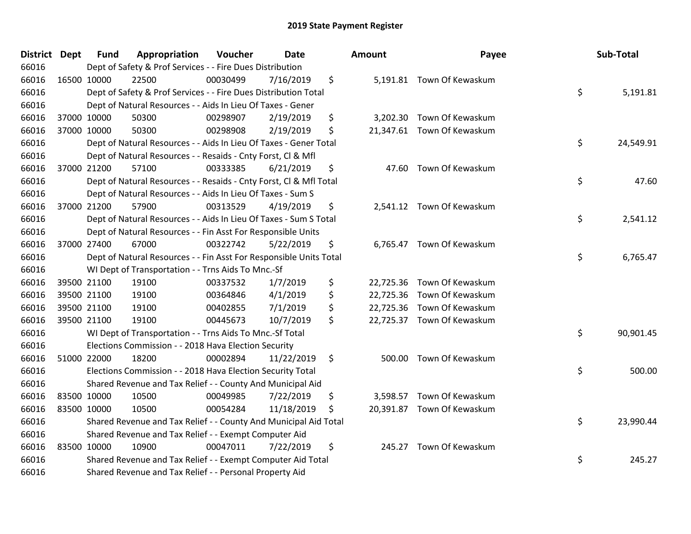|       | District Dept | <b>Fund</b>                                                        | Appropriation | Voucher  | <b>Date</b> |         | <b>Amount</b> | Payee                      | Sub-Total       |
|-------|---------------|--------------------------------------------------------------------|---------------|----------|-------------|---------|---------------|----------------------------|-----------------|
| 66016 |               | Dept of Safety & Prof Services - - Fire Dues Distribution          |               |          |             |         |               |                            |                 |
| 66016 |               | 16500 10000<br>22500                                               |               | 00030499 | 7/16/2019   | \$      |               | 5,191.81 Town Of Kewaskum  |                 |
| 66016 |               | Dept of Safety & Prof Services - - Fire Dues Distribution Total    |               |          |             |         |               |                            | \$<br>5,191.81  |
| 66016 |               | Dept of Natural Resources - - Aids In Lieu Of Taxes - Gener        |               |          |             |         |               |                            |                 |
| 66016 |               | 50300<br>37000 10000                                               |               | 00298907 | 2/19/2019   | \$      | 3,202.30      | Town Of Kewaskum           |                 |
| 66016 |               | 37000 10000<br>50300                                               |               | 00298908 | 2/19/2019   | \$      |               | 21,347.61 Town Of Kewaskum |                 |
| 66016 |               | Dept of Natural Resources - - Aids In Lieu Of Taxes - Gener Total  |               |          |             |         |               |                            | \$<br>24,549.91 |
| 66016 |               | Dept of Natural Resources - - Resaids - Cnty Forst, Cl & Mfl       |               |          |             |         |               |                            |                 |
| 66016 |               | 37000 21200<br>57100                                               |               | 00333385 | 6/21/2019   | \$      |               | 47.60 Town Of Kewaskum     |                 |
| 66016 |               | Dept of Natural Resources - - Resaids - Cnty Forst, Cl & Mfl Total |               |          |             |         |               |                            | \$<br>47.60     |
| 66016 |               | Dept of Natural Resources - - Aids In Lieu Of Taxes - Sum S        |               |          |             |         |               |                            |                 |
| 66016 |               | 37000 21200<br>57900                                               |               | 00313529 | 4/19/2019   | \$      |               | 2,541.12 Town Of Kewaskum  |                 |
| 66016 |               | Dept of Natural Resources - - Aids In Lieu Of Taxes - Sum S Total  |               |          |             |         |               |                            | \$<br>2,541.12  |
| 66016 |               | Dept of Natural Resources - - Fin Asst For Responsible Units       |               |          |             |         |               |                            |                 |
| 66016 |               | 67000<br>37000 27400                                               |               | 00322742 | 5/22/2019   | \$      |               | 6,765.47 Town Of Kewaskum  |                 |
| 66016 |               | Dept of Natural Resources - - Fin Asst For Responsible Units Total |               |          |             |         |               |                            | \$<br>6,765.47  |
| 66016 |               | WI Dept of Transportation - - Trns Aids To Mnc.-Sf                 |               |          |             |         |               |                            |                 |
| 66016 |               | 39500 21100<br>19100                                               |               | 00337532 | 1/7/2019    | \$      |               | 22,725.36 Town Of Kewaskum |                 |
| 66016 |               | 39500 21100<br>19100                                               |               | 00364846 | 4/1/2019    | \$      |               | 22,725.36 Town Of Kewaskum |                 |
| 66016 |               | 39500 21100<br>19100                                               |               | 00402855 | 7/1/2019    | \$      |               | 22,725.36 Town Of Kewaskum |                 |
| 66016 |               | 39500 21100<br>19100                                               |               | 00445673 | 10/7/2019   | \$      |               | 22,725.37 Town Of Kewaskum |                 |
| 66016 |               | WI Dept of Transportation - - Trns Aids To Mnc.-Sf Total           |               |          |             |         |               |                            | \$<br>90,901.45 |
| 66016 |               | Elections Commission - - 2018 Hava Election Security               |               |          |             |         |               |                            |                 |
| 66016 |               | 51000 22000<br>18200                                               |               | 00002894 | 11/22/2019  | $\zeta$ | 500.00        | Town Of Kewaskum           |                 |
| 66016 |               | Elections Commission - - 2018 Hava Election Security Total         |               |          |             |         |               |                            | \$<br>500.00    |
| 66016 |               | Shared Revenue and Tax Relief - - County And Municipal Aid         |               |          |             |         |               |                            |                 |
| 66016 |               | 83500 10000<br>10500                                               |               | 00049985 | 7/22/2019   | \$      | 3,598.57      | Town Of Kewaskum           |                 |
| 66016 |               | 83500 10000<br>10500                                               |               | 00054284 | 11/18/2019  | \$      |               | 20,391.87 Town Of Kewaskum |                 |
| 66016 |               | Shared Revenue and Tax Relief - - County And Municipal Aid Total   |               |          |             |         |               |                            | \$<br>23,990.44 |
| 66016 |               | Shared Revenue and Tax Relief - - Exempt Computer Aid              |               |          |             |         |               |                            |                 |
| 66016 |               | 10900<br>83500 10000                                               |               | 00047011 | 7/22/2019   | \$      | 245.27        | Town Of Kewaskum           |                 |
| 66016 |               | Shared Revenue and Tax Relief - - Exempt Computer Aid Total        |               |          |             |         |               |                            | \$<br>245.27    |
| 66016 |               | Shared Revenue and Tax Relief - - Personal Property Aid            |               |          |             |         |               |                            |                 |

| ount      | Payee                      | Sub-Total       |
|-----------|----------------------------|-----------------|
|           | 5,191.81 Town Of Kewaskum  | \$<br>5,191.81  |
|           | 3,202.30 Town Of Kewaskum  |                 |
|           | 21,347.61 Town Of Kewaskum |                 |
|           |                            | \$<br>24,549.91 |
| 47.60     | Town Of Kewaskum           |                 |
|           |                            | \$<br>47.60     |
|           |                            |                 |
|           | 2,541.12 Town Of Kewaskum  | \$<br>2,541.12  |
|           |                            |                 |
| 6,765.47  | Town Of Kewaskum           |                 |
|           |                            | \$<br>6,765.47  |
| 22,725.36 | Town Of Kewaskum           |                 |
| 22,725.36 | Town Of Kewaskum           |                 |
| 22,725.36 | Town Of Kewaskum           |                 |
| 22,725.37 | Town Of Kewaskum           |                 |
|           |                            | \$<br>90,901.45 |
| 500.00    | Town Of Kewaskum           |                 |
|           |                            | \$<br>500.00    |
|           |                            |                 |
|           | 3,598.57 Town Of Kewaskum  |                 |
| 20,391.87 | Town Of Kewaskum           | \$<br>23,990.44 |
|           |                            |                 |
| 245.27    | Town Of Kewaskum           |                 |
|           |                            | \$<br>245.27    |
|           |                            |                 |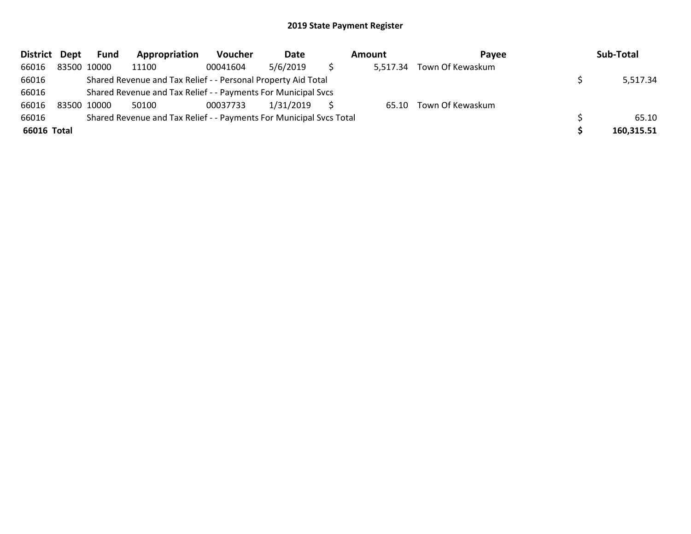| District Dept | <b>Fund</b> | Appropriation                                                       | <b>Voucher</b> | Date      | Amount   | <b>Pavee</b>     | Sub-Total  |
|---------------|-------------|---------------------------------------------------------------------|----------------|-----------|----------|------------------|------------|
| 66016         | 83500 10000 | 11100                                                               | 00041604       | 5/6/2019  | 5,517.34 | Town Of Kewaskum |            |
| 66016         |             | Shared Revenue and Tax Relief - - Personal Property Aid Total       |                |           |          |                  | 5,517.34   |
| 66016         |             | Shared Revenue and Tax Relief - - Payments For Municipal Svcs       |                |           |          |                  |            |
| 66016         | 83500 10000 | 50100                                                               | 00037733       | 1/31/2019 | 65.10    | Town Of Kewaskum |            |
| 66016         |             | Shared Revenue and Tax Relief - - Payments For Municipal Svcs Total |                |           |          |                  | 65.10      |
| 66016 Total   |             |                                                                     |                |           |          |                  | 160,315.51 |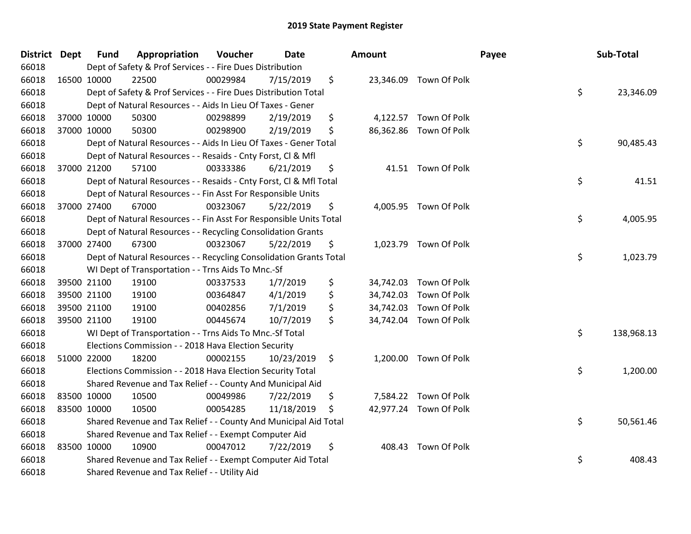| District Dept |             | <b>Fund</b> | Appropriation                                                      | Voucher  | Date       | Amount          |                        | Payee | Sub-Total  |
|---------------|-------------|-------------|--------------------------------------------------------------------|----------|------------|-----------------|------------------------|-------|------------|
| 66018         |             |             | Dept of Safety & Prof Services - - Fire Dues Distribution          |          |            |                 |                        |       |            |
| 66018         | 16500 10000 |             | 22500                                                              | 00029984 | 7/15/2019  | \$              | 23,346.09 Town Of Polk |       |            |
| 66018         |             |             | Dept of Safety & Prof Services - - Fire Dues Distribution Total    |          |            |                 |                        | \$    | 23,346.09  |
| 66018         |             |             | Dept of Natural Resources - - Aids In Lieu Of Taxes - Gener        |          |            |                 |                        |       |            |
| 66018         |             | 37000 10000 | 50300                                                              | 00298899 | 2/19/2019  | \$              | 4,122.57 Town Of Polk  |       |            |
| 66018         |             | 37000 10000 | 50300                                                              | 00298900 | 2/19/2019  | \$              | 86,362.86 Town Of Polk |       |            |
| 66018         |             |             | Dept of Natural Resources - - Aids In Lieu Of Taxes - Gener Total  |          |            |                 |                        | \$    | 90,485.43  |
| 66018         |             |             | Dept of Natural Resources - - Resaids - Cnty Forst, Cl & Mfl       |          |            |                 |                        |       |            |
| 66018         | 37000 21200 |             | 57100                                                              | 00333386 | 6/21/2019  | \$              | 41.51 Town Of Polk     |       |            |
| 66018         |             |             | Dept of Natural Resources - - Resaids - Cnty Forst, CI & Mfl Total |          |            |                 |                        | \$    | 41.51      |
| 66018         |             |             | Dept of Natural Resources - - Fin Asst For Responsible Units       |          |            |                 |                        |       |            |
| 66018         |             | 37000 27400 | 67000                                                              | 00323067 | 5/22/2019  | \$              | 4,005.95 Town Of Polk  |       |            |
| 66018         |             |             | Dept of Natural Resources - - Fin Asst For Responsible Units Total |          |            |                 |                        | \$    | 4,005.95   |
| 66018         |             |             | Dept of Natural Resources - - Recycling Consolidation Grants       |          |            |                 |                        |       |            |
| 66018         | 37000 27400 |             | 67300                                                              | 00323067 | 5/22/2019  | \$              | 1,023.79 Town Of Polk  |       |            |
| 66018         |             |             | Dept of Natural Resources - - Recycling Consolidation Grants Total |          |            |                 |                        | \$    | 1,023.79   |
| 66018         |             |             | WI Dept of Transportation - - Trns Aids To Mnc.-Sf                 |          |            |                 |                        |       |            |
| 66018         |             | 39500 21100 | 19100                                                              | 00337533 | 1/7/2019   | \$<br>34,742.03 | Town Of Polk           |       |            |
| 66018         | 39500 21100 |             | 19100                                                              | 00364847 | 4/1/2019   | \$<br>34,742.03 | Town Of Polk           |       |            |
| 66018         |             | 39500 21100 | 19100                                                              | 00402856 | 7/1/2019   | \$              | 34,742.03 Town Of Polk |       |            |
| 66018         |             | 39500 21100 | 19100                                                              | 00445674 | 10/7/2019  | \$              | 34,742.04 Town Of Polk |       |            |
| 66018         |             |             | WI Dept of Transportation - - Trns Aids To Mnc.-Sf Total           |          |            |                 |                        | \$    | 138,968.13 |
| 66018         |             |             | Elections Commission - - 2018 Hava Election Security               |          |            |                 |                        |       |            |
| 66018         | 51000 22000 |             | 18200                                                              | 00002155 | 10/23/2019 | \$              | 1,200.00 Town Of Polk  |       |            |
| 66018         |             |             | Elections Commission - - 2018 Hava Election Security Total         |          |            |                 |                        | \$    | 1,200.00   |
| 66018         |             |             | Shared Revenue and Tax Relief - - County And Municipal Aid         |          |            |                 |                        |       |            |
| 66018         | 83500 10000 |             | 10500                                                              | 00049986 | 7/22/2019  | \$              | 7,584.22 Town Of Polk  |       |            |
| 66018         | 83500 10000 |             | 10500                                                              | 00054285 | 11/18/2019 | \$              | 42,977.24 Town Of Polk |       |            |
| 66018         |             |             | Shared Revenue and Tax Relief - - County And Municipal Aid Total   |          |            |                 |                        | \$    | 50,561.46  |
| 66018         |             |             | Shared Revenue and Tax Relief - - Exempt Computer Aid              |          |            |                 |                        |       |            |
| 66018         | 83500 10000 |             | 10900                                                              | 00047012 | 7/22/2019  | \$<br>408.43    | Town Of Polk           |       |            |
| 66018         |             |             | Shared Revenue and Tax Relief - - Exempt Computer Aid Total        |          |            |                 |                        | \$    | 408.43     |
| 66018         |             |             | Shared Revenue and Tax Relief - - Utility Aid                      |          |            |                 |                        |       |            |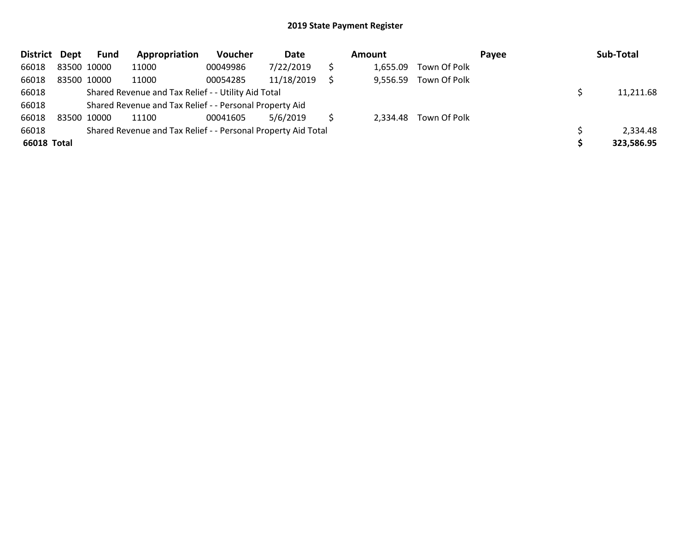| District Dept      |             | <b>Fund</b> | Appropriation                                                 | <b>Voucher</b> | Date       | Amount   |                       | Payee | Sub-Total  |
|--------------------|-------------|-------------|---------------------------------------------------------------|----------------|------------|----------|-----------------------|-------|------------|
| 66018              | 83500 10000 |             | 11000                                                         | 00049986       | 7/22/2019  | 1,655.09 | Town Of Polk          |       |            |
| 66018              | 83500 10000 |             | 11000                                                         | 00054285       | 11/18/2019 | 9,556.59 | Town Of Polk          |       |            |
| 66018              |             |             | Shared Revenue and Tax Relief - - Utility Aid Total           |                |            |          |                       |       | 11,211.68  |
| 66018              |             |             | Shared Revenue and Tax Relief - - Personal Property Aid       |                |            |          |                       |       |            |
| 66018              | 83500 10000 |             | 11100                                                         | 00041605       | 5/6/2019   |          | 2,334.48 Town Of Polk |       |            |
| 66018              |             |             | Shared Revenue and Tax Relief - - Personal Property Aid Total |                |            |          |                       |       | 2,334.48   |
| <b>66018 Total</b> |             |             |                                                               |                |            |          |                       |       | 323,586.95 |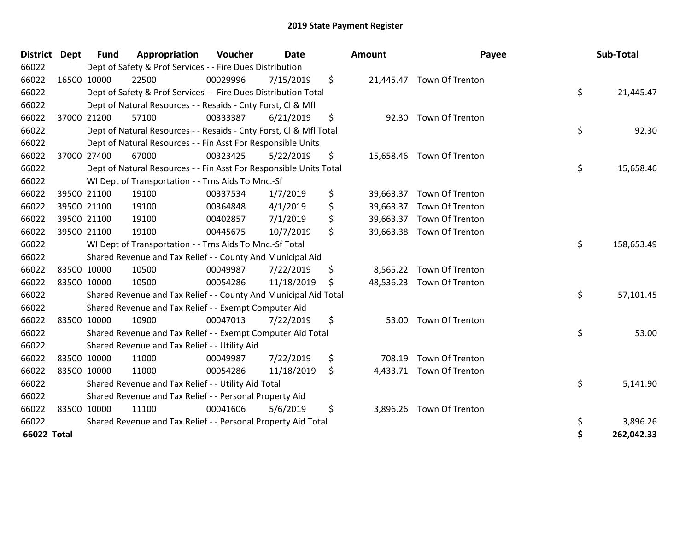| <b>District</b>    | <b>Dept</b> | Fund        | Appropriation                                                      | Voucher  | Date       | <b>Amount</b>   | Payee                     | Sub-Total        |
|--------------------|-------------|-------------|--------------------------------------------------------------------|----------|------------|-----------------|---------------------------|------------------|
| 66022              |             |             | Dept of Safety & Prof Services - - Fire Dues Distribution          |          |            |                 |                           |                  |
| 66022              |             | 16500 10000 | 22500                                                              | 00029996 | 7/15/2019  | \$              | 21,445.47 Town Of Trenton |                  |
| 66022              |             |             | Dept of Safety & Prof Services - - Fire Dues Distribution Total    |          |            |                 |                           | \$<br>21,445.47  |
| 66022              |             |             | Dept of Natural Resources - - Resaids - Cnty Forst, Cl & Mfl       |          |            |                 |                           |                  |
| 66022              |             | 37000 21200 | 57100                                                              | 00333387 | 6/21/2019  | \$              | 92.30 Town Of Trenton     |                  |
| 66022              |             |             | Dept of Natural Resources - - Resaids - Cnty Forst, Cl & Mfl Total |          |            |                 |                           | \$<br>92.30      |
| 66022              |             |             | Dept of Natural Resources - - Fin Asst For Responsible Units       |          |            |                 |                           |                  |
| 66022              |             | 37000 27400 | 67000                                                              | 00323425 | 5/22/2019  | \$              | 15,658.46 Town Of Trenton |                  |
| 66022              |             |             | Dept of Natural Resources - - Fin Asst For Responsible Units Total |          |            |                 |                           | \$<br>15,658.46  |
| 66022              |             |             | WI Dept of Transportation - - Trns Aids To Mnc.-Sf                 |          |            |                 |                           |                  |
| 66022              |             | 39500 21100 | 19100                                                              | 00337534 | 1/7/2019   | \$              | 39,663.37 Town Of Trenton |                  |
| 66022              |             | 39500 21100 | 19100                                                              | 00364848 | 4/1/2019   | \$<br>39,663.37 | Town Of Trenton           |                  |
| 66022              |             | 39500 21100 | 19100                                                              | 00402857 | 7/1/2019   | \$              | 39,663.37 Town Of Trenton |                  |
| 66022              |             | 39500 21100 | 19100                                                              | 00445675 | 10/7/2019  | \$              | 39,663.38 Town Of Trenton |                  |
| 66022              |             |             | WI Dept of Transportation - - Trns Aids To Mnc.-Sf Total           |          |            |                 |                           | \$<br>158,653.49 |
| 66022              |             |             | Shared Revenue and Tax Relief - - County And Municipal Aid         |          |            |                 |                           |                  |
| 66022              |             | 83500 10000 | 10500                                                              | 00049987 | 7/22/2019  | \$              | 8,565.22 Town Of Trenton  |                  |
| 66022              |             | 83500 10000 | 10500                                                              | 00054286 | 11/18/2019 | \$              | 48,536.23 Town Of Trenton |                  |
| 66022              |             |             | Shared Revenue and Tax Relief - - County And Municipal Aid Total   |          |            |                 |                           | \$<br>57,101.45  |
| 66022              |             |             | Shared Revenue and Tax Relief - - Exempt Computer Aid              |          |            |                 |                           |                  |
| 66022              | 83500 10000 |             | 10900                                                              | 00047013 | 7/22/2019  | \$<br>53.00     | Town Of Trenton           |                  |
| 66022              |             |             | Shared Revenue and Tax Relief - - Exempt Computer Aid Total        |          |            |                 |                           | \$<br>53.00      |
| 66022              |             |             | Shared Revenue and Tax Relief - - Utility Aid                      |          |            |                 |                           |                  |
| 66022              | 83500 10000 |             | 11000                                                              | 00049987 | 7/22/2019  | \$<br>708.19    | Town Of Trenton           |                  |
| 66022              |             | 83500 10000 | 11000                                                              | 00054286 | 11/18/2019 | \$              | 4,433.71 Town Of Trenton  |                  |
| 66022              |             |             | Shared Revenue and Tax Relief - - Utility Aid Total                |          |            |                 |                           | \$<br>5,141.90   |
| 66022              |             |             | Shared Revenue and Tax Relief - - Personal Property Aid            |          |            |                 |                           |                  |
| 66022              |             | 83500 10000 | 11100                                                              | 00041606 | 5/6/2019   | \$<br>3,896.26  | Town Of Trenton           |                  |
| 66022              |             |             | Shared Revenue and Tax Relief - - Personal Property Aid Total      |          |            |                 |                           | \$<br>3,896.26   |
| <b>66022 Total</b> |             |             |                                                                    |          |            |                 |                           | \$<br>262,042.33 |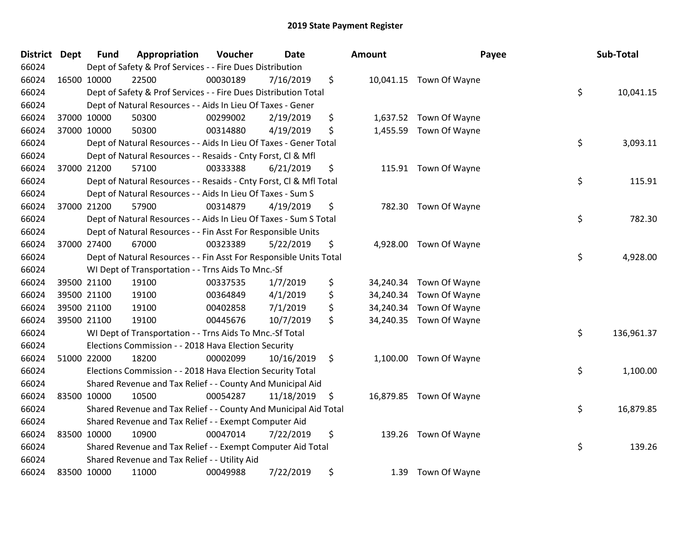| District Dept |             | <b>Fund</b> | Appropriation                                                      | Voucher  | <b>Date</b> | Amount     | Payee                   | Sub-Total        |
|---------------|-------------|-------------|--------------------------------------------------------------------|----------|-------------|------------|-------------------------|------------------|
| 66024         |             |             | Dept of Safety & Prof Services - - Fire Dues Distribution          |          |             |            |                         |                  |
| 66024         | 16500 10000 |             | 22500                                                              | 00030189 | 7/16/2019   | \$         | 10,041.15 Town Of Wayne |                  |
| 66024         |             |             | Dept of Safety & Prof Services - - Fire Dues Distribution Total    |          |             |            |                         | \$<br>10,041.15  |
| 66024         |             |             | Dept of Natural Resources - - Aids In Lieu Of Taxes - Gener        |          |             |            |                         |                  |
| 66024         | 37000 10000 |             | 50300                                                              | 00299002 | 2/19/2019   | \$         | 1,637.52 Town Of Wayne  |                  |
| 66024         |             | 37000 10000 | 50300                                                              | 00314880 | 4/19/2019   | \$         | 1,455.59 Town Of Wayne  |                  |
| 66024         |             |             | Dept of Natural Resources - - Aids In Lieu Of Taxes - Gener Total  |          |             |            |                         | \$<br>3,093.11   |
| 66024         |             |             | Dept of Natural Resources - - Resaids - Cnty Forst, Cl & Mfl       |          |             |            |                         |                  |
| 66024         | 37000 21200 |             | 57100                                                              | 00333388 | 6/21/2019   | \$         | 115.91 Town Of Wayne    |                  |
| 66024         |             |             | Dept of Natural Resources - - Resaids - Cnty Forst, CI & Mfl Total |          |             |            |                         | \$<br>115.91     |
| 66024         |             |             | Dept of Natural Resources - - Aids In Lieu Of Taxes - Sum S        |          |             |            |                         |                  |
| 66024         | 37000 21200 |             | 57900                                                              | 00314879 | 4/19/2019   | \$         | 782.30 Town Of Wayne    |                  |
| 66024         |             |             | Dept of Natural Resources - - Aids In Lieu Of Taxes - Sum S Total  |          |             |            |                         | \$<br>782.30     |
| 66024         |             |             | Dept of Natural Resources - - Fin Asst For Responsible Units       |          |             |            |                         |                  |
| 66024         | 37000 27400 |             | 67000                                                              | 00323389 | 5/22/2019   | \$         | 4,928.00 Town Of Wayne  |                  |
| 66024         |             |             | Dept of Natural Resources - - Fin Asst For Responsible Units Total |          |             |            |                         | \$<br>4,928.00   |
| 66024         |             |             | WI Dept of Transportation - - Trns Aids To Mnc.-Sf                 |          |             |            |                         |                  |
| 66024         |             | 39500 21100 | 19100                                                              | 00337535 | 1/7/2019    | \$         | 34,240.34 Town Of Wayne |                  |
| 66024         | 39500 21100 |             | 19100                                                              | 00364849 | 4/1/2019    | \$         | 34,240.34 Town Of Wayne |                  |
| 66024         | 39500 21100 |             | 19100                                                              | 00402858 | 7/1/2019    | \$         | 34,240.34 Town Of Wayne |                  |
| 66024         | 39500 21100 |             | 19100                                                              | 00445676 | 10/7/2019   | \$         | 34,240.35 Town Of Wayne |                  |
| 66024         |             |             | WI Dept of Transportation - - Trns Aids To Mnc.-Sf Total           |          |             |            |                         | \$<br>136,961.37 |
| 66024         |             |             | Elections Commission - - 2018 Hava Election Security               |          |             |            |                         |                  |
| 66024         | 51000 22000 |             | 18200                                                              | 00002099 | 10/16/2019  | \$         | 1,100.00 Town Of Wayne  |                  |
| 66024         |             |             | Elections Commission - - 2018 Hava Election Security Total         |          |             |            |                         | \$<br>1,100.00   |
| 66024         |             |             | Shared Revenue and Tax Relief - - County And Municipal Aid         |          |             |            |                         |                  |
| 66024         | 83500 10000 |             | 10500                                                              | 00054287 | 11/18/2019  | \$         | 16,879.85 Town Of Wayne |                  |
| 66024         |             |             | Shared Revenue and Tax Relief - - County And Municipal Aid Total   |          |             |            |                         | \$<br>16,879.85  |
| 66024         |             |             | Shared Revenue and Tax Relief - - Exempt Computer Aid              |          |             |            |                         |                  |
| 66024         | 83500 10000 |             | 10900                                                              | 00047014 | 7/22/2019   | \$         | 139.26 Town Of Wayne    |                  |
| 66024         |             |             | Shared Revenue and Tax Relief - - Exempt Computer Aid Total        |          |             |            |                         | \$<br>139.26     |
| 66024         |             |             | Shared Revenue and Tax Relief - - Utility Aid                      |          |             |            |                         |                  |
| 66024         | 83500 10000 |             | 11000                                                              | 00049988 | 7/22/2019   | \$<br>1.39 | Town Of Wayne           |                  |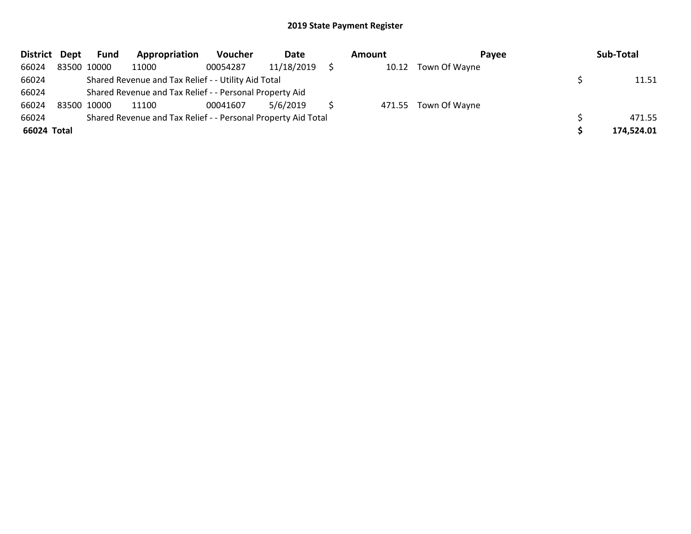| District Dept | Fund        | Appropriation                                                 | <b>Voucher</b> | Date       | <b>Amount</b> | Pavee                | Sub-Total  |
|---------------|-------------|---------------------------------------------------------------|----------------|------------|---------------|----------------------|------------|
| 66024         | 83500 10000 | 11000                                                         | 00054287       | 11/18/2019 | 10.12         | Town Of Wayne        |            |
| 66024         |             | Shared Revenue and Tax Relief - - Utility Aid Total           |                |            |               |                      | 11.51      |
| 66024         |             | Shared Revenue and Tax Relief - - Personal Property Aid       |                |            |               |                      |            |
| 66024         | 83500 10000 | 11100                                                         | 00041607       | 5/6/2019   |               | 471.55 Town Of Wayne |            |
| 66024         |             | Shared Revenue and Tax Relief - - Personal Property Aid Total |                |            |               |                      | 471.55     |
| 66024 Total   |             |                                                               |                |            |               |                      | 174,524.01 |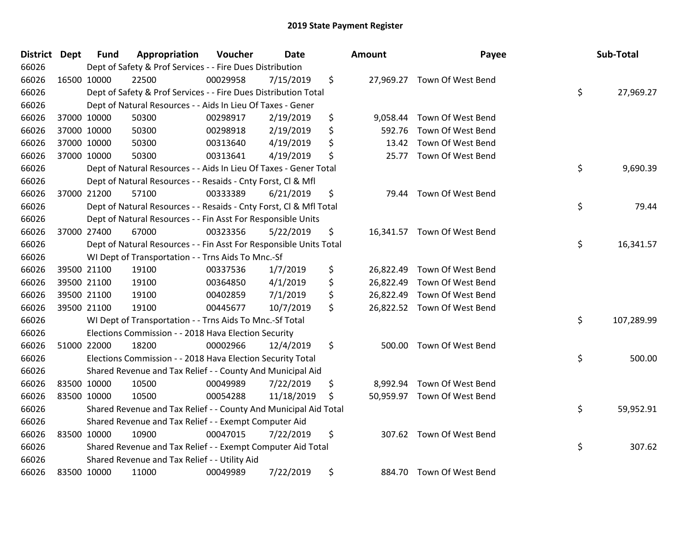| District Dept |             | <b>Fund</b> | Appropriation                                                      | Voucher  | <b>Date</b> | Amount          | Payee                       | Sub-Total        |
|---------------|-------------|-------------|--------------------------------------------------------------------|----------|-------------|-----------------|-----------------------------|------------------|
| 66026         |             |             | Dept of Safety & Prof Services - - Fire Dues Distribution          |          |             |                 |                             |                  |
| 66026         | 16500 10000 |             | 22500                                                              | 00029958 | 7/15/2019   | \$              | 27,969.27 Town Of West Bend |                  |
| 66026         |             |             | Dept of Safety & Prof Services - - Fire Dues Distribution Total    |          |             |                 |                             | \$<br>27,969.27  |
| 66026         |             |             | Dept of Natural Resources - - Aids In Lieu Of Taxes - Gener        |          |             |                 |                             |                  |
| 66026         |             | 37000 10000 | 50300                                                              | 00298917 | 2/19/2019   | \$<br>9,058.44  | Town Of West Bend           |                  |
| 66026         |             | 37000 10000 | 50300                                                              | 00298918 | 2/19/2019   | \$<br>592.76    | Town Of West Bend           |                  |
| 66026         |             | 37000 10000 | 50300                                                              | 00313640 | 4/19/2019   | \$<br>13.42     | Town Of West Bend           |                  |
| 66026         | 37000 10000 |             | 50300                                                              | 00313641 | 4/19/2019   | \$<br>25.77     | Town Of West Bend           |                  |
| 66026         |             |             | Dept of Natural Resources - - Aids In Lieu Of Taxes - Gener Total  |          |             |                 |                             | \$<br>9,690.39   |
| 66026         |             |             | Dept of Natural Resources - - Resaids - Cnty Forst, Cl & Mfl       |          |             |                 |                             |                  |
| 66026         |             | 37000 21200 | 57100                                                              | 00333389 | 6/21/2019   | \$<br>79.44     | Town Of West Bend           |                  |
| 66026         |             |             | Dept of Natural Resources - - Resaids - Cnty Forst, Cl & Mfl Total |          |             |                 |                             | \$<br>79.44      |
| 66026         |             |             | Dept of Natural Resources - - Fin Asst For Responsible Units       |          |             |                 |                             |                  |
| 66026         |             | 37000 27400 | 67000                                                              | 00323356 | 5/22/2019   | \$              | 16,341.57 Town Of West Bend |                  |
| 66026         |             |             | Dept of Natural Resources - - Fin Asst For Responsible Units Total |          |             |                 |                             | \$<br>16,341.57  |
| 66026         |             |             | WI Dept of Transportation - - Trns Aids To Mnc.-Sf                 |          |             |                 |                             |                  |
| 66026         |             | 39500 21100 | 19100                                                              | 00337536 | 1/7/2019    | \$<br>26,822.49 | Town Of West Bend           |                  |
| 66026         | 39500 21100 |             | 19100                                                              | 00364850 | 4/1/2019    | \$<br>26,822.49 | Town Of West Bend           |                  |
| 66026         | 39500 21100 |             | 19100                                                              | 00402859 | 7/1/2019    | \$<br>26,822.49 | Town Of West Bend           |                  |
| 66026         |             | 39500 21100 | 19100                                                              | 00445677 | 10/7/2019   | \$<br>26,822.52 | Town Of West Bend           |                  |
| 66026         |             |             | WI Dept of Transportation - - Trns Aids To Mnc.-Sf Total           |          |             |                 |                             | \$<br>107,289.99 |
| 66026         |             |             | Elections Commission - - 2018 Hava Election Security               |          |             |                 |                             |                  |
| 66026         | 51000 22000 |             | 18200                                                              | 00002966 | 12/4/2019   | \$<br>500.00    | Town Of West Bend           |                  |
| 66026         |             |             | Elections Commission - - 2018 Hava Election Security Total         |          |             |                 |                             | \$<br>500.00     |
| 66026         |             |             | Shared Revenue and Tax Relief - - County And Municipal Aid         |          |             |                 |                             |                  |
| 66026         | 83500 10000 |             | 10500                                                              | 00049989 | 7/22/2019   | \$<br>8,992.94  | Town Of West Bend           |                  |
| 66026         | 83500 10000 |             | 10500                                                              | 00054288 | 11/18/2019  | \$<br>50,959.97 | Town Of West Bend           |                  |
| 66026         |             |             | Shared Revenue and Tax Relief - - County And Municipal Aid Total   |          |             |                 |                             | \$<br>59,952.91  |
| 66026         |             |             | Shared Revenue and Tax Relief - - Exempt Computer Aid              |          |             |                 |                             |                  |
| 66026         | 83500 10000 |             | 10900                                                              | 00047015 | 7/22/2019   | \$<br>307.62    | Town Of West Bend           |                  |
| 66026         |             |             | Shared Revenue and Tax Relief - - Exempt Computer Aid Total        |          |             |                 |                             | \$<br>307.62     |
| 66026         |             |             | Shared Revenue and Tax Relief - - Utility Aid                      |          |             |                 |                             |                  |
| 66026         | 83500 10000 |             | 11000                                                              | 00049989 | 7/22/2019   | \$              | 884.70 Town Of West Bend    |                  |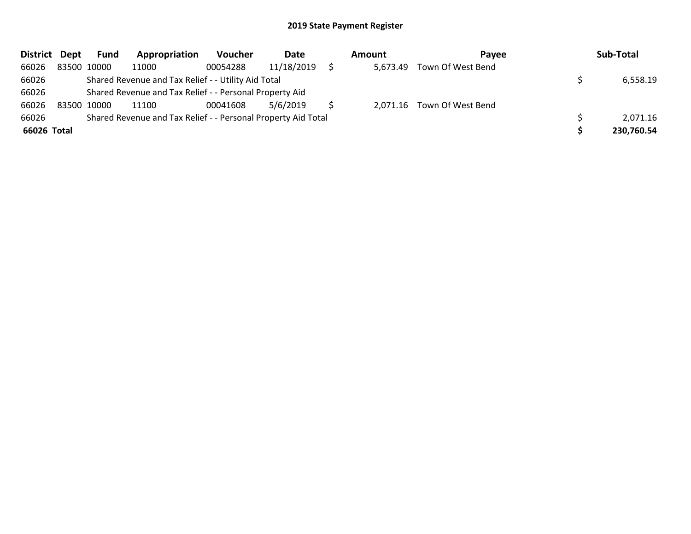| District Dept |             | Fund | Appropriation                                                 | Voucher  | Date       | Amount   | <b>Pavee</b>               | Sub-Total  |
|---------------|-------------|------|---------------------------------------------------------------|----------|------------|----------|----------------------------|------------|
| 66026         | 83500 10000 |      | 11000                                                         | 00054288 | 11/18/2019 | 5,673.49 | Town Of West Bend          |            |
| 66026         |             |      | Shared Revenue and Tax Relief - - Utility Aid Total           |          |            |          |                            | 6,558.19   |
| 66026         |             |      | Shared Revenue and Tax Relief - - Personal Property Aid       |          |            |          |                            |            |
| 66026         | 83500 10000 |      | 11100                                                         | 00041608 | 5/6/2019   |          | 2,071.16 Town Of West Bend |            |
| 66026         |             |      | Shared Revenue and Tax Relief - - Personal Property Aid Total |          |            |          |                            | 2,071.16   |
| 66026 Total   |             |      |                                                               |          |            |          |                            | 230,760.54 |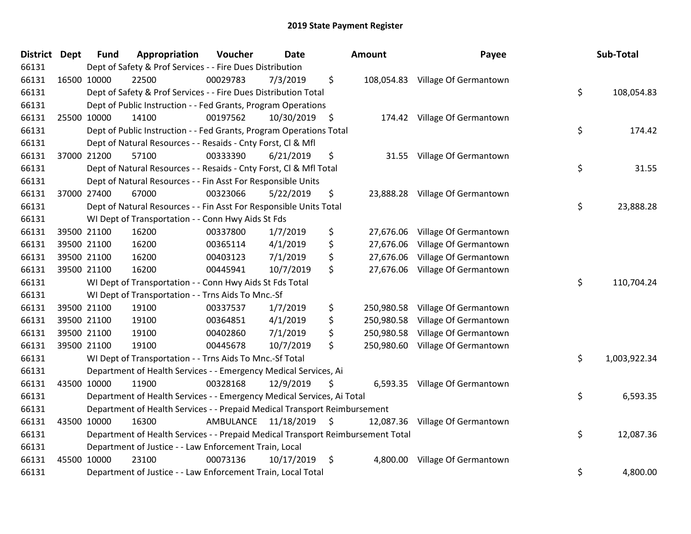| District Dept | <b>Fund</b> | Appropriation                                                                   | Voucher  | <b>Date</b>             | <b>Amount</b>    | Payee                            | Sub-Total          |
|---------------|-------------|---------------------------------------------------------------------------------|----------|-------------------------|------------------|----------------------------------|--------------------|
| 66131         |             | Dept of Safety & Prof Services - - Fire Dues Distribution                       |          |                         |                  |                                  |                    |
| 66131         | 16500 10000 | 22500                                                                           | 00029783 | 7/3/2019                | \$               | 108,054.83 Village Of Germantown |                    |
| 66131         |             | Dept of Safety & Prof Services - - Fire Dues Distribution Total                 |          |                         |                  |                                  | \$<br>108,054.83   |
| 66131         |             | Dept of Public Instruction - - Fed Grants, Program Operations                   |          |                         |                  |                                  |                    |
| 66131         | 25500 10000 | 14100                                                                           | 00197562 | 10/30/2019 \$           |                  | 174.42 Village Of Germantown     |                    |
| 66131         |             | Dept of Public Instruction - - Fed Grants, Program Operations Total             |          |                         |                  |                                  | \$<br>174.42       |
| 66131         |             | Dept of Natural Resources - - Resaids - Cnty Forst, Cl & Mfl                    |          |                         |                  |                                  |                    |
| 66131         | 37000 21200 | 57100                                                                           | 00333390 | 6/21/2019               | \$<br>31.55      | Village Of Germantown            |                    |
| 66131         |             | Dept of Natural Resources - - Resaids - Cnty Forst, Cl & Mfl Total              |          |                         |                  |                                  | \$<br>31.55        |
| 66131         |             | Dept of Natural Resources - - Fin Asst For Responsible Units                    |          |                         |                  |                                  |                    |
| 66131         | 37000 27400 | 67000                                                                           | 00323066 | 5/22/2019               | \$               | 23,888.28 Village Of Germantown  |                    |
| 66131         |             | Dept of Natural Resources - - Fin Asst For Responsible Units Total              |          |                         |                  |                                  | \$<br>23,888.28    |
| 66131         |             | WI Dept of Transportation - - Conn Hwy Aids St Fds                              |          |                         |                  |                                  |                    |
| 66131         | 39500 21100 | 16200                                                                           | 00337800 | 1/7/2019                | \$<br>27,676.06  | Village Of Germantown            |                    |
| 66131         | 39500 21100 | 16200                                                                           | 00365114 | 4/1/2019                | \$<br>27,676.06  | Village Of Germantown            |                    |
| 66131         | 39500 21100 | 16200                                                                           | 00403123 | 7/1/2019                | \$<br>27,676.06  | Village Of Germantown            |                    |
| 66131         | 39500 21100 | 16200                                                                           | 00445941 | 10/7/2019               | \$<br>27,676.06  | Village Of Germantown            |                    |
| 66131         |             | WI Dept of Transportation - - Conn Hwy Aids St Fds Total                        |          |                         |                  |                                  | \$<br>110,704.24   |
| 66131         |             | WI Dept of Transportation - - Trns Aids To Mnc.-Sf                              |          |                         |                  |                                  |                    |
| 66131         | 39500 21100 | 19100                                                                           | 00337537 | 1/7/2019                | \$<br>250,980.58 | Village Of Germantown            |                    |
| 66131         | 39500 21100 | 19100                                                                           | 00364851 | 4/1/2019                | \$<br>250,980.58 | Village Of Germantown            |                    |
| 66131         | 39500 21100 | 19100                                                                           | 00402860 | 7/1/2019                | \$<br>250,980.58 | Village Of Germantown            |                    |
| 66131         | 39500 21100 | 19100                                                                           | 00445678 | 10/7/2019               | \$<br>250,980.60 | Village Of Germantown            |                    |
| 66131         |             | WI Dept of Transportation - - Trns Aids To Mnc.-Sf Total                        |          |                         |                  |                                  | \$<br>1,003,922.34 |
| 66131         |             | Department of Health Services - - Emergency Medical Services, Ai                |          |                         |                  |                                  |                    |
| 66131         | 43500 10000 | 11900                                                                           | 00328168 | 12/9/2019               | \$               | 6,593.35 Village Of Germantown   |                    |
| 66131         |             | Department of Health Services - - Emergency Medical Services, Ai Total          |          |                         |                  |                                  | \$<br>6,593.35     |
| 66131         |             | Department of Health Services - - Prepaid Medical Transport Reimbursement       |          |                         |                  |                                  |                    |
| 66131         | 43500 10000 | 16300                                                                           |          | AMBULANCE 11/18/2019 \$ |                  | 12,087.36 Village Of Germantown  |                    |
| 66131         |             | Department of Health Services - - Prepaid Medical Transport Reimbursement Total |          |                         |                  |                                  | \$<br>12,087.36    |
| 66131         |             | Department of Justice - - Law Enforcement Train, Local                          |          |                         |                  |                                  |                    |
| 66131         | 45500 10000 | 23100                                                                           | 00073136 | 10/17/2019              | \$<br>4,800.00   | Village Of Germantown            |                    |
| 66131         |             | Department of Justice - - Law Enforcement Train, Local Total                    |          |                         |                  |                                  | \$<br>4,800.00     |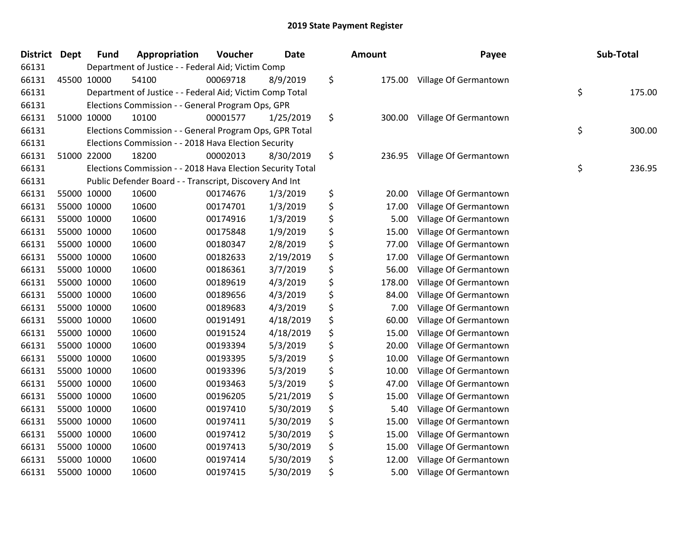| <b>District</b> | <b>Dept</b> | <b>Fund</b> | Appropriation                                              | Voucher  | <b>Date</b> | <b>Amount</b> | Payee                 | Sub-Total    |
|-----------------|-------------|-------------|------------------------------------------------------------|----------|-------------|---------------|-----------------------|--------------|
| 66131           |             |             | Department of Justice - - Federal Aid; Victim Comp         |          |             |               |                       |              |
| 66131           |             | 45500 10000 | 54100                                                      | 00069718 | 8/9/2019    | \$<br>175.00  | Village Of Germantown |              |
| 66131           |             |             | Department of Justice - - Federal Aid; Victim Comp Total   |          |             |               |                       | \$<br>175.00 |
| 66131           |             |             | Elections Commission - - General Program Ops, GPR          |          |             |               |                       |              |
| 66131           |             | 51000 10000 | 10100                                                      | 00001577 | 1/25/2019   | \$<br>300.00  | Village Of Germantown |              |
| 66131           |             |             | Elections Commission - - General Program Ops, GPR Total    |          |             |               |                       | \$<br>300.00 |
| 66131           |             |             | Elections Commission - - 2018 Hava Election Security       |          |             |               |                       |              |
| 66131           |             | 51000 22000 | 18200                                                      | 00002013 | 8/30/2019   | \$<br>236.95  | Village Of Germantown |              |
| 66131           |             |             | Elections Commission - - 2018 Hava Election Security Total |          |             |               |                       | \$<br>236.95 |
| 66131           |             |             | Public Defender Board - - Transcript, Discovery And Int    |          |             |               |                       |              |
| 66131           |             | 55000 10000 | 10600                                                      | 00174676 | 1/3/2019    | \$<br>20.00   | Village Of Germantown |              |
| 66131           |             | 55000 10000 | 10600                                                      | 00174701 | 1/3/2019    | \$<br>17.00   | Village Of Germantown |              |
| 66131           |             | 55000 10000 | 10600                                                      | 00174916 | 1/3/2019    | \$<br>5.00    | Village Of Germantown |              |
| 66131           |             | 55000 10000 | 10600                                                      | 00175848 | 1/9/2019    | \$<br>15.00   | Village Of Germantown |              |
| 66131           |             | 55000 10000 | 10600                                                      | 00180347 | 2/8/2019    | \$<br>77.00   | Village Of Germantown |              |
| 66131           |             | 55000 10000 | 10600                                                      | 00182633 | 2/19/2019   | \$<br>17.00   | Village Of Germantown |              |
| 66131           |             | 55000 10000 | 10600                                                      | 00186361 | 3/7/2019    | \$<br>56.00   | Village Of Germantown |              |
| 66131           |             | 55000 10000 | 10600                                                      | 00189619 | 4/3/2019    | \$<br>178.00  | Village Of Germantown |              |
| 66131           |             | 55000 10000 | 10600                                                      | 00189656 | 4/3/2019    | \$<br>84.00   | Village Of Germantown |              |
| 66131           |             | 55000 10000 | 10600                                                      | 00189683 | 4/3/2019    | \$<br>7.00    | Village Of Germantown |              |
| 66131           |             | 55000 10000 | 10600                                                      | 00191491 | 4/18/2019   | \$<br>60.00   | Village Of Germantown |              |
| 66131           |             | 55000 10000 | 10600                                                      | 00191524 | 4/18/2019   | \$<br>15.00   | Village Of Germantown |              |
| 66131           |             | 55000 10000 | 10600                                                      | 00193394 | 5/3/2019    | \$<br>20.00   | Village Of Germantown |              |
| 66131           |             | 55000 10000 | 10600                                                      | 00193395 | 5/3/2019    | \$<br>10.00   | Village Of Germantown |              |
| 66131           |             | 55000 10000 | 10600                                                      | 00193396 | 5/3/2019    | \$<br>10.00   | Village Of Germantown |              |
| 66131           |             | 55000 10000 | 10600                                                      | 00193463 | 5/3/2019    | \$<br>47.00   | Village Of Germantown |              |
| 66131           |             | 55000 10000 | 10600                                                      | 00196205 | 5/21/2019   | \$<br>15.00   | Village Of Germantown |              |
| 66131           |             | 55000 10000 | 10600                                                      | 00197410 | 5/30/2019   | \$<br>5.40    | Village Of Germantown |              |
| 66131           |             | 55000 10000 | 10600                                                      | 00197411 | 5/30/2019   | \$<br>15.00   | Village Of Germantown |              |
| 66131           |             | 55000 10000 | 10600                                                      | 00197412 | 5/30/2019   | \$<br>15.00   | Village Of Germantown |              |
| 66131           |             | 55000 10000 | 10600                                                      | 00197413 | 5/30/2019   | \$<br>15.00   | Village Of Germantown |              |
| 66131           |             | 55000 10000 | 10600                                                      | 00197414 | 5/30/2019   | \$<br>12.00   | Village Of Germantown |              |
| 66131           |             | 55000 10000 | 10600                                                      | 00197415 | 5/30/2019   | \$<br>5.00    | Village Of Germantown |              |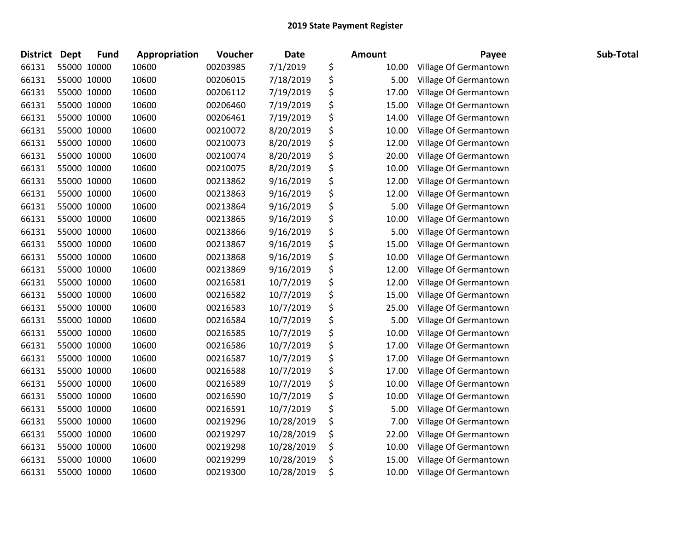| <b>District</b> | <b>Dept</b> | <b>Fund</b> | Appropriation | Voucher  | Date       | <b>Amount</b> | Payee                 | Sub-Total |
|-----------------|-------------|-------------|---------------|----------|------------|---------------|-----------------------|-----------|
| 66131           | 55000 10000 |             | 10600         | 00203985 | 7/1/2019   | \$<br>10.00   | Village Of Germantown |           |
| 66131           | 55000 10000 |             | 10600         | 00206015 | 7/18/2019  | \$<br>5.00    | Village Of Germantown |           |
| 66131           | 55000 10000 |             | 10600         | 00206112 | 7/19/2019  | \$<br>17.00   | Village Of Germantown |           |
| 66131           | 55000 10000 |             | 10600         | 00206460 | 7/19/2019  | \$<br>15.00   | Village Of Germantown |           |
| 66131           | 55000 10000 |             | 10600         | 00206461 | 7/19/2019  | \$<br>14.00   | Village Of Germantown |           |
| 66131           | 55000 10000 |             | 10600         | 00210072 | 8/20/2019  | \$<br>10.00   | Village Of Germantown |           |
| 66131           | 55000 10000 |             | 10600         | 00210073 | 8/20/2019  | \$<br>12.00   | Village Of Germantown |           |
| 66131           | 55000 10000 |             | 10600         | 00210074 | 8/20/2019  | \$<br>20.00   | Village Of Germantown |           |
| 66131           | 55000 10000 |             | 10600         | 00210075 | 8/20/2019  | \$<br>10.00   | Village Of Germantown |           |
| 66131           | 55000 10000 |             | 10600         | 00213862 | 9/16/2019  | \$<br>12.00   | Village Of Germantown |           |
| 66131           | 55000 10000 |             | 10600         | 00213863 | 9/16/2019  | \$<br>12.00   | Village Of Germantown |           |
| 66131           | 55000 10000 |             | 10600         | 00213864 | 9/16/2019  | \$<br>5.00    | Village Of Germantown |           |
| 66131           | 55000 10000 |             | 10600         | 00213865 | 9/16/2019  | \$<br>10.00   | Village Of Germantown |           |
| 66131           | 55000 10000 |             | 10600         | 00213866 | 9/16/2019  | \$<br>5.00    | Village Of Germantown |           |
| 66131           | 55000 10000 |             | 10600         | 00213867 | 9/16/2019  | \$<br>15.00   | Village Of Germantown |           |
| 66131           | 55000 10000 |             | 10600         | 00213868 | 9/16/2019  | \$<br>10.00   | Village Of Germantown |           |
| 66131           | 55000 10000 |             | 10600         | 00213869 | 9/16/2019  | \$<br>12.00   | Village Of Germantown |           |
| 66131           | 55000 10000 |             | 10600         | 00216581 | 10/7/2019  | \$<br>12.00   | Village Of Germantown |           |
| 66131           | 55000 10000 |             | 10600         | 00216582 | 10/7/2019  | \$<br>15.00   | Village Of Germantown |           |
| 66131           | 55000 10000 |             | 10600         | 00216583 | 10/7/2019  | \$<br>25.00   | Village Of Germantown |           |
| 66131           | 55000 10000 |             | 10600         | 00216584 | 10/7/2019  | \$<br>5.00    | Village Of Germantown |           |
| 66131           | 55000 10000 |             | 10600         | 00216585 | 10/7/2019  | \$<br>10.00   | Village Of Germantown |           |
| 66131           | 55000 10000 |             | 10600         | 00216586 | 10/7/2019  | \$<br>17.00   | Village Of Germantown |           |
| 66131           | 55000 10000 |             | 10600         | 00216587 | 10/7/2019  | \$<br>17.00   | Village Of Germantown |           |
| 66131           | 55000 10000 |             | 10600         | 00216588 | 10/7/2019  | \$<br>17.00   | Village Of Germantown |           |
| 66131           | 55000 10000 |             | 10600         | 00216589 | 10/7/2019  | \$<br>10.00   | Village Of Germantown |           |
| 66131           | 55000 10000 |             | 10600         | 00216590 | 10/7/2019  | \$<br>10.00   | Village Of Germantown |           |
| 66131           | 55000 10000 |             | 10600         | 00216591 | 10/7/2019  | \$<br>5.00    | Village Of Germantown |           |
| 66131           | 55000 10000 |             | 10600         | 00219296 | 10/28/2019 | \$<br>7.00    | Village Of Germantown |           |
| 66131           | 55000 10000 |             | 10600         | 00219297 | 10/28/2019 | \$<br>22.00   | Village Of Germantown |           |
| 66131           | 55000 10000 |             | 10600         | 00219298 | 10/28/2019 | \$<br>10.00   | Village Of Germantown |           |
| 66131           | 55000 10000 |             | 10600         | 00219299 | 10/28/2019 | \$<br>15.00   | Village Of Germantown |           |
| 66131           | 55000 10000 |             | 10600         | 00219300 | 10/28/2019 | \$<br>10.00   | Village Of Germantown |           |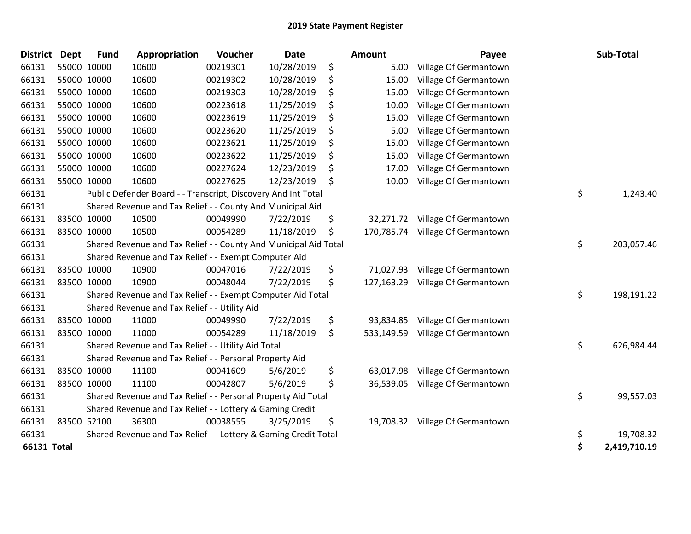| <b>District</b>    | <b>Dept</b> | <b>Fund</b> | Appropriation                                                    | Voucher  | <b>Date</b> | Amount           | Payee                           | Sub-Total          |
|--------------------|-------------|-------------|------------------------------------------------------------------|----------|-------------|------------------|---------------------------------|--------------------|
| 66131              |             | 55000 10000 | 10600                                                            | 00219301 | 10/28/2019  | \$<br>5.00       | Village Of Germantown           |                    |
| 66131              |             | 55000 10000 | 10600                                                            | 00219302 | 10/28/2019  | \$<br>15.00      | Village Of Germantown           |                    |
| 66131              |             | 55000 10000 | 10600                                                            | 00219303 | 10/28/2019  | \$<br>15.00      | Village Of Germantown           |                    |
| 66131              |             | 55000 10000 | 10600                                                            | 00223618 | 11/25/2019  | \$<br>10.00      | Village Of Germantown           |                    |
| 66131              |             | 55000 10000 | 10600                                                            | 00223619 | 11/25/2019  | \$<br>15.00      | Village Of Germantown           |                    |
| 66131              |             | 55000 10000 | 10600                                                            | 00223620 | 11/25/2019  | \$<br>5.00       | Village Of Germantown           |                    |
| 66131              |             | 55000 10000 | 10600                                                            | 00223621 | 11/25/2019  | \$<br>15.00      | Village Of Germantown           |                    |
| 66131              |             | 55000 10000 | 10600                                                            | 00223622 | 11/25/2019  | \$<br>15.00      | Village Of Germantown           |                    |
| 66131              |             | 55000 10000 | 10600                                                            | 00227624 | 12/23/2019  | \$<br>17.00      | Village Of Germantown           |                    |
| 66131              |             | 55000 10000 | 10600                                                            | 00227625 | 12/23/2019  | \$<br>10.00      | Village Of Germantown           |                    |
| 66131              |             |             | Public Defender Board - - Transcript, Discovery And Int Total    |          |             |                  |                                 | \$<br>1,243.40     |
| 66131              |             |             | Shared Revenue and Tax Relief - - County And Municipal Aid       |          |             |                  |                                 |                    |
| 66131              |             | 83500 10000 | 10500                                                            | 00049990 | 7/22/2019   | \$<br>32,271.72  | Village Of Germantown           |                    |
| 66131              |             | 83500 10000 | 10500                                                            | 00054289 | 11/18/2019  | \$<br>170,785.74 | Village Of Germantown           |                    |
| 66131              |             |             | Shared Revenue and Tax Relief - - County And Municipal Aid Total |          |             |                  |                                 | \$<br>203,057.46   |
| 66131              |             |             | Shared Revenue and Tax Relief - - Exempt Computer Aid            |          |             |                  |                                 |                    |
| 66131              |             | 83500 10000 | 10900                                                            | 00047016 | 7/22/2019   | \$<br>71,027.93  | Village Of Germantown           |                    |
| 66131              |             | 83500 10000 | 10900                                                            | 00048044 | 7/22/2019   | \$<br>127,163.29 | Village Of Germantown           |                    |
| 66131              |             |             | Shared Revenue and Tax Relief - - Exempt Computer Aid Total      |          |             |                  |                                 | \$<br>198,191.22   |
| 66131              |             |             | Shared Revenue and Tax Relief - - Utility Aid                    |          |             |                  |                                 |                    |
| 66131              |             | 83500 10000 | 11000                                                            | 00049990 | 7/22/2019   | \$<br>93,834.85  | Village Of Germantown           |                    |
| 66131              |             | 83500 10000 | 11000                                                            | 00054289 | 11/18/2019  | \$<br>533,149.59 | Village Of Germantown           |                    |
| 66131              |             |             | Shared Revenue and Tax Relief - - Utility Aid Total              |          |             |                  |                                 | \$<br>626,984.44   |
| 66131              |             |             | Shared Revenue and Tax Relief - - Personal Property Aid          |          |             |                  |                                 |                    |
| 66131              |             | 83500 10000 | 11100                                                            | 00041609 | 5/6/2019    | \$               | 63,017.98 Village Of Germantown |                    |
| 66131              |             | 83500 10000 | 11100                                                            | 00042807 | 5/6/2019    | \$<br>36,539.05  | Village Of Germantown           |                    |
| 66131              |             |             | Shared Revenue and Tax Relief - - Personal Property Aid Total    |          |             |                  |                                 | \$<br>99,557.03    |
| 66131              |             |             | Shared Revenue and Tax Relief - - Lottery & Gaming Credit        |          |             |                  |                                 |                    |
| 66131              |             | 83500 52100 | 36300                                                            | 00038555 | 3/25/2019   | \$               | 19,708.32 Village Of Germantown |                    |
| 66131              |             |             | Shared Revenue and Tax Relief - - Lottery & Gaming Credit Total  |          |             |                  |                                 | \$<br>19,708.32    |
| <b>66131 Total</b> |             |             |                                                                  |          |             |                  |                                 | \$<br>2,419,710.19 |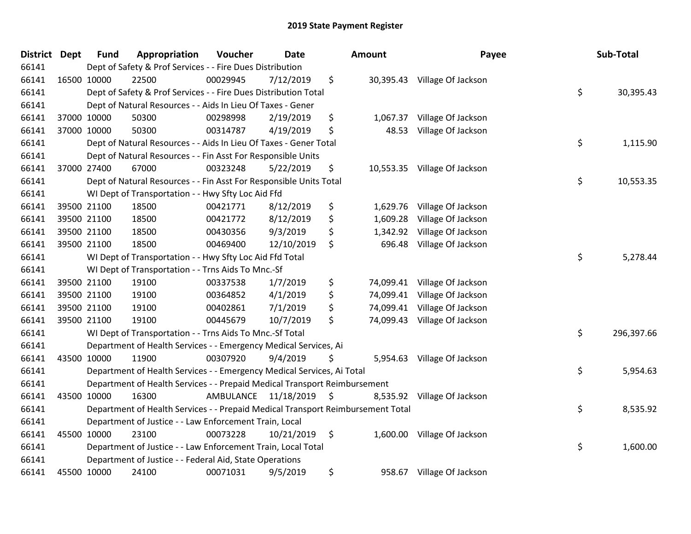| District | <b>Dept</b> | <b>Fund</b> | Appropriation                                                                   | Voucher  | Date                    | <b>Amount</b>   | Payee                        | Sub-Total        |
|----------|-------------|-------------|---------------------------------------------------------------------------------|----------|-------------------------|-----------------|------------------------------|------------------|
| 66141    |             |             | Dept of Safety & Prof Services - - Fire Dues Distribution                       |          |                         |                 |                              |                  |
| 66141    |             | 16500 10000 | 22500                                                                           | 00029945 | 7/12/2019               | \$              | 30,395.43 Village Of Jackson |                  |
| 66141    |             |             | Dept of Safety & Prof Services - - Fire Dues Distribution Total                 |          |                         |                 |                              | \$<br>30,395.43  |
| 66141    |             |             | Dept of Natural Resources - - Aids In Lieu Of Taxes - Gener                     |          |                         |                 |                              |                  |
| 66141    |             | 37000 10000 | 50300                                                                           | 00298998 | 2/19/2019               | \$<br>1,067.37  | Village Of Jackson           |                  |
| 66141    |             | 37000 10000 | 50300                                                                           | 00314787 | 4/19/2019               | \$<br>48.53     | Village Of Jackson           |                  |
| 66141    |             |             | Dept of Natural Resources - - Aids In Lieu Of Taxes - Gener Total               |          |                         |                 |                              | \$<br>1,115.90   |
| 66141    |             |             | Dept of Natural Resources - - Fin Asst For Responsible Units                    |          |                         |                 |                              |                  |
| 66141    |             | 37000 27400 | 67000                                                                           | 00323248 | 5/22/2019               | \$              | 10,553.35 Village Of Jackson |                  |
| 66141    |             |             | Dept of Natural Resources - - Fin Asst For Responsible Units Total              |          |                         |                 |                              | \$<br>10,553.35  |
| 66141    |             |             | WI Dept of Transportation - - Hwy Sfty Loc Aid Ffd                              |          |                         |                 |                              |                  |
| 66141    |             | 39500 21100 | 18500                                                                           | 00421771 | 8/12/2019               | \$<br>1,629.76  | Village Of Jackson           |                  |
| 66141    |             | 39500 21100 | 18500                                                                           | 00421772 | 8/12/2019               | \$<br>1,609.28  | Village Of Jackson           |                  |
| 66141    |             | 39500 21100 | 18500                                                                           | 00430356 | 9/3/2019                | \$<br>1,342.92  | Village Of Jackson           |                  |
| 66141    |             | 39500 21100 | 18500                                                                           | 00469400 | 12/10/2019              | \$<br>696.48    | Village Of Jackson           |                  |
| 66141    |             |             | WI Dept of Transportation - - Hwy Sfty Loc Aid Ffd Total                        |          |                         |                 |                              | \$<br>5,278.44   |
| 66141    |             |             | WI Dept of Transportation - - Trns Aids To Mnc.-Sf                              |          |                         |                 |                              |                  |
| 66141    |             | 39500 21100 | 19100                                                                           | 00337538 | 1/7/2019                | \$              | 74,099.41 Village Of Jackson |                  |
| 66141    |             | 39500 21100 | 19100                                                                           | 00364852 | 4/1/2019                | \$<br>74,099.41 | Village Of Jackson           |                  |
| 66141    |             | 39500 21100 | 19100                                                                           | 00402861 | 7/1/2019                | \$<br>74,099.41 | Village Of Jackson           |                  |
| 66141    |             | 39500 21100 | 19100                                                                           | 00445679 | 10/7/2019               | \$<br>74,099.43 | Village Of Jackson           |                  |
| 66141    |             |             | WI Dept of Transportation - - Trns Aids To Mnc.-Sf Total                        |          |                         |                 |                              | \$<br>296,397.66 |
| 66141    |             |             | Department of Health Services - - Emergency Medical Services, Ai                |          |                         |                 |                              |                  |
| 66141    |             | 43500 10000 | 11900                                                                           | 00307920 | 9/4/2019                | \$<br>5,954.63  | Village Of Jackson           |                  |
| 66141    |             |             | Department of Health Services - - Emergency Medical Services, Ai Total          |          |                         |                 |                              | \$<br>5,954.63   |
| 66141    |             |             | Department of Health Services - - Prepaid Medical Transport Reimbursement       |          |                         |                 |                              |                  |
| 66141    |             | 43500 10000 | 16300                                                                           |          | AMBULANCE 11/18/2019 \$ |                 | 8,535.92 Village Of Jackson  |                  |
| 66141    |             |             | Department of Health Services - - Prepaid Medical Transport Reimbursement Total |          |                         |                 |                              | \$<br>8,535.92   |
| 66141    |             |             | Department of Justice - - Law Enforcement Train, Local                          |          |                         |                 |                              |                  |
| 66141    |             | 45500 10000 | 23100                                                                           | 00073228 | 10/21/2019              | \$              | 1,600.00 Village Of Jackson  |                  |
| 66141    |             |             | Department of Justice - - Law Enforcement Train, Local Total                    |          |                         |                 |                              | \$<br>1,600.00   |
| 66141    |             |             | Department of Justice - - Federal Aid, State Operations                         |          |                         |                 |                              |                  |
| 66141    |             | 45500 10000 | 24100                                                                           | 00071031 | 9/5/2019                | \$<br>958.67    | Village Of Jackson           |                  |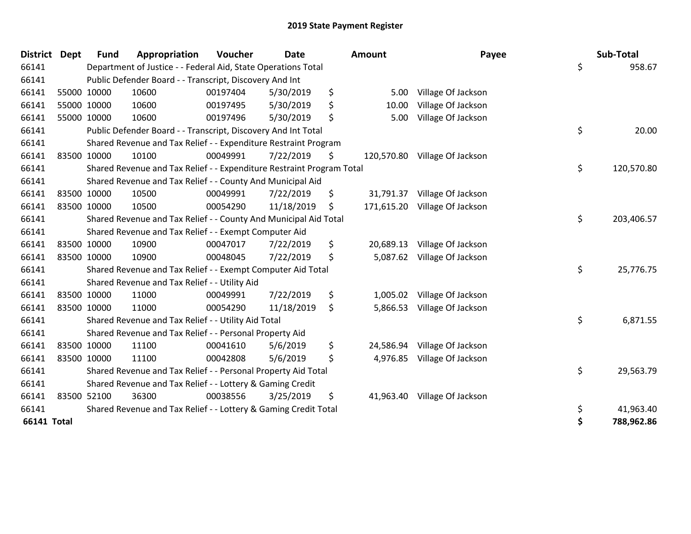| <b>District</b>    | <b>Dept</b> | <b>Fund</b> | Appropriation                                                         | Voucher  | <b>Date</b> | Amount           | Payee              | Sub-Total        |
|--------------------|-------------|-------------|-----------------------------------------------------------------------|----------|-------------|------------------|--------------------|------------------|
| 66141              |             |             | Department of Justice - - Federal Aid, State Operations Total         |          |             |                  |                    | \$<br>958.67     |
| 66141              |             |             | Public Defender Board - - Transcript, Discovery And Int               |          |             |                  |                    |                  |
| 66141              |             | 55000 10000 | 10600                                                                 | 00197404 | 5/30/2019   | \$<br>5.00       | Village Of Jackson |                  |
| 66141              |             | 55000 10000 | 10600                                                                 | 00197495 | 5/30/2019   | \$<br>10.00      | Village Of Jackson |                  |
| 66141              |             | 55000 10000 | 10600                                                                 | 00197496 | 5/30/2019   | \$<br>5.00       | Village Of Jackson |                  |
| 66141              |             |             | Public Defender Board - - Transcript, Discovery And Int Total         |          |             |                  |                    | \$<br>20.00      |
| 66141              |             |             | Shared Revenue and Tax Relief - - Expenditure Restraint Program       |          |             |                  |                    |                  |
| 66141              | 83500 10000 |             | 10100                                                                 | 00049991 | 7/22/2019   | \$<br>120,570.80 | Village Of Jackson |                  |
| 66141              |             |             | Shared Revenue and Tax Relief - - Expenditure Restraint Program Total |          |             |                  |                    | \$<br>120,570.80 |
| 66141              |             |             | Shared Revenue and Tax Relief - - County And Municipal Aid            |          |             |                  |                    |                  |
| 66141              |             | 83500 10000 | 10500                                                                 | 00049991 | 7/22/2019   | \$<br>31,791.37  | Village Of Jackson |                  |
| 66141              | 83500 10000 |             | 10500                                                                 | 00054290 | 11/18/2019  | \$<br>171,615.20 | Village Of Jackson |                  |
| 66141              |             |             | Shared Revenue and Tax Relief - - County And Municipal Aid Total      |          |             |                  |                    | \$<br>203,406.57 |
| 66141              |             |             | Shared Revenue and Tax Relief - - Exempt Computer Aid                 |          |             |                  |                    |                  |
| 66141              |             | 83500 10000 | 10900                                                                 | 00047017 | 7/22/2019   | \$<br>20,689.13  | Village Of Jackson |                  |
| 66141              | 83500 10000 |             | 10900                                                                 | 00048045 | 7/22/2019   | \$<br>5,087.62   | Village Of Jackson |                  |
| 66141              |             |             | Shared Revenue and Tax Relief - - Exempt Computer Aid Total           |          |             |                  |                    | \$<br>25,776.75  |
| 66141              |             |             | Shared Revenue and Tax Relief - - Utility Aid                         |          |             |                  |                    |                  |
| 66141              |             | 83500 10000 | 11000                                                                 | 00049991 | 7/22/2019   | \$<br>1,005.02   | Village Of Jackson |                  |
| 66141              | 83500 10000 |             | 11000                                                                 | 00054290 | 11/18/2019  | \$<br>5,866.53   | Village Of Jackson |                  |
| 66141              |             |             | Shared Revenue and Tax Relief - - Utility Aid Total                   |          |             |                  |                    | \$<br>6,871.55   |
| 66141              |             |             | Shared Revenue and Tax Relief - - Personal Property Aid               |          |             |                  |                    |                  |
| 66141              |             | 83500 10000 | 11100                                                                 | 00041610 | 5/6/2019    | \$<br>24,586.94  | Village Of Jackson |                  |
| 66141              | 83500 10000 |             | 11100                                                                 | 00042808 | 5/6/2019    | \$<br>4,976.85   | Village Of Jackson |                  |
| 66141              |             |             | Shared Revenue and Tax Relief - - Personal Property Aid Total         |          |             |                  |                    | \$<br>29,563.79  |
| 66141              |             |             | Shared Revenue and Tax Relief - - Lottery & Gaming Credit             |          |             |                  |                    |                  |
| 66141              |             | 83500 52100 | 36300                                                                 | 00038556 | 3/25/2019   | \$<br>41,963.40  | Village Of Jackson |                  |
| 66141              |             |             | Shared Revenue and Tax Relief - - Lottery & Gaming Credit Total       |          |             |                  |                    | \$<br>41,963.40  |
| <b>66141 Total</b> |             |             |                                                                       |          |             |                  |                    | \$<br>788,962.86 |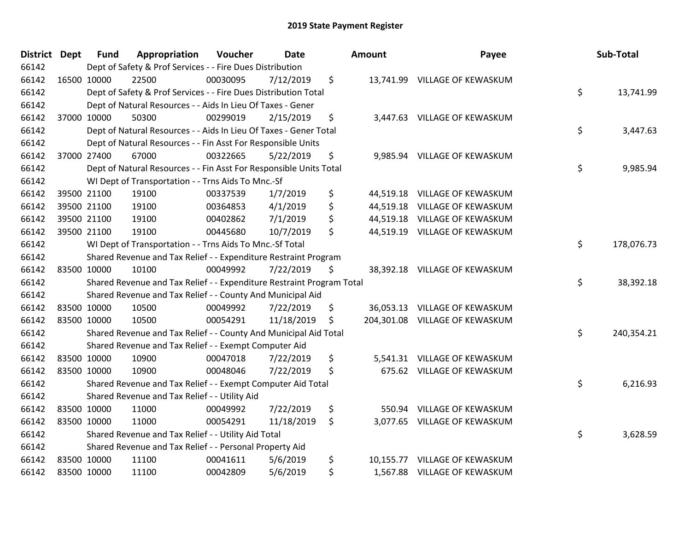| <b>District</b> | <b>Dept</b> | <b>Fund</b> | Appropriation                                                         | Voucher  | <b>Date</b> | Amount       | Payee                          | Sub-Total        |
|-----------------|-------------|-------------|-----------------------------------------------------------------------|----------|-------------|--------------|--------------------------------|------------------|
| 66142           |             |             | Dept of Safety & Prof Services - - Fire Dues Distribution             |          |             |              |                                |                  |
| 66142           | 16500 10000 |             | 22500                                                                 | 00030095 | 7/12/2019   | \$           | 13,741.99 VILLAGE OF KEWASKUM  |                  |
| 66142           |             |             | Dept of Safety & Prof Services - - Fire Dues Distribution Total       |          |             |              |                                | \$<br>13,741.99  |
| 66142           |             |             | Dept of Natural Resources - - Aids In Lieu Of Taxes - Gener           |          |             |              |                                |                  |
| 66142           |             | 37000 10000 | 50300                                                                 | 00299019 | 2/15/2019   | \$           | 3,447.63 VILLAGE OF KEWASKUM   |                  |
| 66142           |             |             | Dept of Natural Resources - - Aids In Lieu Of Taxes - Gener Total     |          |             |              |                                | \$<br>3,447.63   |
| 66142           |             |             | Dept of Natural Resources - - Fin Asst For Responsible Units          |          |             |              |                                |                  |
| 66142           |             | 37000 27400 | 67000                                                                 | 00322665 | 5/22/2019   | \$           | 9,985.94 VILLAGE OF KEWASKUM   |                  |
| 66142           |             |             | Dept of Natural Resources - - Fin Asst For Responsible Units Total    |          |             |              |                                | \$<br>9,985.94   |
| 66142           |             |             | WI Dept of Transportation - - Trns Aids To Mnc.-Sf                    |          |             |              |                                |                  |
| 66142           |             | 39500 21100 | 19100                                                                 | 00337539 | 1/7/2019    | \$           | 44,519.18 VILLAGE OF KEWASKUM  |                  |
| 66142           |             | 39500 21100 | 19100                                                                 | 00364853 | 4/1/2019    | \$           | 44,519.18 VILLAGE OF KEWASKUM  |                  |
| 66142           |             | 39500 21100 | 19100                                                                 | 00402862 | 7/1/2019    | \$           | 44,519.18 VILLAGE OF KEWASKUM  |                  |
| 66142           |             | 39500 21100 | 19100                                                                 | 00445680 | 10/7/2019   | \$           | 44,519.19 VILLAGE OF KEWASKUM  |                  |
| 66142           |             |             | WI Dept of Transportation - - Trns Aids To Mnc.-Sf Total              |          |             |              |                                | \$<br>178,076.73 |
| 66142           |             |             | Shared Revenue and Tax Relief - - Expenditure Restraint Program       |          |             |              |                                |                  |
| 66142           | 83500 10000 |             | 10100                                                                 | 00049992 | 7/22/2019   | \$           | 38,392.18 VILLAGE OF KEWASKUM  |                  |
| 66142           |             |             | Shared Revenue and Tax Relief - - Expenditure Restraint Program Total |          |             |              |                                | \$<br>38,392.18  |
| 66142           |             |             | Shared Revenue and Tax Relief - - County And Municipal Aid            |          |             |              |                                |                  |
| 66142           |             | 83500 10000 | 10500                                                                 | 00049992 | 7/22/2019   | \$           | 36,053.13 VILLAGE OF KEWASKUM  |                  |
| 66142           |             | 83500 10000 | 10500                                                                 | 00054291 | 11/18/2019  | \$           | 204,301.08 VILLAGE OF KEWASKUM |                  |
| 66142           |             |             | Shared Revenue and Tax Relief - - County And Municipal Aid Total      |          |             |              |                                | \$<br>240,354.21 |
| 66142           |             |             | Shared Revenue and Tax Relief - - Exempt Computer Aid                 |          |             |              |                                |                  |
| 66142           | 83500 10000 |             | 10900                                                                 | 00047018 | 7/22/2019   | \$           | 5,541.31 VILLAGE OF KEWASKUM   |                  |
| 66142           | 83500 10000 |             | 10900                                                                 | 00048046 | 7/22/2019   | \$           | 675.62 VILLAGE OF KEWASKUM     |                  |
| 66142           |             |             | Shared Revenue and Tax Relief - - Exempt Computer Aid Total           |          |             |              |                                | \$<br>6,216.93   |
| 66142           |             |             | Shared Revenue and Tax Relief - - Utility Aid                         |          |             |              |                                |                  |
| 66142           | 83500 10000 |             | 11000                                                                 | 00049992 | 7/22/2019   | \$<br>550.94 | VILLAGE OF KEWASKUM            |                  |
| 66142           | 83500 10000 |             | 11000                                                                 | 00054291 | 11/18/2019  | \$           | 3,077.65 VILLAGE OF KEWASKUM   |                  |
| 66142           |             |             | Shared Revenue and Tax Relief - - Utility Aid Total                   |          |             |              |                                | \$<br>3,628.59   |
| 66142           |             |             | Shared Revenue and Tax Relief - - Personal Property Aid               |          |             |              |                                |                  |
| 66142           |             | 83500 10000 | 11100                                                                 | 00041611 | 5/6/2019    | \$           | 10,155.77 VILLAGE OF KEWASKUM  |                  |
| 66142           | 83500 10000 |             | 11100                                                                 | 00042809 | 5/6/2019    | \$           | 1,567.88 VILLAGE OF KEWASKUM   |                  |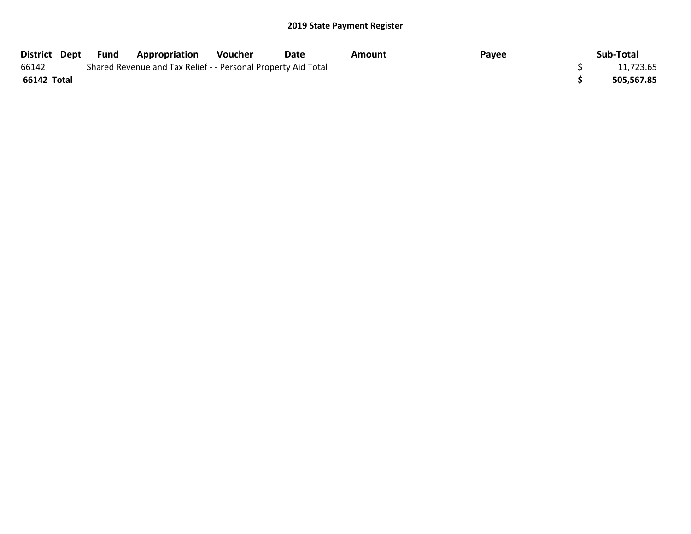| District Dept | Fund | <b>Appropriation</b>                                          | Voucher | Date | Amount | Payee | Sub-Total  |
|---------------|------|---------------------------------------------------------------|---------|------|--------|-------|------------|
| 66142         |      | Shared Revenue and Tax Relief - - Personal Property Aid Total |         |      |        |       | 11,723.65  |
| 66142 Total   |      |                                                               |         |      |        |       | 505,567.85 |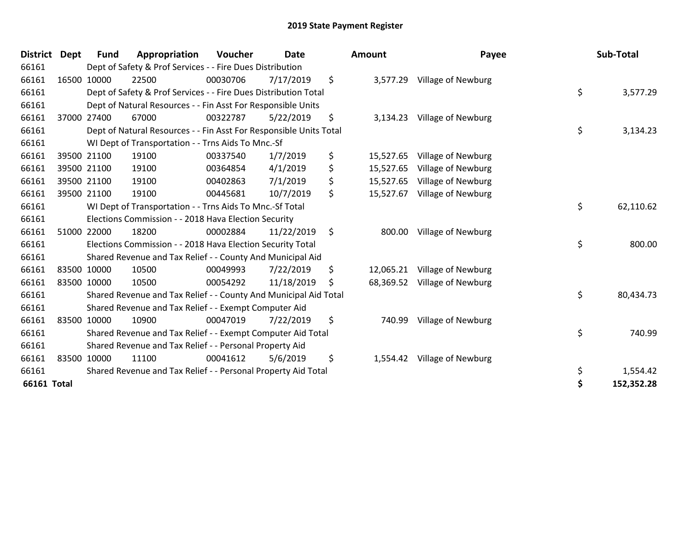| <b>District</b> | <b>Dept</b> | <b>Fund</b> | Appropriation                                                      | Voucher  | <b>Date</b> | <b>Amount</b>   | Payee                     | Sub-Total        |
|-----------------|-------------|-------------|--------------------------------------------------------------------|----------|-------------|-----------------|---------------------------|------------------|
| 66161           |             |             | Dept of Safety & Prof Services - - Fire Dues Distribution          |          |             |                 |                           |                  |
| 66161           |             | 16500 10000 | 22500                                                              | 00030706 | 7/17/2019   | \$<br>3,577.29  | Village of Newburg        |                  |
| 66161           |             |             | Dept of Safety & Prof Services - - Fire Dues Distribution Total    |          |             |                 |                           | \$<br>3,577.29   |
| 66161           |             |             | Dept of Natural Resources - - Fin Asst For Responsible Units       |          |             |                 |                           |                  |
| 66161           |             | 37000 27400 | 67000                                                              | 00322787 | 5/22/2019   | \$<br>3,134.23  | Village of Newburg        |                  |
| 66161           |             |             | Dept of Natural Resources - - Fin Asst For Responsible Units Total |          |             |                 |                           | \$<br>3,134.23   |
| 66161           |             |             | WI Dept of Transportation - - Trns Aids To Mnc.-Sf                 |          |             |                 |                           |                  |
| 66161           |             | 39500 21100 | 19100                                                              | 00337540 | 1/7/2019    | \$<br>15,527.65 | <b>Village of Newburg</b> |                  |
| 66161           |             | 39500 21100 | 19100                                                              | 00364854 | 4/1/2019    | \$<br>15,527.65 | Village of Newburg        |                  |
| 66161           |             | 39500 21100 | 19100                                                              | 00402863 | 7/1/2019    | \$<br>15,527.65 | Village of Newburg        |                  |
| 66161           |             | 39500 21100 | 19100                                                              | 00445681 | 10/7/2019   | \$<br>15,527.67 | <b>Village of Newburg</b> |                  |
| 66161           |             |             | WI Dept of Transportation - - Trns Aids To Mnc.-Sf Total           |          |             |                 |                           | \$<br>62,110.62  |
| 66161           |             |             | Elections Commission - - 2018 Hava Election Security               |          |             |                 |                           |                  |
| 66161           |             | 51000 22000 | 18200                                                              | 00002884 | 11/22/2019  | \$<br>800.00    | <b>Village of Newburg</b> |                  |
| 66161           |             |             | Elections Commission - - 2018 Hava Election Security Total         |          |             |                 |                           | \$<br>800.00     |
| 66161           |             |             | Shared Revenue and Tax Relief - - County And Municipal Aid         |          |             |                 |                           |                  |
| 66161           |             | 83500 10000 | 10500                                                              | 00049993 | 7/22/2019   | \$<br>12,065.21 | Village of Newburg        |                  |
| 66161           |             | 83500 10000 | 10500                                                              | 00054292 | 11/18/2019  | \$<br>68,369.52 | Village of Newburg        |                  |
| 66161           |             |             | Shared Revenue and Tax Relief - - County And Municipal Aid Total   |          |             |                 |                           | \$<br>80,434.73  |
| 66161           |             |             | Shared Revenue and Tax Relief - - Exempt Computer Aid              |          |             |                 |                           |                  |
| 66161           |             | 83500 10000 | 10900                                                              | 00047019 | 7/22/2019   | \$<br>740.99    | Village of Newburg        |                  |
| 66161           |             |             | Shared Revenue and Tax Relief - - Exempt Computer Aid Total        |          |             |                 |                           | \$<br>740.99     |
| 66161           |             |             | Shared Revenue and Tax Relief - - Personal Property Aid            |          |             |                 |                           |                  |
| 66161           |             | 83500 10000 | 11100                                                              | 00041612 | 5/6/2019    | \$<br>1,554.42  | Village of Newburg        |                  |
| 66161           |             |             | Shared Revenue and Tax Relief - - Personal Property Aid Total      |          |             |                 |                           | \$<br>1,554.42   |
| 66161 Total     |             |             |                                                                    |          |             |                 |                           | \$<br>152,352.28 |

| nount     | Payee                        | Sub-Total        |
|-----------|------------------------------|------------------|
|           | 3,577.29 Village of Newburg  |                  |
|           |                              | \$<br>3,577.29   |
|           | 3,134.23 Village of Newburg  |                  |
|           |                              | \$<br>3,134.23   |
|           | 15,527.65 Village of Newburg |                  |
| 15,527.65 | Village of Newburg           |                  |
| 15,527.65 | Village of Newburg           |                  |
| 15,527.67 | <b>Village of Newburg</b>    |                  |
|           |                              | \$<br>62,110.62  |
| 800.00    | Village of Newburg           |                  |
|           |                              | \$<br>800.00     |
|           | 12,065.21 Village of Newburg |                  |
| 68,369.52 | Village of Newburg           |                  |
|           |                              | \$<br>80,434.73  |
| 740.99    | Village of Newburg           |                  |
|           |                              | \$<br>740.99     |
| 1,554.42  | Village of Newburg           |                  |
|           |                              | \$<br>1,554.42   |
|           |                              | \$<br>152,352.28 |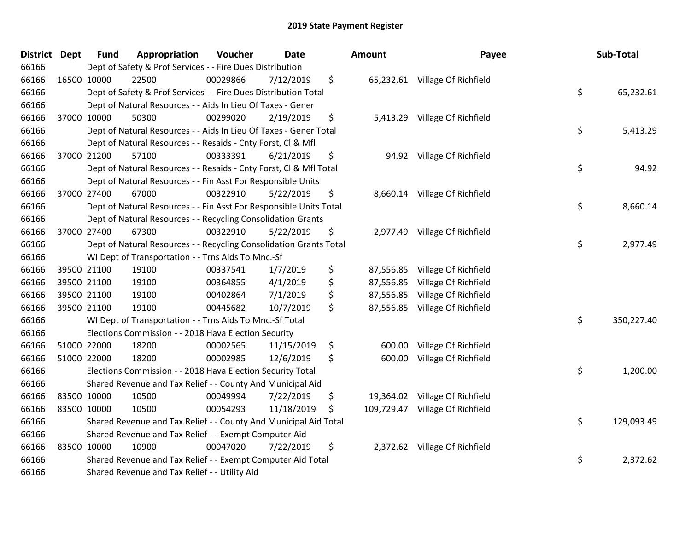| District Dept | <b>Fund</b> | Appropriation                                                      | Voucher  | <b>Date</b> |     | Amount     | Payee                          | Sub-Total        |
|---------------|-------------|--------------------------------------------------------------------|----------|-------------|-----|------------|--------------------------------|------------------|
| 66166         |             | Dept of Safety & Prof Services - - Fire Dues Distribution          |          |             |     |            |                                |                  |
| 66166         | 16500 10000 | 22500                                                              | 00029866 | 7/12/2019   | \$  |            | 65,232.61 Village Of Richfield |                  |
| 66166         |             | Dept of Safety & Prof Services - - Fire Dues Distribution Total    |          |             |     |            |                                | \$<br>65,232.61  |
| 66166         |             | Dept of Natural Resources - - Aids In Lieu Of Taxes - Gener        |          |             |     |            |                                |                  |
| 66166         | 37000 10000 | 50300                                                              | 00299020 | 2/19/2019   | \$  | 5,413.29   | Village Of Richfield           |                  |
| 66166         |             | Dept of Natural Resources - - Aids In Lieu Of Taxes - Gener Total  |          |             |     |            |                                | \$<br>5,413.29   |
| 66166         |             | Dept of Natural Resources - - Resaids - Cnty Forst, Cl & Mfl       |          |             |     |            |                                |                  |
| 66166         | 37000 21200 | 57100                                                              | 00333391 | 6/21/2019   | \$  | 94.92      | Village Of Richfield           |                  |
| 66166         |             | Dept of Natural Resources - - Resaids - Cnty Forst, Cl & Mfl Total |          |             |     |            |                                | \$<br>94.92      |
| 66166         |             | Dept of Natural Resources - - Fin Asst For Responsible Units       |          |             |     |            |                                |                  |
| 66166         | 37000 27400 | 67000                                                              | 00322910 | 5/22/2019   | \$  |            | 8,660.14 Village Of Richfield  |                  |
| 66166         |             | Dept of Natural Resources - - Fin Asst For Responsible Units Total |          |             |     |            |                                | \$<br>8,660.14   |
| 66166         |             | Dept of Natural Resources - - Recycling Consolidation Grants       |          |             |     |            |                                |                  |
| 66166         | 37000 27400 | 67300                                                              | 00322910 | 5/22/2019   | \$  |            | 2,977.49 Village Of Richfield  |                  |
| 66166         |             | Dept of Natural Resources - - Recycling Consolidation Grants Total |          |             |     |            |                                | \$<br>2,977.49   |
| 66166         |             | WI Dept of Transportation - - Trns Aids To Mnc.-Sf                 |          |             |     |            |                                |                  |
| 66166         | 39500 21100 | 19100                                                              | 00337541 | 1/7/2019    | \$  | 87,556.85  | Village Of Richfield           |                  |
| 66166         | 39500 21100 | 19100                                                              | 00364855 | 4/1/2019    | \$  | 87,556.85  | Village Of Richfield           |                  |
| 66166         | 39500 21100 | 19100                                                              | 00402864 | 7/1/2019    | \$  | 87,556.85  | Village Of Richfield           |                  |
| 66166         | 39500 21100 | 19100                                                              | 00445682 | 10/7/2019   | \$  | 87,556.85  | Village Of Richfield           |                  |
| 66166         |             | WI Dept of Transportation - - Trns Aids To Mnc.-Sf Total           |          |             |     |            |                                | \$<br>350,227.40 |
| 66166         |             | Elections Commission - - 2018 Hava Election Security               |          |             |     |            |                                |                  |
| 66166         | 51000 22000 | 18200                                                              | 00002565 | 11/15/2019  | \$  | 600.00     | Village Of Richfield           |                  |
| 66166         | 51000 22000 | 18200                                                              | 00002985 | 12/6/2019   | \$  | 600.00     | Village Of Richfield           |                  |
| 66166         |             | Elections Commission - - 2018 Hava Election Security Total         |          |             |     |            |                                | \$<br>1,200.00   |
| 66166         |             | Shared Revenue and Tax Relief - - County And Municipal Aid         |          |             |     |            |                                |                  |
| 66166         | 83500 10000 | 10500                                                              | 00049994 | 7/22/2019   | \$  | 19,364.02  | Village Of Richfield           |                  |
| 66166         | 83500 10000 | 10500                                                              | 00054293 | 11/18/2019  | \$. | 109,729.47 | Village Of Richfield           |                  |
| 66166         |             | Shared Revenue and Tax Relief - - County And Municipal Aid Total   |          |             |     |            |                                | \$<br>129,093.49 |
| 66166         |             | Shared Revenue and Tax Relief - - Exempt Computer Aid              |          |             |     |            |                                |                  |
| 66166         | 83500 10000 | 10900                                                              | 00047020 | 7/22/2019   | \$  |            | 2,372.62 Village Of Richfield  |                  |
| 66166         |             | Shared Revenue and Tax Relief - - Exempt Computer Aid Total        |          |             |     |            |                                | \$<br>2,372.62   |
| 66166         |             | Shared Revenue and Tax Relief - - Utility Aid                      |          |             |     |            |                                |                  |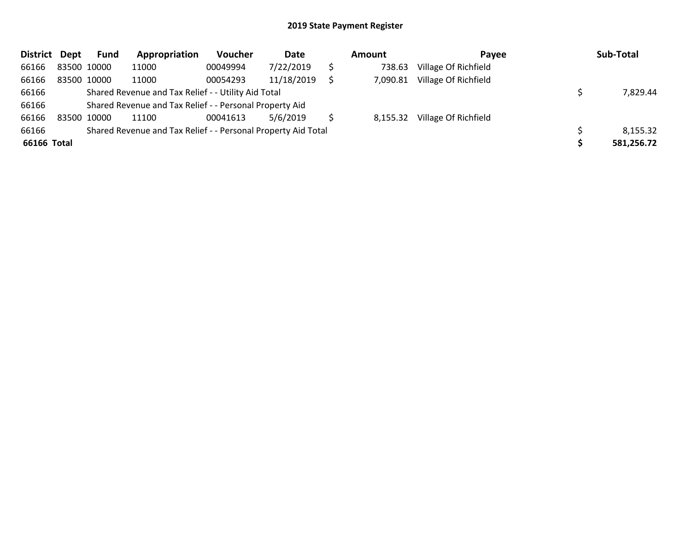| <b>District</b> | Dept        | Fund | Appropriation                                                 | Voucher  | Date       | Amount   | Pavee                | Sub-Total  |
|-----------------|-------------|------|---------------------------------------------------------------|----------|------------|----------|----------------------|------------|
| 66166           | 83500 10000 |      | 11000                                                         | 00049994 | 7/22/2019  | 738.63   | Village Of Richfield |            |
| 66166           | 83500 10000 |      | 11000                                                         | 00054293 | 11/18/2019 | 7,090.81 | Village Of Richfield |            |
| 66166           |             |      | Shared Revenue and Tax Relief - - Utility Aid Total           |          |            |          |                      | 7,829.44   |
| 66166           |             |      | Shared Revenue and Tax Relief - - Personal Property Aid       |          |            |          |                      |            |
| 66166           | 83500 10000 |      | 11100                                                         | 00041613 | 5/6/2019   | 8,155.32 | Village Of Richfield |            |
| 66166           |             |      | Shared Revenue and Tax Relief - - Personal Property Aid Total |          |            |          |                      | 8,155.32   |
| 66166 Total     |             |      |                                                               |          |            |          |                      | 581,256.72 |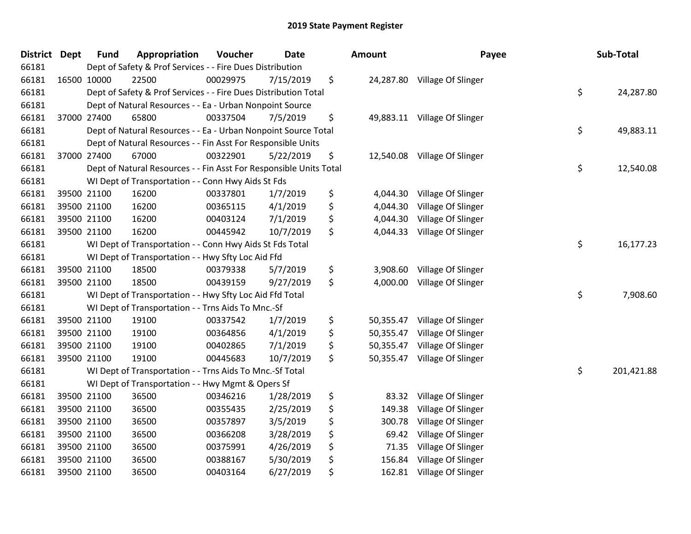| District Dept | <b>Fund</b> | Appropriation                                                      | Voucher  | <b>Date</b> | Amount          | Payee                        | Sub-Total        |
|---------------|-------------|--------------------------------------------------------------------|----------|-------------|-----------------|------------------------------|------------------|
| 66181         |             | Dept of Safety & Prof Services - - Fire Dues Distribution          |          |             |                 |                              |                  |
| 66181         | 16500 10000 | 22500                                                              | 00029975 | 7/15/2019   | \$              | 24,287.80 Village Of Slinger |                  |
| 66181         |             | Dept of Safety & Prof Services - - Fire Dues Distribution Total    |          |             |                 |                              | \$<br>24,287.80  |
| 66181         |             | Dept of Natural Resources - - Ea - Urban Nonpoint Source           |          |             |                 |                              |                  |
| 66181         | 37000 27400 | 65800                                                              | 00337504 | 7/5/2019    | \$              | 49,883.11 Village Of Slinger |                  |
| 66181         |             | Dept of Natural Resources - - Ea - Urban Nonpoint Source Total     |          |             |                 |                              | \$<br>49,883.11  |
| 66181         |             | Dept of Natural Resources - - Fin Asst For Responsible Units       |          |             |                 |                              |                  |
| 66181         | 37000 27400 | 67000                                                              | 00322901 | 5/22/2019   | \$<br>12,540.08 | Village Of Slinger           |                  |
| 66181         |             | Dept of Natural Resources - - Fin Asst For Responsible Units Total |          |             |                 |                              | \$<br>12,540.08  |
| 66181         |             | WI Dept of Transportation - - Conn Hwy Aids St Fds                 |          |             |                 |                              |                  |
| 66181         | 39500 21100 | 16200                                                              | 00337801 | 1/7/2019    | \$<br>4,044.30  | Village Of Slinger           |                  |
| 66181         | 39500 21100 | 16200                                                              | 00365115 | 4/1/2019    | \$<br>4,044.30  | Village Of Slinger           |                  |
| 66181         | 39500 21100 | 16200                                                              | 00403124 | 7/1/2019    | \$<br>4,044.30  | Village Of Slinger           |                  |
| 66181         | 39500 21100 | 16200                                                              | 00445942 | 10/7/2019   | \$<br>4,044.33  | Village Of Slinger           |                  |
| 66181         |             | WI Dept of Transportation - - Conn Hwy Aids St Fds Total           |          |             |                 |                              | \$<br>16,177.23  |
| 66181         |             | WI Dept of Transportation - - Hwy Sfty Loc Aid Ffd                 |          |             |                 |                              |                  |
| 66181         | 39500 21100 | 18500                                                              | 00379338 | 5/7/2019    | \$<br>3,908.60  | Village Of Slinger           |                  |
| 66181         | 39500 21100 | 18500                                                              | 00439159 | 9/27/2019   | \$<br>4,000.00  | Village Of Slinger           |                  |
| 66181         |             | WI Dept of Transportation - - Hwy Sfty Loc Aid Ffd Total           |          |             |                 |                              | \$<br>7,908.60   |
| 66181         |             | WI Dept of Transportation - - Trns Aids To Mnc.-Sf                 |          |             |                 |                              |                  |
| 66181         | 39500 21100 | 19100                                                              | 00337542 | 1/7/2019    | \$<br>50,355.47 | Village Of Slinger           |                  |
| 66181         | 39500 21100 | 19100                                                              | 00364856 | 4/1/2019    | \$<br>50,355.47 | Village Of Slinger           |                  |
| 66181         | 39500 21100 | 19100                                                              | 00402865 | 7/1/2019    | \$<br>50,355.47 | Village Of Slinger           |                  |
| 66181         | 39500 21100 | 19100                                                              | 00445683 | 10/7/2019   | \$<br>50,355.47 | Village Of Slinger           |                  |
| 66181         |             | WI Dept of Transportation - - Trns Aids To Mnc.-Sf Total           |          |             |                 |                              | \$<br>201,421.88 |
| 66181         |             | WI Dept of Transportation - - Hwy Mgmt & Opers Sf                  |          |             |                 |                              |                  |
| 66181         | 39500 21100 | 36500                                                              | 00346216 | 1/28/2019   | \$<br>83.32     | Village Of Slinger           |                  |
| 66181         | 39500 21100 | 36500                                                              | 00355435 | 2/25/2019   | \$<br>149.38    | Village Of Slinger           |                  |
| 66181         | 39500 21100 | 36500                                                              | 00357897 | 3/5/2019    | \$<br>300.78    | Village Of Slinger           |                  |
| 66181         | 39500 21100 | 36500                                                              | 00366208 | 3/28/2019   | \$<br>69.42     | Village Of Slinger           |                  |
| 66181         | 39500 21100 | 36500                                                              | 00375991 | 4/26/2019   | \$<br>71.35     | Village Of Slinger           |                  |
| 66181         | 39500 21100 | 36500                                                              | 00388167 | 5/30/2019   | \$<br>156.84    | Village Of Slinger           |                  |
| 66181         | 39500 21100 | 36500                                                              | 00403164 | 6/27/2019   | \$<br>162.81    | Village Of Slinger           |                  |
|               |             |                                                                    |          |             |                 |                              |                  |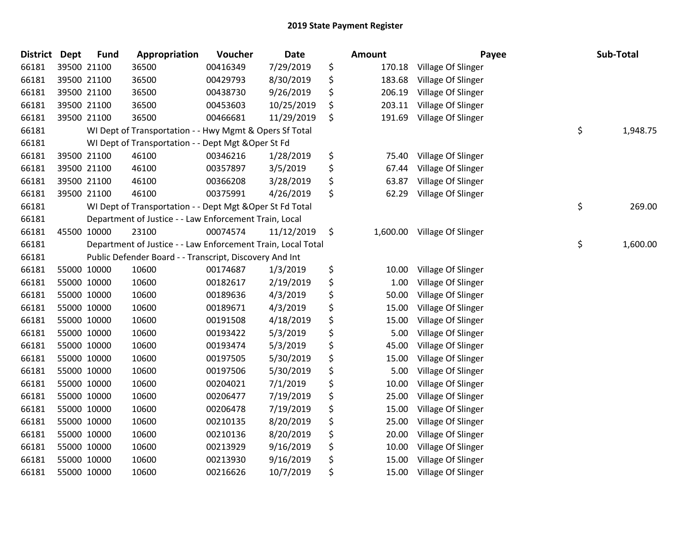| <b>District</b> | Dept        | <b>Fund</b> | Appropriation                                                | Voucher  | Date       | <b>Amount</b>  | Payee              | Sub-Total      |
|-----------------|-------------|-------------|--------------------------------------------------------------|----------|------------|----------------|--------------------|----------------|
| 66181           |             | 39500 21100 | 36500                                                        | 00416349 | 7/29/2019  | \$<br>170.18   | Village Of Slinger |                |
| 66181           | 39500 21100 |             | 36500                                                        | 00429793 | 8/30/2019  | \$<br>183.68   | Village Of Slinger |                |
| 66181           |             | 39500 21100 | 36500                                                        | 00438730 | 9/26/2019  | \$<br>206.19   | Village Of Slinger |                |
| 66181           |             | 39500 21100 | 36500                                                        | 00453603 | 10/25/2019 | \$<br>203.11   | Village Of Slinger |                |
| 66181           |             | 39500 21100 | 36500                                                        | 00466681 | 11/29/2019 | \$<br>191.69   | Village Of Slinger |                |
| 66181           |             |             | WI Dept of Transportation - - Hwy Mgmt & Opers Sf Total      |          |            |                |                    | \$<br>1,948.75 |
| 66181           |             |             | WI Dept of Transportation - - Dept Mgt & Oper St Fd          |          |            |                |                    |                |
| 66181           |             | 39500 21100 | 46100                                                        | 00346216 | 1/28/2019  | \$<br>75.40    | Village Of Slinger |                |
| 66181           |             | 39500 21100 | 46100                                                        | 00357897 | 3/5/2019   | \$<br>67.44    | Village Of Slinger |                |
| 66181           | 39500 21100 |             | 46100                                                        | 00366208 | 3/28/2019  | \$<br>63.87    | Village Of Slinger |                |
| 66181           |             | 39500 21100 | 46100                                                        | 00375991 | 4/26/2019  | \$<br>62.29    | Village Of Slinger |                |
| 66181           |             |             | WI Dept of Transportation - - Dept Mgt & Oper St Fd Total    |          |            |                |                    | \$<br>269.00   |
| 66181           |             |             | Department of Justice - - Law Enforcement Train, Local       |          |            |                |                    |                |
| 66181           | 45500 10000 |             | 23100                                                        | 00074574 | 11/12/2019 | \$<br>1,600.00 | Village Of Slinger |                |
| 66181           |             |             | Department of Justice - - Law Enforcement Train, Local Total |          |            |                |                    | \$<br>1,600.00 |
| 66181           |             |             | Public Defender Board - - Transcript, Discovery And Int      |          |            |                |                    |                |
| 66181           |             | 55000 10000 | 10600                                                        | 00174687 | 1/3/2019   | \$<br>10.00    | Village Of Slinger |                |
| 66181           | 55000 10000 |             | 10600                                                        | 00182617 | 2/19/2019  | \$<br>1.00     | Village Of Slinger |                |
| 66181           | 55000 10000 |             | 10600                                                        | 00189636 | 4/3/2019   | \$<br>50.00    | Village Of Slinger |                |
| 66181           |             | 55000 10000 | 10600                                                        | 00189671 | 4/3/2019   | \$<br>15.00    | Village Of Slinger |                |
| 66181           | 55000 10000 |             | 10600                                                        | 00191508 | 4/18/2019  | \$<br>15.00    | Village Of Slinger |                |
| 66181           | 55000 10000 |             | 10600                                                        | 00193422 | 5/3/2019   | \$<br>5.00     | Village Of Slinger |                |
| 66181           | 55000 10000 |             | 10600                                                        | 00193474 | 5/3/2019   | \$<br>45.00    | Village Of Slinger |                |
| 66181           | 55000 10000 |             | 10600                                                        | 00197505 | 5/30/2019  | \$<br>15.00    | Village Of Slinger |                |
| 66181           |             | 55000 10000 | 10600                                                        | 00197506 | 5/30/2019  | \$<br>5.00     | Village Of Slinger |                |
| 66181           |             | 55000 10000 | 10600                                                        | 00204021 | 7/1/2019   | \$<br>10.00    | Village Of Slinger |                |
| 66181           |             | 55000 10000 | 10600                                                        | 00206477 | 7/19/2019  | \$<br>25.00    | Village Of Slinger |                |
| 66181           | 55000 10000 |             | 10600                                                        | 00206478 | 7/19/2019  | \$<br>15.00    | Village Of Slinger |                |
| 66181           | 55000 10000 |             | 10600                                                        | 00210135 | 8/20/2019  | \$<br>25.00    | Village Of Slinger |                |
| 66181           |             | 55000 10000 | 10600                                                        | 00210136 | 8/20/2019  | \$<br>20.00    | Village Of Slinger |                |
| 66181           | 55000 10000 |             | 10600                                                        | 00213929 | 9/16/2019  | \$<br>10.00    | Village Of Slinger |                |
| 66181           |             | 55000 10000 | 10600                                                        | 00213930 | 9/16/2019  | \$<br>15.00    | Village Of Slinger |                |
| 66181           | 55000 10000 |             | 10600                                                        | 00216626 | 10/7/2019  | \$<br>15.00    | Village Of Slinger |                |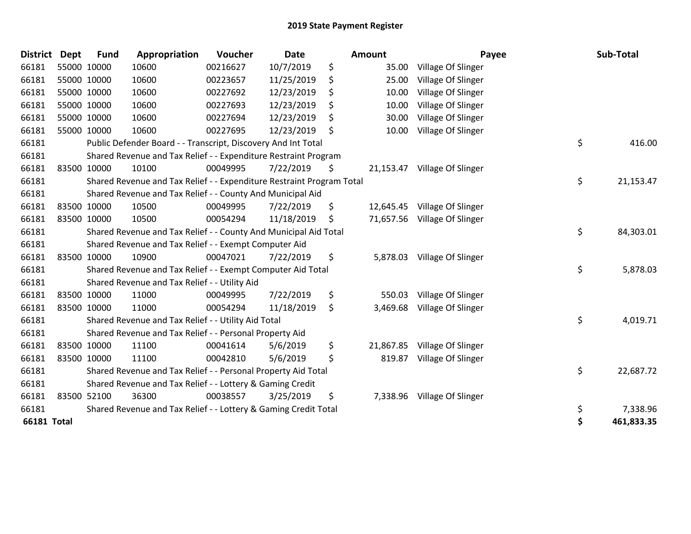| <b>District</b>    | <b>Dept</b> | <b>Fund</b> | Appropriation                                                         | Voucher  | <b>Date</b> | <b>Amount</b>   | Payee              | Sub-Total        |
|--------------------|-------------|-------------|-----------------------------------------------------------------------|----------|-------------|-----------------|--------------------|------------------|
| 66181              | 55000 10000 |             | 10600                                                                 | 00216627 | 10/7/2019   | \$<br>35.00     | Village Of Slinger |                  |
| 66181              | 55000 10000 |             | 10600                                                                 | 00223657 | 11/25/2019  | \$<br>25.00     | Village Of Slinger |                  |
| 66181              |             | 55000 10000 | 10600                                                                 | 00227692 | 12/23/2019  | \$<br>10.00     | Village Of Slinger |                  |
| 66181              |             | 55000 10000 | 10600                                                                 | 00227693 | 12/23/2019  | \$<br>10.00     | Village Of Slinger |                  |
| 66181              |             | 55000 10000 | 10600                                                                 | 00227694 | 12/23/2019  | \$<br>30.00     | Village Of Slinger |                  |
| 66181              |             | 55000 10000 | 10600                                                                 | 00227695 | 12/23/2019  | \$<br>10.00     | Village Of Slinger |                  |
| 66181              |             |             | Public Defender Board - - Transcript, Discovery And Int Total         |          |             |                 |                    | \$<br>416.00     |
| 66181              |             |             | Shared Revenue and Tax Relief - - Expenditure Restraint Program       |          |             |                 |                    |                  |
| 66181              |             | 83500 10000 | 10100                                                                 | 00049995 | 7/22/2019   | \$<br>21,153.47 | Village Of Slinger |                  |
| 66181              |             |             | Shared Revenue and Tax Relief - - Expenditure Restraint Program Total |          |             |                 |                    | \$<br>21,153.47  |
| 66181              |             |             | Shared Revenue and Tax Relief - - County And Municipal Aid            |          |             |                 |                    |                  |
| 66181              |             | 83500 10000 | 10500                                                                 | 00049995 | 7/22/2019   | \$<br>12,645.45 | Village Of Slinger |                  |
| 66181              |             | 83500 10000 | 10500                                                                 | 00054294 | 11/18/2019  | \$<br>71,657.56 | Village Of Slinger |                  |
| 66181              |             |             | Shared Revenue and Tax Relief - - County And Municipal Aid Total      |          |             |                 |                    | \$<br>84,303.01  |
| 66181              |             |             | Shared Revenue and Tax Relief - - Exempt Computer Aid                 |          |             |                 |                    |                  |
| 66181              |             | 83500 10000 | 10900                                                                 | 00047021 | 7/22/2019   | \$<br>5,878.03  | Village Of Slinger |                  |
| 66181              |             |             | Shared Revenue and Tax Relief - - Exempt Computer Aid Total           |          |             |                 |                    | \$<br>5,878.03   |
| 66181              |             |             | Shared Revenue and Tax Relief - - Utility Aid                         |          |             |                 |                    |                  |
| 66181              |             | 83500 10000 | 11000                                                                 | 00049995 | 7/22/2019   | \$<br>550.03    | Village Of Slinger |                  |
| 66181              |             | 83500 10000 | 11000                                                                 | 00054294 | 11/18/2019  | \$<br>3,469.68  | Village Of Slinger |                  |
| 66181              |             |             | Shared Revenue and Tax Relief - - Utility Aid Total                   |          |             |                 |                    | \$<br>4,019.71   |
| 66181              |             |             | Shared Revenue and Tax Relief - - Personal Property Aid               |          |             |                 |                    |                  |
| 66181              |             | 83500 10000 | 11100                                                                 | 00041614 | 5/6/2019    | \$<br>21,867.85 | Village Of Slinger |                  |
| 66181              |             | 83500 10000 | 11100                                                                 | 00042810 | 5/6/2019    | \$<br>819.87    | Village Of Slinger |                  |
| 66181              |             |             | Shared Revenue and Tax Relief - - Personal Property Aid Total         |          |             |                 |                    | \$<br>22,687.72  |
| 66181              |             |             | Shared Revenue and Tax Relief - - Lottery & Gaming Credit             |          |             |                 |                    |                  |
| 66181              |             | 83500 52100 | 36300                                                                 | 00038557 | 3/25/2019   | \$<br>7,338.96  | Village Of Slinger |                  |
| 66181              |             |             | Shared Revenue and Tax Relief - - Lottery & Gaming Credit Total       |          |             |                 |                    | \$<br>7,338.96   |
| <b>66181 Total</b> |             |             |                                                                       |          |             |                 |                    | \$<br>461,833.35 |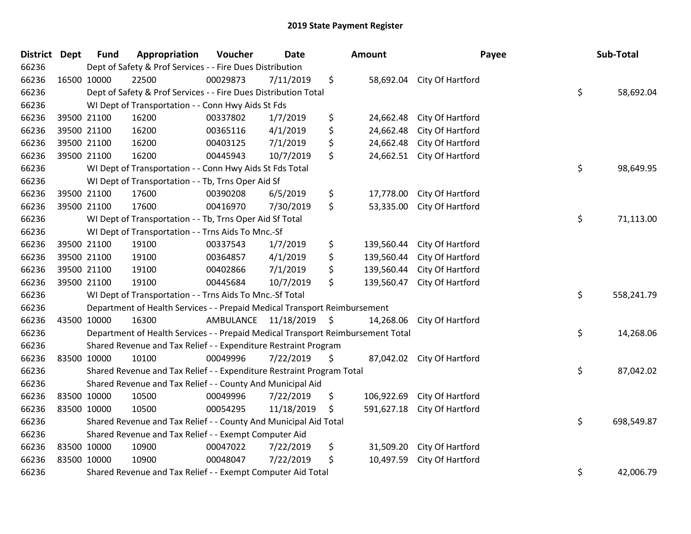| District Dept |             | <b>Fund</b> | Appropriation                                                                   | Voucher   | <b>Date</b> |                    | Amount     |                            | Payee | Sub-Total  |
|---------------|-------------|-------------|---------------------------------------------------------------------------------|-----------|-------------|--------------------|------------|----------------------------|-------|------------|
| 66236         |             |             | Dept of Safety & Prof Services - - Fire Dues Distribution                       |           |             |                    |            |                            |       |            |
| 66236         |             | 16500 10000 | 22500                                                                           | 00029873  | 7/11/2019   | \$                 |            | 58,692.04 City Of Hartford |       |            |
| 66236         |             |             | Dept of Safety & Prof Services - - Fire Dues Distribution Total                 |           |             |                    |            |                            | \$    | 58,692.04  |
| 66236         |             |             | WI Dept of Transportation - - Conn Hwy Aids St Fds                              |           |             |                    |            |                            |       |            |
| 66236         |             | 39500 21100 | 16200                                                                           | 00337802  | 1/7/2019    | \$                 | 24,662.48  | City Of Hartford           |       |            |
| 66236         |             | 39500 21100 | 16200                                                                           | 00365116  | 4/1/2019    | \$                 | 24,662.48  | City Of Hartford           |       |            |
| 66236         |             | 39500 21100 | 16200                                                                           | 00403125  | 7/1/2019    | \$                 | 24,662.48  | City Of Hartford           |       |            |
| 66236         |             | 39500 21100 | 16200                                                                           | 00445943  | 10/7/2019   | \$                 | 24,662.51  | City Of Hartford           |       |            |
| 66236         |             |             | WI Dept of Transportation - - Conn Hwy Aids St Fds Total                        |           |             |                    |            |                            | \$    | 98,649.95  |
| 66236         |             |             | WI Dept of Transportation - - Tb, Trns Oper Aid Sf                              |           |             |                    |            |                            |       |            |
| 66236         |             | 39500 21100 | 17600                                                                           | 00390208  | 6/5/2019    | \$                 | 17,778.00  | City Of Hartford           |       |            |
| 66236         |             | 39500 21100 | 17600                                                                           | 00416970  | 7/30/2019   | \$.                | 53,335.00  | City Of Hartford           |       |            |
| 66236         |             |             | WI Dept of Transportation - - Tb, Trns Oper Aid Sf Total                        |           |             |                    |            |                            | \$    | 71,113.00  |
| 66236         |             |             | WI Dept of Transportation - - Trns Aids To Mnc.-Sf                              |           |             |                    |            |                            |       |            |
| 66236         |             | 39500 21100 | 19100                                                                           | 00337543  | 1/7/2019    | \$                 | 139,560.44 | City Of Hartford           |       |            |
| 66236         |             | 39500 21100 | 19100                                                                           | 00364857  | 4/1/2019    | \$                 | 139,560.44 | City Of Hartford           |       |            |
| 66236         |             | 39500 21100 | 19100                                                                           | 00402866  | 7/1/2019    | \$                 | 139,560.44 | City Of Hartford           |       |            |
| 66236         |             | 39500 21100 | 19100                                                                           | 00445684  | 10/7/2019   | \$                 | 139,560.47 | City Of Hartford           |       |            |
| 66236         |             |             | WI Dept of Transportation - - Trns Aids To Mnc.-Sf Total                        |           |             |                    |            |                            | \$    | 558,241.79 |
| 66236         |             |             | Department of Health Services - - Prepaid Medical Transport Reimbursement       |           |             |                    |            |                            |       |            |
| 66236         |             | 43500 10000 | 16300                                                                           | AMBULANCE | 11/18/2019  | $\ddot{\varsigma}$ | 14,268.06  | City Of Hartford           |       |            |
| 66236         |             |             | Department of Health Services - - Prepaid Medical Transport Reimbursement Total |           |             |                    |            |                            | \$    | 14,268.06  |
| 66236         |             |             | Shared Revenue and Tax Relief - - Expenditure Restraint Program                 |           |             |                    |            |                            |       |            |
| 66236         |             | 83500 10000 | 10100                                                                           | 00049996  | 7/22/2019   | \$                 |            | 87,042.02 City Of Hartford |       |            |
| 66236         |             |             | Shared Revenue and Tax Relief - - Expenditure Restraint Program Total           |           |             |                    |            |                            | \$    | 87,042.02  |
| 66236         |             |             | Shared Revenue and Tax Relief - - County And Municipal Aid                      |           |             |                    |            |                            |       |            |
| 66236         |             | 83500 10000 | 10500                                                                           | 00049996  | 7/22/2019   | \$                 | 106,922.69 | City Of Hartford           |       |            |
| 66236         | 83500 10000 |             | 10500                                                                           | 00054295  | 11/18/2019  | \$                 | 591,627.18 | City Of Hartford           |       |            |
| 66236         |             |             | Shared Revenue and Tax Relief - - County And Municipal Aid Total                |           |             |                    |            |                            | \$    | 698,549.87 |
| 66236         |             |             | Shared Revenue and Tax Relief - - Exempt Computer Aid                           |           |             |                    |            |                            |       |            |
| 66236         |             | 83500 10000 | 10900                                                                           | 00047022  | 7/22/2019   | \$                 | 31,509.20  | City Of Hartford           |       |            |
| 66236         |             | 83500 10000 | 10900                                                                           | 00048047  | 7/22/2019   | \$                 | 10,497.59  | City Of Hartford           |       |            |
| 66236         |             |             | Shared Revenue and Tax Relief - - Exempt Computer Aid Total                     |           |             |                    |            |                            | \$    | 42,006.79  |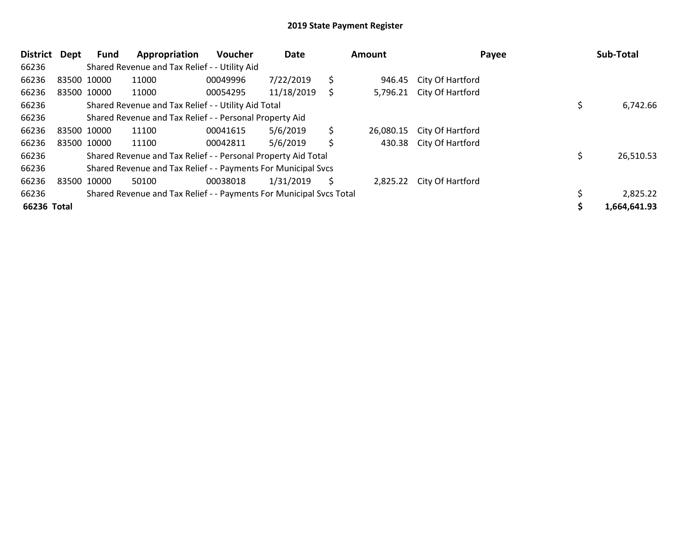| <b>District</b> | Dept        | Fund | Appropriation                                                       | <b>Voucher</b> | Date       | Amount |           | Payee                     |  | Sub-Total    |  |
|-----------------|-------------|------|---------------------------------------------------------------------|----------------|------------|--------|-----------|---------------------------|--|--------------|--|
| 66236           |             |      | Shared Revenue and Tax Relief - - Utility Aid                       |                |            |        |           |                           |  |              |  |
| 66236           | 83500 10000 |      | 11000                                                               | 00049996       | 7/22/2019  | \$     | 946.45    | City Of Hartford          |  |              |  |
| 66236           | 83500 10000 |      | 11000                                                               | 00054295       | 11/18/2019 | S      |           | 5,796.21 City Of Hartford |  |              |  |
| 66236           |             |      | Shared Revenue and Tax Relief - - Utility Aid Total                 |                |            |        |           |                           |  | 6,742.66     |  |
| 66236           |             |      | Shared Revenue and Tax Relief - - Personal Property Aid             |                |            |        |           |                           |  |              |  |
| 66236           | 83500 10000 |      | 11100                                                               | 00041615       | 5/6/2019   | \$     | 26,080.15 | City Of Hartford          |  |              |  |
| 66236           | 83500 10000 |      | 11100                                                               | 00042811       | 5/6/2019   | \$     |           | 430.38 City Of Hartford   |  |              |  |
| 66236           |             |      | Shared Revenue and Tax Relief - - Personal Property Aid Total       |                |            |        |           |                           |  | 26,510.53    |  |
| 66236           |             |      | Shared Revenue and Tax Relief - - Payments For Municipal Svcs       |                |            |        |           |                           |  |              |  |
| 66236           | 83500 10000 |      | 50100                                                               | 00038018       | 1/31/2019  | S      | 2,825.22  | City Of Hartford          |  |              |  |
| 66236           |             |      | Shared Revenue and Tax Relief - - Payments For Municipal Svcs Total |                |            |        |           |                           |  | 2,825.22     |  |
| 66236 Total     |             |      |                                                                     |                |            |        |           |                           |  | 1,664,641.93 |  |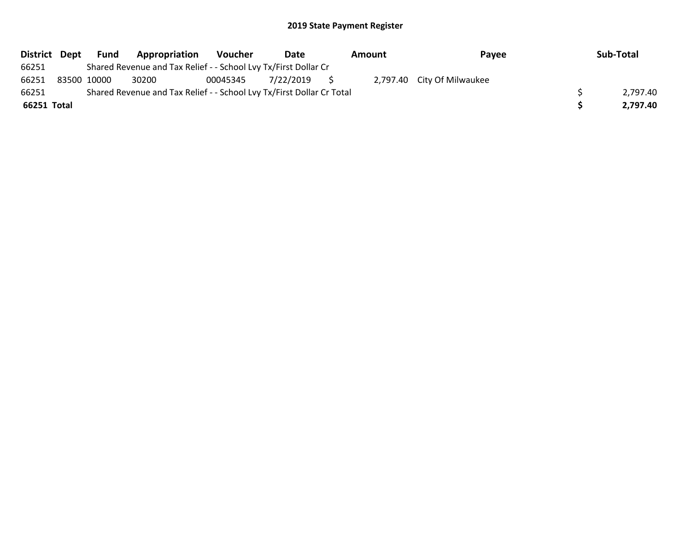| District Dept |             | Fund | <b>Appropriation</b>                                                  | Voucher  | Date         | Amount | Payee                      | Sub-Total |
|---------------|-------------|------|-----------------------------------------------------------------------|----------|--------------|--------|----------------------------|-----------|
| 66251         |             |      | Shared Revenue and Tax Relief - - School Lvy Tx/First Dollar Cr       |          |              |        |                            |           |
| 66251         | 83500 10000 |      | 30200                                                                 | 00045345 | 7/22/2019 \$ |        | 2,797.40 City Of Milwaukee |           |
| 66251         |             |      | Shared Revenue and Tax Relief - - School Lvy Tx/First Dollar Cr Total |          |              |        |                            | 2.797.40  |
| 66251 Total   |             |      |                                                                       |          |              |        |                            | 2.797.40  |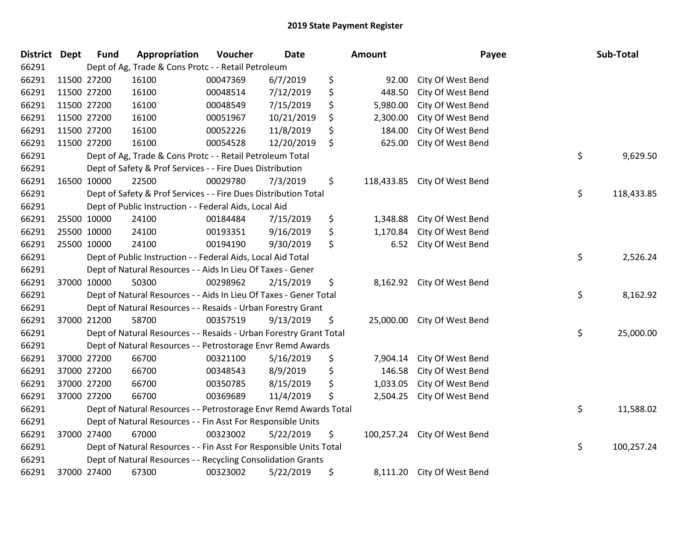| <b>District</b> | <b>Dept</b> | <b>Fund</b> | Appropriation                                                      | Voucher  | <b>Date</b> | <b>Amount</b>    | Payee                      | Sub-Total        |
|-----------------|-------------|-------------|--------------------------------------------------------------------|----------|-------------|------------------|----------------------------|------------------|
| 66291           |             |             | Dept of Ag, Trade & Cons Protc - - Retail Petroleum                |          |             |                  |                            |                  |
| 66291           |             | 11500 27200 | 16100                                                              | 00047369 | 6/7/2019    | \$<br>92.00      | City Of West Bend          |                  |
| 66291           | 11500 27200 |             | 16100                                                              | 00048514 | 7/12/2019   | \$<br>448.50     | City Of West Bend          |                  |
| 66291           | 11500 27200 |             | 16100                                                              | 00048549 | 7/15/2019   | \$<br>5,980.00   | City Of West Bend          |                  |
| 66291           |             | 11500 27200 | 16100                                                              | 00051967 | 10/21/2019  | \$<br>2,300.00   | City Of West Bend          |                  |
| 66291           | 11500 27200 |             | 16100                                                              | 00052226 | 11/8/2019   | \$<br>184.00     | City Of West Bend          |                  |
| 66291           | 11500 27200 |             | 16100                                                              | 00054528 | 12/20/2019  | \$<br>625.00     | City Of West Bend          |                  |
| 66291           |             |             | Dept of Ag, Trade & Cons Protc - - Retail Petroleum Total          |          |             |                  |                            | \$<br>9,629.50   |
| 66291           |             |             | Dept of Safety & Prof Services - - Fire Dues Distribution          |          |             |                  |                            |                  |
| 66291           | 16500 10000 |             | 22500                                                              | 00029780 | 7/3/2019    | \$<br>118,433.85 | City Of West Bend          |                  |
| 66291           |             |             | Dept of Safety & Prof Services - - Fire Dues Distribution Total    |          |             |                  |                            | \$<br>118,433.85 |
| 66291           |             |             | Dept of Public Instruction - - Federal Aids, Local Aid             |          |             |                  |                            |                  |
| 66291           |             | 25500 10000 | 24100                                                              | 00184484 | 7/15/2019   | \$<br>1,348.88   | City Of West Bend          |                  |
| 66291           |             | 25500 10000 | 24100                                                              | 00193351 | 9/16/2019   | \$<br>1,170.84   | City Of West Bend          |                  |
| 66291           |             | 25500 10000 | 24100                                                              | 00194190 | 9/30/2019   | \$<br>6.52       | City Of West Bend          |                  |
| 66291           |             |             | Dept of Public Instruction - - Federal Aids, Local Aid Total       |          |             |                  |                            | \$<br>2,526.24   |
| 66291           |             |             | Dept of Natural Resources - - Aids In Lieu Of Taxes - Gener        |          |             |                  |                            |                  |
| 66291           |             | 37000 10000 | 50300                                                              | 00298962 | 2/15/2019   | \$               | 8,162.92 City Of West Bend |                  |
| 66291           |             |             | Dept of Natural Resources - - Aids In Lieu Of Taxes - Gener Total  |          |             |                  |                            | \$<br>8,162.92   |
| 66291           |             |             | Dept of Natural Resources - - Resaids - Urban Forestry Grant       |          |             |                  |                            |                  |
| 66291           |             | 37000 21200 | 58700                                                              | 00357519 | 9/13/2019   | \$<br>25,000.00  | City Of West Bend          |                  |
| 66291           |             |             | Dept of Natural Resources - - Resaids - Urban Forestry Grant Total |          |             |                  |                            | \$<br>25,000.00  |
| 66291           |             |             | Dept of Natural Resources - - Petrostorage Envr Remd Awards        |          |             |                  |                            |                  |
| 66291           |             | 37000 27200 | 66700                                                              | 00321100 | 5/16/2019   | \$<br>7,904.14   | City Of West Bend          |                  |
| 66291           |             | 37000 27200 | 66700                                                              | 00348543 | 8/9/2019    | \$<br>146.58     | City Of West Bend          |                  |
| 66291           |             | 37000 27200 | 66700                                                              | 00350785 | 8/15/2019   | \$<br>1,033.05   | City Of West Bend          |                  |
| 66291           |             | 37000 27200 | 66700                                                              | 00369689 | 11/4/2019   | \$<br>2,504.25   | City Of West Bend          |                  |
| 66291           |             |             | Dept of Natural Resources - - Petrostorage Envr Remd Awards Total  |          |             |                  |                            | \$<br>11,588.02  |
| 66291           |             |             | Dept of Natural Resources - - Fin Asst For Responsible Units       |          |             |                  |                            |                  |
| 66291           |             | 37000 27400 | 67000                                                              | 00323002 | 5/22/2019   | \$<br>100,257.24 | City Of West Bend          |                  |
| 66291           |             |             | Dept of Natural Resources - - Fin Asst For Responsible Units Total |          |             |                  |                            | \$<br>100,257.24 |
| 66291           |             |             | Dept of Natural Resources - - Recycling Consolidation Grants       |          |             |                  |                            |                  |
| 66291           |             | 37000 27400 | 67300                                                              | 00323002 | 5/22/2019   | \$<br>8,111.20   | City Of West Bend          |                  |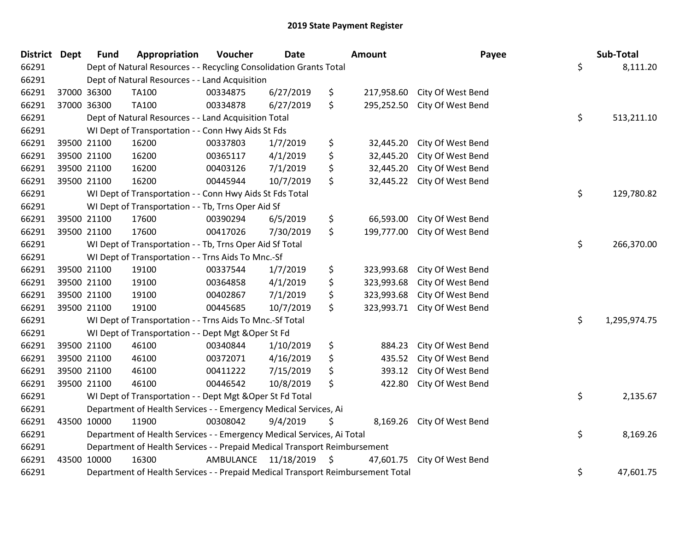| District Dept |             | <b>Fund</b> | Appropriation                                                                   | Voucher   | Date       | <b>Amount</b>    | Payee                      | Sub-Total          |
|---------------|-------------|-------------|---------------------------------------------------------------------------------|-----------|------------|------------------|----------------------------|--------------------|
| 66291         |             |             | Dept of Natural Resources - - Recycling Consolidation Grants Total              |           |            |                  |                            | \$<br>8,111.20     |
| 66291         |             |             | Dept of Natural Resources - - Land Acquisition                                  |           |            |                  |                            |                    |
| 66291         |             | 37000 36300 | TA100                                                                           | 00334875  | 6/27/2019  | \$<br>217,958.60 | City Of West Bend          |                    |
| 66291         | 37000 36300 |             | <b>TA100</b>                                                                    | 00334878  | 6/27/2019  | \$<br>295,252.50 | City Of West Bend          |                    |
| 66291         |             |             | Dept of Natural Resources - - Land Acquisition Total                            |           |            |                  |                            | \$<br>513,211.10   |
| 66291         |             |             | WI Dept of Transportation - - Conn Hwy Aids St Fds                              |           |            |                  |                            |                    |
| 66291         | 39500 21100 |             | 16200                                                                           | 00337803  | 1/7/2019   | \$<br>32,445.20  | City Of West Bend          |                    |
| 66291         | 39500 21100 |             | 16200                                                                           | 00365117  | 4/1/2019   | \$<br>32,445.20  | City Of West Bend          |                    |
| 66291         | 39500 21100 |             | 16200                                                                           | 00403126  | 7/1/2019   | \$<br>32,445.20  | City Of West Bend          |                    |
| 66291         | 39500 21100 |             | 16200                                                                           | 00445944  | 10/7/2019  | \$<br>32,445.22  | City Of West Bend          |                    |
| 66291         |             |             | WI Dept of Transportation - - Conn Hwy Aids St Fds Total                        |           |            |                  |                            | \$<br>129,780.82   |
| 66291         |             |             | WI Dept of Transportation - - Tb, Trns Oper Aid Sf                              |           |            |                  |                            |                    |
| 66291         |             | 39500 21100 | 17600                                                                           | 00390294  | 6/5/2019   | \$<br>66,593.00  | City Of West Bend          |                    |
| 66291         | 39500 21100 |             | 17600                                                                           | 00417026  | 7/30/2019  | \$<br>199,777.00 | City Of West Bend          |                    |
| 66291         |             |             | WI Dept of Transportation - - Tb, Trns Oper Aid Sf Total                        |           |            |                  |                            | \$<br>266,370.00   |
| 66291         |             |             | WI Dept of Transportation - - Trns Aids To Mnc.-Sf                              |           |            |                  |                            |                    |
| 66291         | 39500 21100 |             | 19100                                                                           | 00337544  | 1/7/2019   | \$<br>323,993.68 | City Of West Bend          |                    |
| 66291         | 39500 21100 |             | 19100                                                                           | 00364858  | 4/1/2019   | \$<br>323,993.68 | City Of West Bend          |                    |
| 66291         | 39500 21100 |             | 19100                                                                           | 00402867  | 7/1/2019   | \$<br>323,993.68 | City Of West Bend          |                    |
| 66291         | 39500 21100 |             | 19100                                                                           | 00445685  | 10/7/2019  | \$<br>323,993.71 | City Of West Bend          |                    |
| 66291         |             |             | WI Dept of Transportation - - Trns Aids To Mnc.-Sf Total                        |           |            |                  |                            | \$<br>1,295,974.75 |
| 66291         |             |             | WI Dept of Transportation - - Dept Mgt & Oper St Fd                             |           |            |                  |                            |                    |
| 66291         |             | 39500 21100 | 46100                                                                           | 00340844  | 1/10/2019  | \$<br>884.23     | City Of West Bend          |                    |
| 66291         | 39500 21100 |             | 46100                                                                           | 00372071  | 4/16/2019  | \$<br>435.52     | City Of West Bend          |                    |
| 66291         | 39500 21100 |             | 46100                                                                           | 00411222  | 7/15/2019  | \$<br>393.12     | City Of West Bend          |                    |
| 66291         | 39500 21100 |             | 46100                                                                           | 00446542  | 10/8/2019  | \$<br>422.80     | City Of West Bend          |                    |
| 66291         |             |             | WI Dept of Transportation - - Dept Mgt & Oper St Fd Total                       |           |            |                  |                            | \$<br>2,135.67     |
| 66291         |             |             | Department of Health Services - - Emergency Medical Services, Ai                |           |            |                  |                            |                    |
| 66291         | 43500 10000 |             | 11900                                                                           | 00308042  | 9/4/2019   | \$               | 8,169.26 City Of West Bend |                    |
| 66291         |             |             | Department of Health Services - - Emergency Medical Services, Ai Total          |           |            |                  |                            | \$<br>8,169.26     |
| 66291         |             |             | Department of Health Services - - Prepaid Medical Transport Reimbursement       |           |            |                  |                            |                    |
| 66291         |             | 43500 10000 | 16300                                                                           | AMBULANCE | 11/18/2019 | \$<br>47,601.75  | City Of West Bend          |                    |
| 66291         |             |             | Department of Health Services - - Prepaid Medical Transport Reimbursement Total |           |            |                  |                            | \$<br>47,601.75    |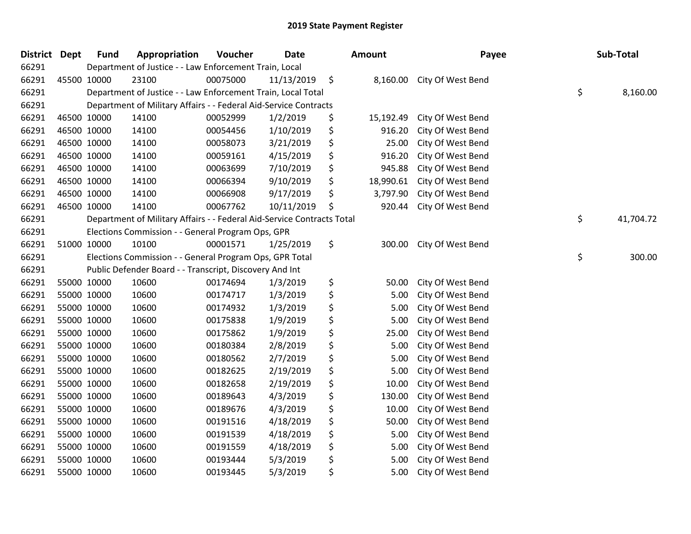| District Dept | <b>Fund</b>                                                  | Appropriation                                                          | Voucher  | <b>Date</b> |    | <b>Amount</b> | Payee             |    | Sub-Total |
|---------------|--------------------------------------------------------------|------------------------------------------------------------------------|----------|-------------|----|---------------|-------------------|----|-----------|
| 66291         |                                                              | Department of Justice - - Law Enforcement Train, Local                 |          |             |    |               |                   |    |           |
| 66291         | 45500 10000                                                  | 23100                                                                  | 00075000 | 11/13/2019  | \$ | 8,160.00      | City Of West Bend |    |           |
| 66291         | Department of Justice - - Law Enforcement Train, Local Total |                                                                        |          |             |    |               |                   |    | 8,160.00  |
| 66291         |                                                              | Department of Military Affairs - - Federal Aid-Service Contracts       |          |             |    |               |                   |    |           |
| 66291         | 46500 10000                                                  | 14100                                                                  | 00052999 | 1/2/2019    | \$ | 15,192.49     | City Of West Bend |    |           |
| 66291         | 46500 10000                                                  | 14100                                                                  | 00054456 | 1/10/2019   | \$ | 916.20        | City Of West Bend |    |           |
| 66291         | 46500 10000                                                  | 14100                                                                  | 00058073 | 3/21/2019   | \$ | 25.00         | City Of West Bend |    |           |
| 66291         | 46500 10000                                                  | 14100                                                                  | 00059161 | 4/15/2019   | \$ | 916.20        | City Of West Bend |    |           |
| 66291         | 46500 10000                                                  | 14100                                                                  | 00063699 | 7/10/2019   | \$ | 945.88        | City Of West Bend |    |           |
| 66291         | 46500 10000                                                  | 14100                                                                  | 00066394 | 9/10/2019   | \$ | 18,990.61     | City Of West Bend |    |           |
| 66291         | 46500 10000                                                  | 14100                                                                  | 00066908 | 9/17/2019   | \$ | 3,797.90      | City Of West Bend |    |           |
| 66291         | 46500 10000                                                  | 14100                                                                  | 00067762 | 10/11/2019  | \$ | 920.44        | City Of West Bend |    |           |
| 66291         |                                                              | Department of Military Affairs - - Federal Aid-Service Contracts Total |          |             |    |               |                   | \$ | 41,704.72 |
| 66291         |                                                              | Elections Commission - - General Program Ops, GPR                      |          |             |    |               |                   |    |           |
| 66291         | 51000 10000                                                  | 10100                                                                  | 00001571 | 1/25/2019   | \$ | 300.00        | City Of West Bend |    |           |
| 66291         | Elections Commission - - General Program Ops, GPR Total      |                                                                        |          |             |    |               |                   | \$ | 300.00    |
| 66291         |                                                              | Public Defender Board - - Transcript, Discovery And Int                |          |             |    |               |                   |    |           |
| 66291         | 55000 10000                                                  | 10600                                                                  | 00174694 | 1/3/2019    | \$ | 50.00         | City Of West Bend |    |           |
| 66291         | 55000 10000                                                  | 10600                                                                  | 00174717 | 1/3/2019    | \$ | 5.00          | City Of West Bend |    |           |
| 66291         | 55000 10000                                                  | 10600                                                                  | 00174932 | 1/3/2019    | \$ | 5.00          | City Of West Bend |    |           |
| 66291         | 55000 10000                                                  | 10600                                                                  | 00175838 | 1/9/2019    | \$ | 5.00          | City Of West Bend |    |           |
| 66291         | 55000 10000                                                  | 10600                                                                  | 00175862 | 1/9/2019    | \$ | 25.00         | City Of West Bend |    |           |
| 66291         | 55000 10000                                                  | 10600                                                                  | 00180384 | 2/8/2019    | \$ | 5.00          | City Of West Bend |    |           |
| 66291         | 55000 10000                                                  | 10600                                                                  | 00180562 | 2/7/2019    | \$ | 5.00          | City Of West Bend |    |           |
| 66291         | 55000 10000                                                  | 10600                                                                  | 00182625 | 2/19/2019   | \$ | 5.00          | City Of West Bend |    |           |
| 66291         | 55000 10000                                                  | 10600                                                                  | 00182658 | 2/19/2019   | \$ | 10.00         | City Of West Bend |    |           |
| 66291         | 55000 10000                                                  | 10600                                                                  | 00189643 | 4/3/2019    | \$ | 130.00        | City Of West Bend |    |           |
| 66291         | 55000 10000                                                  | 10600                                                                  | 00189676 | 4/3/2019    | \$ | 10.00         | City Of West Bend |    |           |
| 66291         | 55000 10000                                                  | 10600                                                                  | 00191516 | 4/18/2019   | \$ | 50.00         | City Of West Bend |    |           |
| 66291         | 55000 10000                                                  | 10600                                                                  | 00191539 | 4/18/2019   | \$ | 5.00          | City Of West Bend |    |           |
| 66291         | 55000 10000                                                  | 10600                                                                  | 00191559 | 4/18/2019   | \$ | 5.00          | City Of West Bend |    |           |
| 66291         | 55000 10000                                                  | 10600                                                                  | 00193444 | 5/3/2019    | \$ | 5.00          | City Of West Bend |    |           |
| 66291         | 55000 10000                                                  | 10600                                                                  | 00193445 | 5/3/2019    | \$ | 5.00          | City Of West Bend |    |           |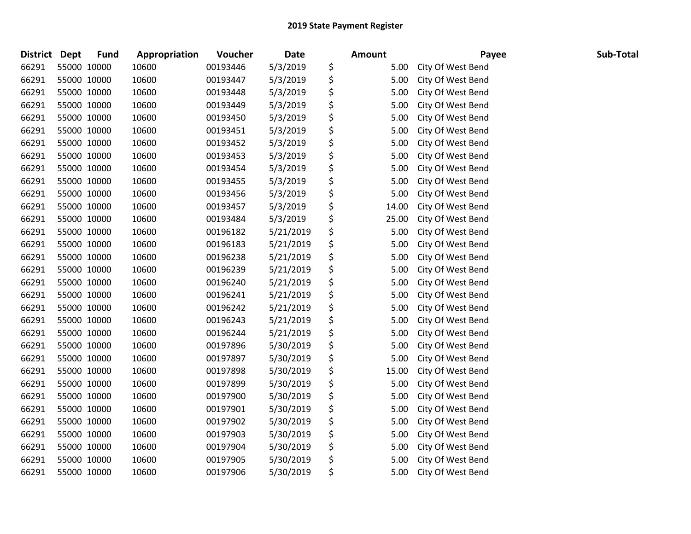| <b>District</b> | <b>Dept</b> | <b>Fund</b> | Appropriation | Voucher  | Date      | <b>Amount</b> | Payee             | Sub-Total |
|-----------------|-------------|-------------|---------------|----------|-----------|---------------|-------------------|-----------|
| 66291           |             | 55000 10000 | 10600         | 00193446 | 5/3/2019  | \$<br>5.00    | City Of West Bend |           |
| 66291           |             | 55000 10000 | 10600         | 00193447 | 5/3/2019  | \$<br>5.00    | City Of West Bend |           |
| 66291           |             | 55000 10000 | 10600         | 00193448 | 5/3/2019  | \$<br>5.00    | City Of West Bend |           |
| 66291           |             | 55000 10000 | 10600         | 00193449 | 5/3/2019  | \$<br>5.00    | City Of West Bend |           |
| 66291           |             | 55000 10000 | 10600         | 00193450 | 5/3/2019  | \$<br>5.00    | City Of West Bend |           |
| 66291           |             | 55000 10000 | 10600         | 00193451 | 5/3/2019  | \$<br>5.00    | City Of West Bend |           |
| 66291           |             | 55000 10000 | 10600         | 00193452 | 5/3/2019  | \$<br>5.00    | City Of West Bend |           |
| 66291           |             | 55000 10000 | 10600         | 00193453 | 5/3/2019  | \$<br>5.00    | City Of West Bend |           |
| 66291           |             | 55000 10000 | 10600         | 00193454 | 5/3/2019  | \$<br>5.00    | City Of West Bend |           |
| 66291           |             | 55000 10000 | 10600         | 00193455 | 5/3/2019  | \$<br>5.00    | City Of West Bend |           |
| 66291           |             | 55000 10000 | 10600         | 00193456 | 5/3/2019  | \$<br>5.00    | City Of West Bend |           |
| 66291           |             | 55000 10000 | 10600         | 00193457 | 5/3/2019  | \$<br>14.00   | City Of West Bend |           |
| 66291           | 55000 10000 |             | 10600         | 00193484 | 5/3/2019  | \$<br>25.00   | City Of West Bend |           |
| 66291           |             | 55000 10000 | 10600         | 00196182 | 5/21/2019 | \$<br>5.00    | City Of West Bend |           |
| 66291           | 55000 10000 |             | 10600         | 00196183 | 5/21/2019 | \$<br>5.00    | City Of West Bend |           |
| 66291           |             | 55000 10000 | 10600         | 00196238 | 5/21/2019 | \$<br>5.00    | City Of West Bend |           |
| 66291           |             | 55000 10000 | 10600         | 00196239 | 5/21/2019 | \$<br>5.00    | City Of West Bend |           |
| 66291           |             | 55000 10000 | 10600         | 00196240 | 5/21/2019 | \$<br>5.00    | City Of West Bend |           |
| 66291           |             | 55000 10000 | 10600         | 00196241 | 5/21/2019 | \$<br>5.00    | City Of West Bend |           |
| 66291           |             | 55000 10000 | 10600         | 00196242 | 5/21/2019 | \$<br>5.00    | City Of West Bend |           |
| 66291           |             | 55000 10000 | 10600         | 00196243 | 5/21/2019 | \$<br>5.00    | City Of West Bend |           |
| 66291           |             | 55000 10000 | 10600         | 00196244 | 5/21/2019 | \$<br>5.00    | City Of West Bend |           |
| 66291           |             | 55000 10000 | 10600         | 00197896 | 5/30/2019 | \$<br>5.00    | City Of West Bend |           |
| 66291           |             | 55000 10000 | 10600         | 00197897 | 5/30/2019 | \$<br>5.00    | City Of West Bend |           |
| 66291           |             | 55000 10000 | 10600         | 00197898 | 5/30/2019 | \$<br>15.00   | City Of West Bend |           |
| 66291           |             | 55000 10000 | 10600         | 00197899 | 5/30/2019 | \$<br>5.00    | City Of West Bend |           |
| 66291           |             | 55000 10000 | 10600         | 00197900 | 5/30/2019 | \$<br>5.00    | City Of West Bend |           |
| 66291           |             | 55000 10000 | 10600         | 00197901 | 5/30/2019 | \$<br>5.00    | City Of West Bend |           |
| 66291           |             | 55000 10000 | 10600         | 00197902 | 5/30/2019 | \$<br>5.00    | City Of West Bend |           |
| 66291           | 55000 10000 |             | 10600         | 00197903 | 5/30/2019 | \$<br>5.00    | City Of West Bend |           |
| 66291           |             | 55000 10000 | 10600         | 00197904 | 5/30/2019 | \$<br>5.00    | City Of West Bend |           |
| 66291           |             | 55000 10000 | 10600         | 00197905 | 5/30/2019 | \$<br>5.00    | City Of West Bend |           |
| 66291           |             | 55000 10000 | 10600         | 00197906 | 5/30/2019 | \$<br>5.00    | City Of West Bend |           |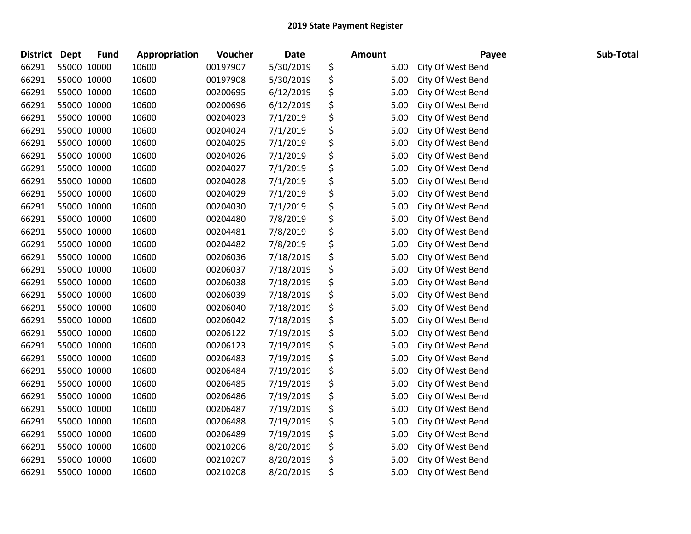| District | <b>Dept</b> | <b>Fund</b> | <b>Appropriation</b> | Voucher  | <b>Date</b> | <b>Amount</b> | Payee             | Sub-Total |
|----------|-------------|-------------|----------------------|----------|-------------|---------------|-------------------|-----------|
| 66291    | 55000 10000 |             | 10600                | 00197907 | 5/30/2019   | \$<br>5.00    | City Of West Bend |           |
| 66291    | 55000 10000 |             | 10600                | 00197908 | 5/30/2019   | \$<br>5.00    | City Of West Bend |           |
| 66291    | 55000 10000 |             | 10600                | 00200695 | 6/12/2019   | \$<br>5.00    | City Of West Bend |           |
| 66291    | 55000 10000 |             | 10600                | 00200696 | 6/12/2019   | \$<br>5.00    | City Of West Bend |           |
| 66291    | 55000 10000 |             | 10600                | 00204023 | 7/1/2019    | \$<br>5.00    | City Of West Bend |           |
| 66291    | 55000 10000 |             | 10600                | 00204024 | 7/1/2019    | \$<br>5.00    | City Of West Bend |           |
| 66291    | 55000 10000 |             | 10600                | 00204025 | 7/1/2019    | \$<br>5.00    | City Of West Bend |           |
| 66291    | 55000 10000 |             | 10600                | 00204026 | 7/1/2019    | \$<br>5.00    | City Of West Bend |           |
| 66291    | 55000 10000 |             | 10600                | 00204027 | 7/1/2019    | \$<br>5.00    | City Of West Bend |           |
| 66291    | 55000 10000 |             | 10600                | 00204028 | 7/1/2019    | \$<br>5.00    | City Of West Bend |           |
| 66291    | 55000 10000 |             | 10600                | 00204029 | 7/1/2019    | \$<br>5.00    | City Of West Bend |           |
| 66291    | 55000 10000 |             | 10600                | 00204030 | 7/1/2019    | \$<br>5.00    | City Of West Bend |           |
| 66291    | 55000 10000 |             | 10600                | 00204480 | 7/8/2019    | \$<br>5.00    | City Of West Bend |           |
| 66291    | 55000 10000 |             | 10600                | 00204481 | 7/8/2019    | \$<br>5.00    | City Of West Bend |           |
| 66291    | 55000 10000 |             | 10600                | 00204482 | 7/8/2019    | \$<br>5.00    | City Of West Bend |           |
| 66291    | 55000 10000 |             | 10600                | 00206036 | 7/18/2019   | \$<br>5.00    | City Of West Bend |           |
| 66291    | 55000 10000 |             | 10600                | 00206037 | 7/18/2019   | \$<br>5.00    | City Of West Bend |           |
| 66291    | 55000 10000 |             | 10600                | 00206038 | 7/18/2019   | \$<br>5.00    | City Of West Bend |           |
| 66291    | 55000 10000 |             | 10600                | 00206039 | 7/18/2019   | \$<br>5.00    | City Of West Bend |           |
| 66291    | 55000 10000 |             | 10600                | 00206040 | 7/18/2019   | \$<br>5.00    | City Of West Bend |           |
| 66291    | 55000 10000 |             | 10600                | 00206042 | 7/18/2019   | \$<br>5.00    | City Of West Bend |           |
| 66291    | 55000 10000 |             | 10600                | 00206122 | 7/19/2019   | \$<br>5.00    | City Of West Bend |           |
| 66291    | 55000 10000 |             | 10600                | 00206123 | 7/19/2019   | \$<br>5.00    | City Of West Bend |           |
| 66291    | 55000 10000 |             | 10600                | 00206483 | 7/19/2019   | \$<br>5.00    | City Of West Bend |           |
| 66291    | 55000 10000 |             | 10600                | 00206484 | 7/19/2019   | \$<br>5.00    | City Of West Bend |           |
| 66291    | 55000 10000 |             | 10600                | 00206485 | 7/19/2019   | \$<br>5.00    | City Of West Bend |           |
| 66291    | 55000 10000 |             | 10600                | 00206486 | 7/19/2019   | \$<br>5.00    | City Of West Bend |           |
| 66291    | 55000 10000 |             | 10600                | 00206487 | 7/19/2019   | \$<br>5.00    | City Of West Bend |           |
| 66291    | 55000 10000 |             | 10600                | 00206488 | 7/19/2019   | \$<br>5.00    | City Of West Bend |           |
| 66291    | 55000 10000 |             | 10600                | 00206489 | 7/19/2019   | \$<br>5.00    | City Of West Bend |           |
| 66291    | 55000 10000 |             | 10600                | 00210206 | 8/20/2019   | \$<br>5.00    | City Of West Bend |           |
| 66291    | 55000 10000 |             | 10600                | 00210207 | 8/20/2019   | \$<br>5.00    | City Of West Bend |           |
| 66291    | 55000 10000 |             | 10600                | 00210208 | 8/20/2019   | \$<br>5.00    | City Of West Bend |           |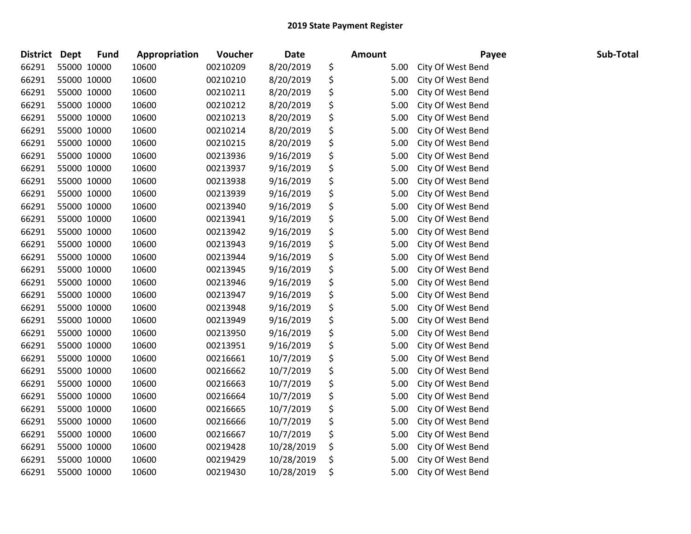| District | <b>Dept</b> | <b>Fund</b> | Appropriation | Voucher  | <b>Date</b> | <b>Amount</b> | Payee             | Sub-Total |
|----------|-------------|-------------|---------------|----------|-------------|---------------|-------------------|-----------|
| 66291    | 55000 10000 |             | 10600         | 00210209 | 8/20/2019   | \$<br>5.00    | City Of West Bend |           |
| 66291    | 55000 10000 |             | 10600         | 00210210 | 8/20/2019   | \$<br>5.00    | City Of West Bend |           |
| 66291    | 55000 10000 |             | 10600         | 00210211 | 8/20/2019   | \$<br>5.00    | City Of West Bend |           |
| 66291    | 55000 10000 |             | 10600         | 00210212 | 8/20/2019   | \$<br>5.00    | City Of West Bend |           |
| 66291    | 55000 10000 |             | 10600         | 00210213 | 8/20/2019   | \$<br>5.00    | City Of West Bend |           |
| 66291    | 55000 10000 |             | 10600         | 00210214 | 8/20/2019   | \$<br>5.00    | City Of West Bend |           |
| 66291    | 55000 10000 |             | 10600         | 00210215 | 8/20/2019   | \$<br>5.00    | City Of West Bend |           |
| 66291    | 55000 10000 |             | 10600         | 00213936 | 9/16/2019   | \$<br>5.00    | City Of West Bend |           |
| 66291    | 55000 10000 |             | 10600         | 00213937 | 9/16/2019   | \$<br>5.00    | City Of West Bend |           |
| 66291    | 55000 10000 |             | 10600         | 00213938 | 9/16/2019   | \$<br>5.00    | City Of West Bend |           |
| 66291    | 55000 10000 |             | 10600         | 00213939 | 9/16/2019   | \$<br>5.00    | City Of West Bend |           |
| 66291    | 55000 10000 |             | 10600         | 00213940 | 9/16/2019   | \$<br>5.00    | City Of West Bend |           |
| 66291    | 55000 10000 |             | 10600         | 00213941 | 9/16/2019   | \$<br>5.00    | City Of West Bend |           |
| 66291    | 55000 10000 |             | 10600         | 00213942 | 9/16/2019   | \$<br>5.00    | City Of West Bend |           |
| 66291    | 55000 10000 |             | 10600         | 00213943 | 9/16/2019   | \$<br>5.00    | City Of West Bend |           |
| 66291    | 55000 10000 |             | 10600         | 00213944 | 9/16/2019   | \$<br>5.00    | City Of West Bend |           |
| 66291    | 55000 10000 |             | 10600         | 00213945 | 9/16/2019   | \$<br>5.00    | City Of West Bend |           |
| 66291    | 55000 10000 |             | 10600         | 00213946 | 9/16/2019   | \$<br>5.00    | City Of West Bend |           |
| 66291    | 55000 10000 |             | 10600         | 00213947 | 9/16/2019   | \$<br>5.00    | City Of West Bend |           |
| 66291    | 55000 10000 |             | 10600         | 00213948 | 9/16/2019   | \$<br>5.00    | City Of West Bend |           |
| 66291    | 55000 10000 |             | 10600         | 00213949 | 9/16/2019   | \$<br>5.00    | City Of West Bend |           |
| 66291    | 55000 10000 |             | 10600         | 00213950 | 9/16/2019   | \$<br>5.00    | City Of West Bend |           |
| 66291    | 55000 10000 |             | 10600         | 00213951 | 9/16/2019   | \$<br>5.00    | City Of West Bend |           |
| 66291    | 55000 10000 |             | 10600         | 00216661 | 10/7/2019   | \$<br>5.00    | City Of West Bend |           |
| 66291    | 55000 10000 |             | 10600         | 00216662 | 10/7/2019   | \$<br>5.00    | City Of West Bend |           |
| 66291    | 55000 10000 |             | 10600         | 00216663 | 10/7/2019   | \$<br>5.00    | City Of West Bend |           |
| 66291    | 55000 10000 |             | 10600         | 00216664 | 10/7/2019   | \$<br>5.00    | City Of West Bend |           |
| 66291    | 55000 10000 |             | 10600         | 00216665 | 10/7/2019   | \$<br>5.00    | City Of West Bend |           |
| 66291    | 55000 10000 |             | 10600         | 00216666 | 10/7/2019   | \$<br>5.00    | City Of West Bend |           |
| 66291    | 55000 10000 |             | 10600         | 00216667 | 10/7/2019   | \$<br>5.00    | City Of West Bend |           |
| 66291    | 55000 10000 |             | 10600         | 00219428 | 10/28/2019  | \$<br>5.00    | City Of West Bend |           |
| 66291    | 55000 10000 |             | 10600         | 00219429 | 10/28/2019  | \$<br>5.00    | City Of West Bend |           |
| 66291    | 55000 10000 |             | 10600         | 00219430 | 10/28/2019  | \$<br>5.00    | City Of West Bend |           |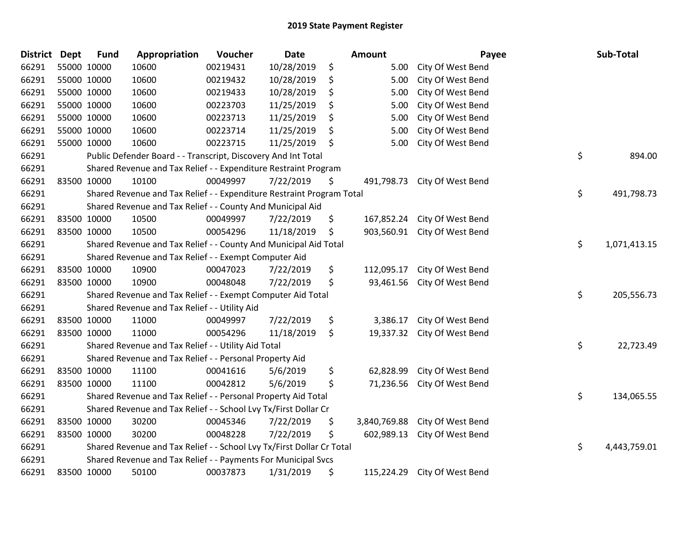| <b>District</b> | <b>Dept</b> | <b>Fund</b> | Appropriation                                                         | Voucher  | Date       |    | <b>Amount</b> | Payee                        |    | Sub-Total    |
|-----------------|-------------|-------------|-----------------------------------------------------------------------|----------|------------|----|---------------|------------------------------|----|--------------|
| 66291           |             | 55000 10000 | 10600                                                                 | 00219431 | 10/28/2019 | \$ | 5.00          | City Of West Bend            |    |              |
| 66291           |             | 55000 10000 | 10600                                                                 | 00219432 | 10/28/2019 | \$ | 5.00          | City Of West Bend            |    |              |
| 66291           |             | 55000 10000 | 10600                                                                 | 00219433 | 10/28/2019 | \$ | 5.00          | City Of West Bend            |    |              |
| 66291           |             | 55000 10000 | 10600                                                                 | 00223703 | 11/25/2019 | \$ | 5.00          | City Of West Bend            |    |              |
| 66291           |             | 55000 10000 | 10600                                                                 | 00223713 | 11/25/2019 | \$ | 5.00          | City Of West Bend            |    |              |
| 66291           |             | 55000 10000 | 10600                                                                 | 00223714 | 11/25/2019 | \$ | 5.00          | City Of West Bend            |    |              |
| 66291           |             | 55000 10000 | 10600                                                                 | 00223715 | 11/25/2019 | \$ | 5.00          | City Of West Bend            |    |              |
| 66291           |             |             | Public Defender Board - - Transcript, Discovery And Int Total         |          |            |    |               |                              | \$ | 894.00       |
| 66291           |             |             | Shared Revenue and Tax Relief - - Expenditure Restraint Program       |          |            |    |               |                              |    |              |
| 66291           | 83500 10000 |             | 10100                                                                 | 00049997 | 7/22/2019  | \$ | 491,798.73    | City Of West Bend            |    |              |
| 66291           |             |             | Shared Revenue and Tax Relief - - Expenditure Restraint Program Total |          |            |    |               |                              | \$ | 491,798.73   |
| 66291           |             |             | Shared Revenue and Tax Relief - - County And Municipal Aid            |          |            |    |               |                              |    |              |
| 66291           |             | 83500 10000 | 10500                                                                 | 00049997 | 7/22/2019  | \$ |               | 167,852.24 City Of West Bend |    |              |
| 66291           |             | 83500 10000 | 10500                                                                 | 00054296 | 11/18/2019 | \$ | 903,560.91    | City Of West Bend            |    |              |
| 66291           |             |             | Shared Revenue and Tax Relief - - County And Municipal Aid Total      |          |            |    |               |                              |    | 1,071,413.15 |
| 66291           |             |             | Shared Revenue and Tax Relief - - Exempt Computer Aid                 |          |            |    |               |                              |    |              |
| 66291           | 83500 10000 |             | 10900                                                                 | 00047023 | 7/22/2019  | \$ | 112,095.17    | City Of West Bend            |    |              |
| 66291           | 83500 10000 |             | 10900                                                                 | 00048048 | 7/22/2019  | \$ | 93,461.56     | City Of West Bend            |    |              |
| 66291           |             |             | Shared Revenue and Tax Relief - - Exempt Computer Aid Total           |          |            |    |               |                              | \$ | 205,556.73   |
| 66291           |             |             | Shared Revenue and Tax Relief - - Utility Aid                         |          |            |    |               |                              |    |              |
| 66291           | 83500 10000 |             | 11000                                                                 | 00049997 | 7/22/2019  | \$ | 3,386.17      | City Of West Bend            |    |              |
| 66291           |             | 83500 10000 | 11000                                                                 | 00054296 | 11/18/2019 | \$ | 19,337.32     | City Of West Bend            |    |              |
| 66291           |             |             | Shared Revenue and Tax Relief - - Utility Aid Total                   |          |            |    |               |                              | \$ | 22,723.49    |
| 66291           |             |             | Shared Revenue and Tax Relief - - Personal Property Aid               |          |            |    |               |                              |    |              |
| 66291           |             | 83500 10000 | 11100                                                                 | 00041616 | 5/6/2019   | \$ | 62,828.99     | City Of West Bend            |    |              |
| 66291           |             | 83500 10000 | 11100                                                                 | 00042812 | 5/6/2019   | \$ | 71,236.56     | City Of West Bend            |    |              |
| 66291           |             |             | Shared Revenue and Tax Relief - - Personal Property Aid Total         |          |            |    |               |                              | \$ | 134,065.55   |
| 66291           |             |             | Shared Revenue and Tax Relief - - School Lvy Tx/First Dollar Cr       |          |            |    |               |                              |    |              |
| 66291           |             | 83500 10000 | 30200                                                                 | 00045346 | 7/22/2019  | \$ | 3,840,769.88  | City Of West Bend            |    |              |
| 66291           |             | 83500 10000 | 30200                                                                 | 00048228 | 7/22/2019  | \$ | 602,989.13    | City Of West Bend            |    |              |
| 66291           |             |             | Shared Revenue and Tax Relief - - School Lvy Tx/First Dollar Cr Total |          |            |    |               |                              | \$ | 4,443,759.01 |
| 66291           |             |             | Shared Revenue and Tax Relief - - Payments For Municipal Svcs         |          |            |    |               |                              |    |              |
| 66291           |             | 83500 10000 | 50100                                                                 | 00037873 | 1/31/2019  | \$ | 115,224.29    | City Of West Bend            |    |              |